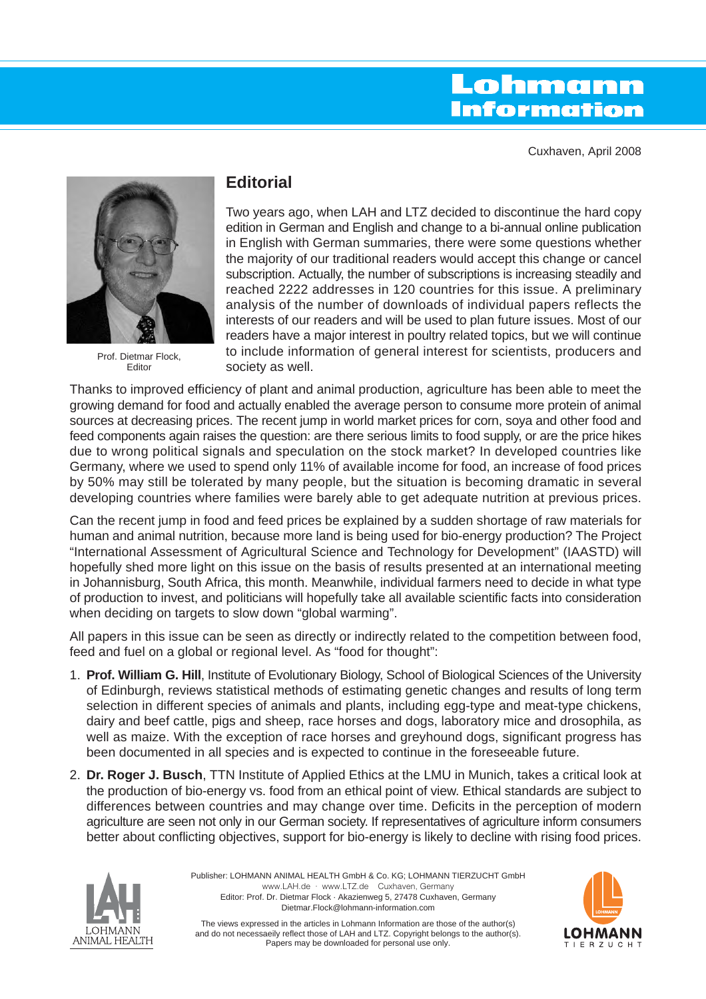# Lohmann **Information**

Cuxhaven, April 2008



Prof. Dietmar Flock, Editor

# **Editorial**

Two years ago, when LAH and LTZ decided to discontinue the hard copy edition in German and English and change to a bi-annual online publication in English with German summaries, there were some questions whether the majority of our traditional readers would accept this change or cancel subscription. Actually, the number of subscriptions is increasing steadily and reached 2222 addresses in 120 countries for this issue. A preliminary analysis of the number of downloads of individual papers reflects the interests of our readers and will be used to plan future issues. Most of our readers have a major interest in poultry related topics, but we will continue to include information of general interest for scientists, producers and society as well.

Thanks to improved efficiency of plant and animal production, agriculture has been able to meet the growing demand for food and actually enabled the average person to consume more protein of animal sources at decreasing prices. The recent jump in world market prices for corn, soya and other food and feed components again raises the question: are there serious limits to food supply, or are the price hikes due to wrong political signals and speculation on the stock market? In developed countries like Germany, where we used to spend only 11% of available income for food, an increase of food prices by 50% may still be tolerated by many people, but the situation is becoming dramatic in several developing countries where families were barely able to get adequate nutrition at previous prices.

Can the recent jump in food and feed prices be explained by a sudden shortage of raw materials for human and animal nutrition, because more land is being used for bio-energy production? The Project "International Assessment of Agricultural Science and Technology for Development" (IAASTD) will hopefully shed more light on this issue on the basis of results presented at an international meeting in Johannisburg, South Africa, this month. Meanwhile, individual farmers need to decide in what type of production to invest, and politicians will hopefully take all available scientific facts into consideration when deciding on targets to slow down "global warming".

All papers in this issue can be seen as directly or indirectly related to the competition between food, feed and fuel on a global or regional level. As "food for thought":

- 1. **Prof. William G. Hill**, Institute of Evolutionary Biology, School of Biological Sciences of the University of Edinburgh, reviews statistical methods of estimating genetic changes and results of long term selection in different species of animals and plants, including egg-type and meat-type chickens, dairy and beef cattle, pigs and sheep, race horses and dogs, laboratory mice and drosophila, as well as maize. With the exception of race horses and greyhound dogs, significant progress has been documented in all species and is expected to continue in the foreseeable future.
- 2. **Dr. Roger J. Busch**, TTN Institute of Applied Ethics at the LMU in Munich, takes a critical look at the production of bio-energy vs. food from an ethical point of view. Ethical standards are subject to differences between countries and may change over time. Deficits in the perception of modern agriculture are seen not only in our German society. If representatives of agriculture inform consumers better about conflicting objectives, support for bio-energy is likely to decline with rising food prices.



Publisher: LOHMANN ANIMAL HEALTH GmbH & Co. KG; LOHMANN TIERZUCHT GmbH www.LAH.de · www.LTZ.de Cuxhaven, Germany Editor: Prof. Dr. Dietmar Flock · Akazienweg 5, 27478 Cuxhaven, Germany Dietmar.Flock@lohmann-information.com



The views expressed in the articles in Lohmann Information are those of the author(s) and do not necessaeily reflect those of LAH and LTZ. Copyright belongs to the author(s). Papers may be downloaded for personal use only.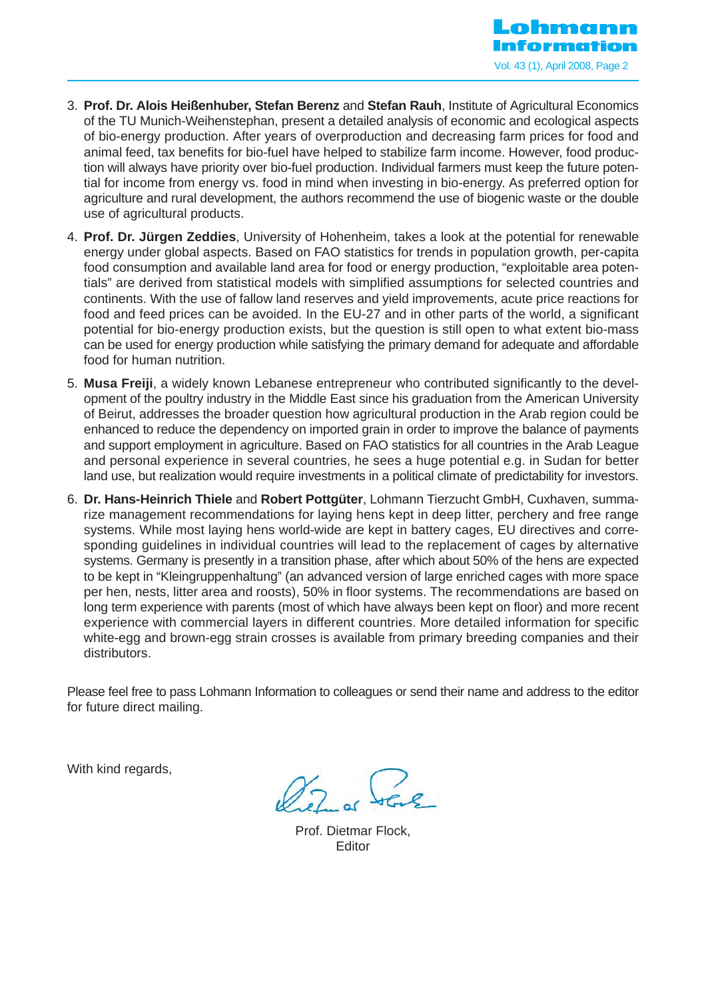

- 3. **Prof. Dr. Alois Heißenhuber, Stefan Berenz** and **Stefan Rauh**, Institute of Agricultural Economics of the TU Munich-Weihenstephan, present a detailed analysis of economic and ecological aspects of bio-energy production. After years of overproduction and decreasing farm prices for food and animal feed, tax benefits for bio-fuel have helped to stabilize farm income. However, food production will always have priority over bio-fuel production. Individual farmers must keep the future potential for income from energy vs. food in mind when investing in bio-energy. As preferred option for agriculture and rural development, the authors recommend the use of biogenic waste or the double use of agricultural products.
- 4. **Prof. Dr. Jürgen Zeddies**, University of Hohenheim, takes a look at the potential for renewable energy under global aspects. Based on FAO statistics for trends in population growth, per-capita food consumption and available land area for food or energy production, "exploitable area potentials" are derived from statistical models with simplified assumptions for selected countries and continents. With the use of fallow land reserves and yield improvements, acute price reactions for food and feed prices can be avoided. In the EU-27 and in other parts of the world, a significant potential for bio-energy production exists, but the question is still open to what extent bio-mass can be used for energy production while satisfying the primary demand for adequate and affordable food for human nutrition.
- 5. **Musa Freiji**, a widely known Lebanese entrepreneur who contributed significantly to the development of the poultry industry in the Middle East since his graduation from the American University of Beirut, addresses the broader question how agricultural production in the Arab region could be enhanced to reduce the dependency on imported grain in order to improve the balance of payments and support employment in agriculture. Based on FAO statistics for all countries in the Arab League and personal experience in several countries, he sees a huge potential e.g. in Sudan for better land use, but realization would require investments in a political climate of predictability for investors.
- 6. **Dr. Hans-Heinrich Thiele** and **Robert Pottgüter**, Lohmann Tierzucht GmbH, Cuxhaven, summarize management recommendations for laying hens kept in deep litter, perchery and free range systems. While most laying hens world-wide are kept in battery cages, EU directives and corresponding guidelines in individual countries will lead to the replacement of cages by alternative systems. Germany is presently in a transition phase, after which about 50% of the hens are expected to be kept in "Kleingruppenhaltung" (an advanced version of large enriched cages with more space per hen, nests, litter area and roosts), 50% in floor systems. The recommendations are based on long term experience with parents (most of which have always been kept on floor) and more recent experience with commercial layers in different countries. More detailed information for specific white-egg and brown-egg strain crosses is available from primary breeding companies and their distributors.

Please feel free to pass Lohmann Information to colleagues or send their name and address to the editor for future direct mailing.

With kind regards,

 $\gamma_{7}$ 

Prof. Dietmar Flock, Editor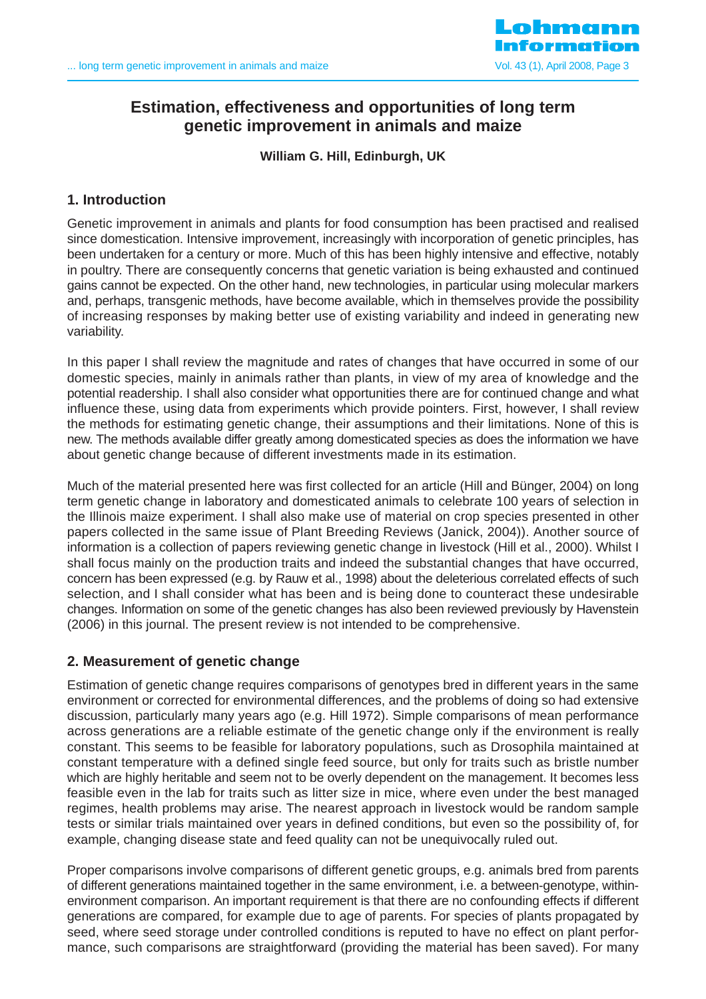

# **Estimation, effectiveness and opportunities of long term genetic improvement in animals and maize**

**William G. Hill, Edinburgh, UK**

# **1. Introduction**

Genetic improvement in animals and plants for food consumption has been practised and realised since domestication. Intensive improvement, increasingly with incorporation of genetic principles, has been undertaken for a century or more. Much of this has been highly intensive and effective, notably in poultry. There are consequently concerns that genetic variation is being exhausted and continued gains cannot be expected. On the other hand, new technologies, in particular using molecular markers and, perhaps, transgenic methods, have become available, which in themselves provide the possibility of increasing responses by making better use of existing variability and indeed in generating new variability.

In this paper I shall review the magnitude and rates of changes that have occurred in some of our domestic species, mainly in animals rather than plants, in view of my area of knowledge and the potential readership. I shall also consider what opportunities there are for continued change and what influence these, using data from experiments which provide pointers. First, however, I shall review the methods for estimating genetic change, their assumptions and their limitations. None of this is new. The methods available differ greatly among domesticated species as does the information we have about genetic change because of different investments made in its estimation.

Much of the material presented here was first collected for an article (Hill and Bünger, 2004) on long term genetic change in laboratory and domesticated animals to celebrate 100 years of selection in the Illinois maize experiment. I shall also make use of material on crop species presented in other papers collected in the same issue of Plant Breeding Reviews (Janick, 2004)). Another source of information is a collection of papers reviewing genetic change in livestock (Hill et al., 2000). Whilst I shall focus mainly on the production traits and indeed the substantial changes that have occurred, concern has been expressed (e.g. by Rauw et al., 1998) about the deleterious correlated effects of such selection, and I shall consider what has been and is being done to counteract these undesirable changes. Information on some of the genetic changes has also been reviewed previously by Havenstein (2006) in this journal. The present review is not intended to be comprehensive.

# **2. Measurement of genetic change**

Estimation of genetic change requires comparisons of genotypes bred in different years in the same environment or corrected for environmental differences, and the problems of doing so had extensive discussion, particularly many years ago (e.g. Hill 1972). Simple comparisons of mean performance across generations are a reliable estimate of the genetic change only if the environment is really constant. This seems to be feasible for laboratory populations, such as Drosophila maintained at constant temperature with a defined single feed source, but only for traits such as bristle number which are highly heritable and seem not to be overly dependent on the management. It becomes less feasible even in the lab for traits such as litter size in mice, where even under the best managed regimes, health problems may arise. The nearest approach in livestock would be random sample tests or similar trials maintained over years in defined conditions, but even so the possibility of, for example, changing disease state and feed quality can not be unequivocally ruled out.

Proper comparisons involve comparisons of different genetic groups, e.g. animals bred from parents of different generations maintained together in the same environment, i.e. a between-genotype, withinenvironment comparison. An important requirement is that there are no confounding effects if different generations are compared, for example due to age of parents. For species of plants propagated by seed, where seed storage under controlled conditions is reputed to have no effect on plant performance, such comparisons are straightforward (providing the material has been saved). For many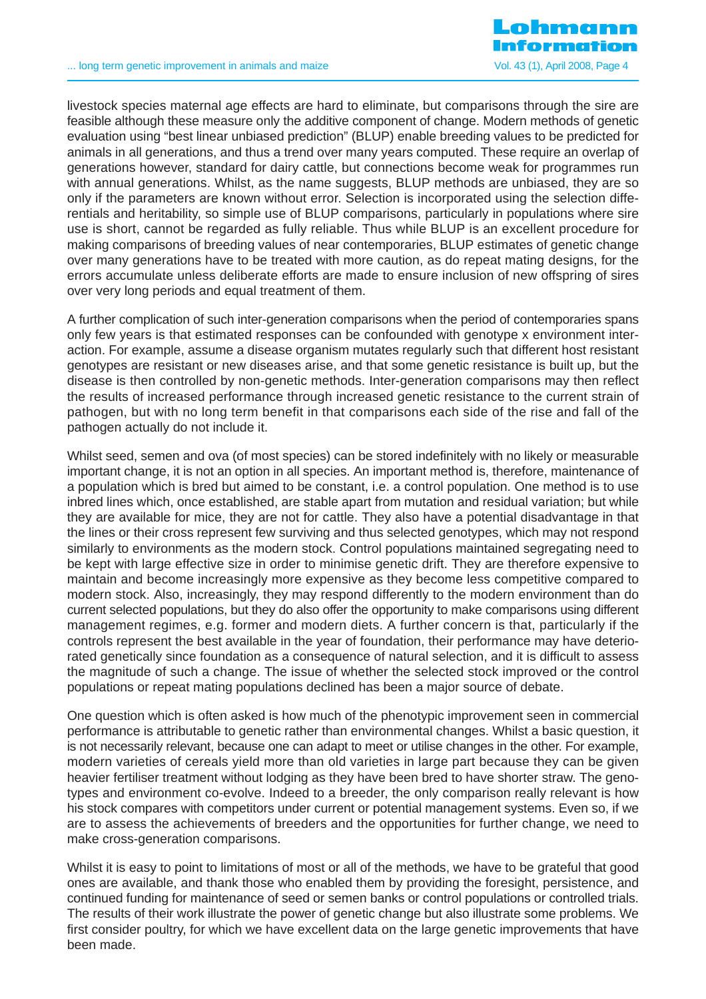

livestock species maternal age effects are hard to eliminate, but comparisons through the sire are feasible although these measure only the additive component of change. Modern methods of genetic evaluation using "best linear unbiased prediction" (BLUP) enable breeding values to be predicted for animals in all generations, and thus a trend over many years computed. These require an overlap of generations however, standard for dairy cattle, but connections become weak for programmes run with annual generations. Whilst, as the name suggests, BLUP methods are unbiased, they are so only if the parameters are known without error. Selection is incorporated using the selection differentials and heritability, so simple use of BLUP comparisons, particularly in populations where sire use is short, cannot be regarded as fully reliable. Thus while BLUP is an excellent procedure for making comparisons of breeding values of near contemporaries, BLUP estimates of genetic change over many generations have to be treated with more caution, as do repeat mating designs, for the errors accumulate unless deliberate efforts are made to ensure inclusion of new offspring of sires over very long periods and equal treatment of them.

A further complication of such inter-generation comparisons when the period of contemporaries spans only few years is that estimated responses can be confounded with genotype x environment interaction. For example, assume a disease organism mutates regularly such that different host resistant genotypes are resistant or new diseases arise, and that some genetic resistance is built up, but the disease is then controlled by non-genetic methods. Inter-generation comparisons may then reflect the results of increased performance through increased genetic resistance to the current strain of pathogen, but with no long term benefit in that comparisons each side of the rise and fall of the pathogen actually do not include it.

Whilst seed, semen and ova (of most species) can be stored indefinitely with no likely or measurable important change, it is not an option in all species. An important method is, therefore, maintenance of a population which is bred but aimed to be constant, i.e. a control population. One method is to use inbred lines which, once established, are stable apart from mutation and residual variation; but while they are available for mice, they are not for cattle. They also have a potential disadvantage in that the lines or their cross represent few surviving and thus selected genotypes, which may not respond similarly to environments as the modern stock. Control populations maintained segregating need to be kept with large effective size in order to minimise genetic drift. They are therefore expensive to maintain and become increasingly more expensive as they become less competitive compared to modern stock. Also, increasingly, they may respond differently to the modern environment than do current selected populations, but they do also offer the opportunity to make comparisons using different management regimes, e.g. former and modern diets. A further concern is that, particularly if the controls represent the best available in the year of foundation, their performance may have deteriorated genetically since foundation as a consequence of natural selection, and it is difficult to assess the magnitude of such a change. The issue of whether the selected stock improved or the control populations or repeat mating populations declined has been a major source of debate.

One question which is often asked is how much of the phenotypic improvement seen in commercial performance is attributable to genetic rather than environmental changes. Whilst a basic question, it is not necessarily relevant, because one can adapt to meet or utilise changes in the other. For example, modern varieties of cereals yield more than old varieties in large part because they can be given heavier fertiliser treatment without lodging as they have been bred to have shorter straw. The genotypes and environment co-evolve. Indeed to a breeder, the only comparison really relevant is how his stock compares with competitors under current or potential management systems. Even so, if we are to assess the achievements of breeders and the opportunities for further change, we need to make cross-generation comparisons.

Whilst it is easy to point to limitations of most or all of the methods, we have to be grateful that good ones are available, and thank those who enabled them by providing the foresight, persistence, and continued funding for maintenance of seed or semen banks or control populations or controlled trials. The results of their work illustrate the power of genetic change but also illustrate some problems. We first consider poultry, for which we have excellent data on the large genetic improvements that have been made.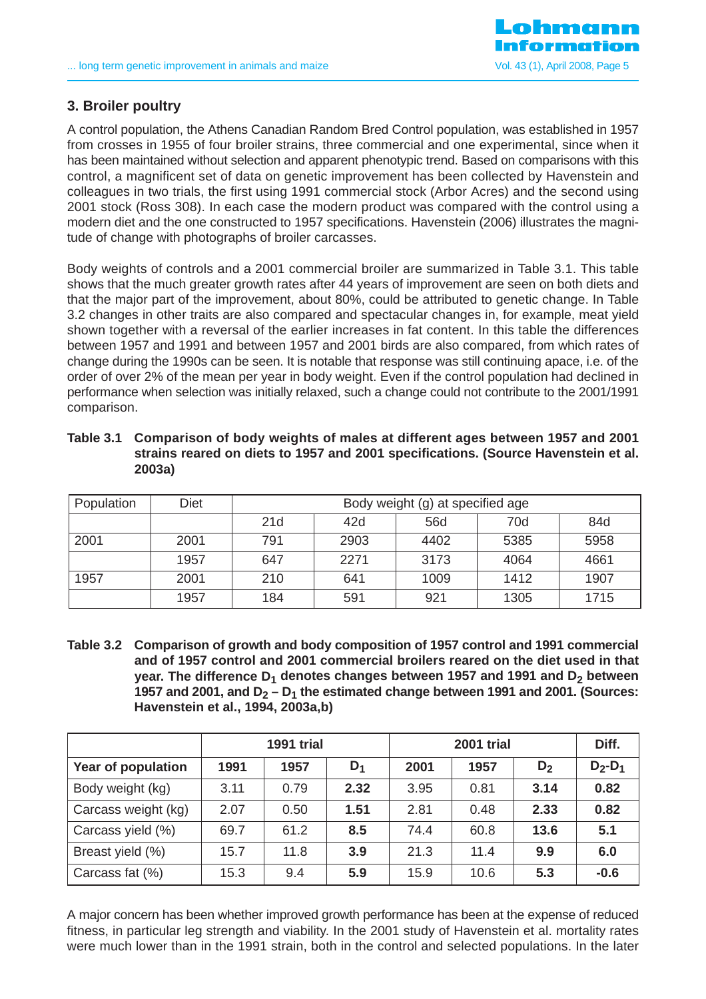

# **3. Broiler poultry**

A control population, the Athens Canadian Random Bred Control population, was established in 1957 from crosses in 1955 of four broiler strains, three commercial and one experimental, since when it has been maintained without selection and apparent phenotypic trend. Based on comparisons with this control, a magnificent set of data on genetic improvement has been collected by Havenstein and colleagues in two trials, the first using 1991 commercial stock (Arbor Acres) and the second using 2001 stock (Ross 308). In each case the modern product was compared with the control using a modern diet and the one constructed to 1957 specifications. Havenstein (2006) illustrates the magnitude of change with photographs of broiler carcasses.

Body weights of controls and a 2001 commercial broiler are summarized in Table 3.1. This table shows that the much greater growth rates after 44 years of improvement are seen on both diets and that the major part of the improvement, about 80%, could be attributed to genetic change. In Table 3.2 changes in other traits are also compared and spectacular changes in, for example, meat yield shown together with a reversal of the earlier increases in fat content. In this table the differences between 1957 and 1991 and between 1957 and 2001 birds are also compared, from which rates of change during the 1990s can be seen. It is notable that response was still continuing apace, i.e. of the order of over 2% of the mean per year in body weight. Even if the control population had declined in performance when selection was initially relaxed, such a change could not contribute to the 2001/1991 comparison.

| Table 3.1 Comparison of body weights of males at different ages between 1957 and 2001 |
|---------------------------------------------------------------------------------------|
| strains reared on diets to 1957 and 2001 specifications. (Source Havenstein et al.    |
| 2003a)                                                                                |

| Population | Diet | Body weight (g) at specified age |      |      |      |      |  |  |  |
|------------|------|----------------------------------|------|------|------|------|--|--|--|
|            |      | 21d<br>70d<br>42d<br>56d<br>84d  |      |      |      |      |  |  |  |
| 2001       | 2001 | 791                              | 2903 | 4402 | 5385 | 5958 |  |  |  |
|            | 1957 | 647                              | 2271 | 3173 | 4064 | 4661 |  |  |  |
| 1957       | 2001 | 210                              | 641  | 1009 | 1412 | 1907 |  |  |  |
|            | 1957 | 184                              | 591  | 921  | 1305 | 1715 |  |  |  |

**Table 3.2 Comparison of growth and body composition of 1957 control and 1991 commercial and of 1957 control and 2001 commercial broilers reared on the diet used in that year. The difference D<sub>1</sub> denotes changes between 1957 and 1991 and D<sub>2</sub> between** 1957 and 2001, and  $D_2 - D_1$  the estimated change between 1991 and 2001. (Sources: **Havenstein et al., 1994, 2003a,b)** 

|                     | <b>1991 trial</b> |      |       |      | Diff. |       |           |
|---------------------|-------------------|------|-------|------|-------|-------|-----------|
| Year of population  | 1991              | 1957 | $D_1$ | 2001 | 1957  | $D_2$ | $D_2-D_1$ |
| Body weight (kg)    | 3.11              | 0.79 | 2.32  | 3.95 | 0.81  | 3.14  | 0.82      |
| Carcass weight (kg) | 2.07              | 0.50 | 1.51  | 2.81 | 0.48  | 2.33  | 0.82      |
| Carcass yield (%)   | 69.7              | 61.2 | 8.5   | 74.4 | 60.8  | 13.6  | 5.1       |
| Breast yield (%)    | 15.7              | 11.8 | 3.9   | 21.3 | 11.4  | 9.9   | 6.0       |
| Carcass fat (%)     | 15.3              | 9.4  | 5.9   | 15.9 | 10.6  | 5.3   | $-0.6$    |

A major concern has been whether improved growth performance has been at the expense of reduced fitness, in particular leg strength and viability. In the 2001 study of Havenstein et al. mortality rates were much lower than in the 1991 strain, both in the control and selected populations. In the later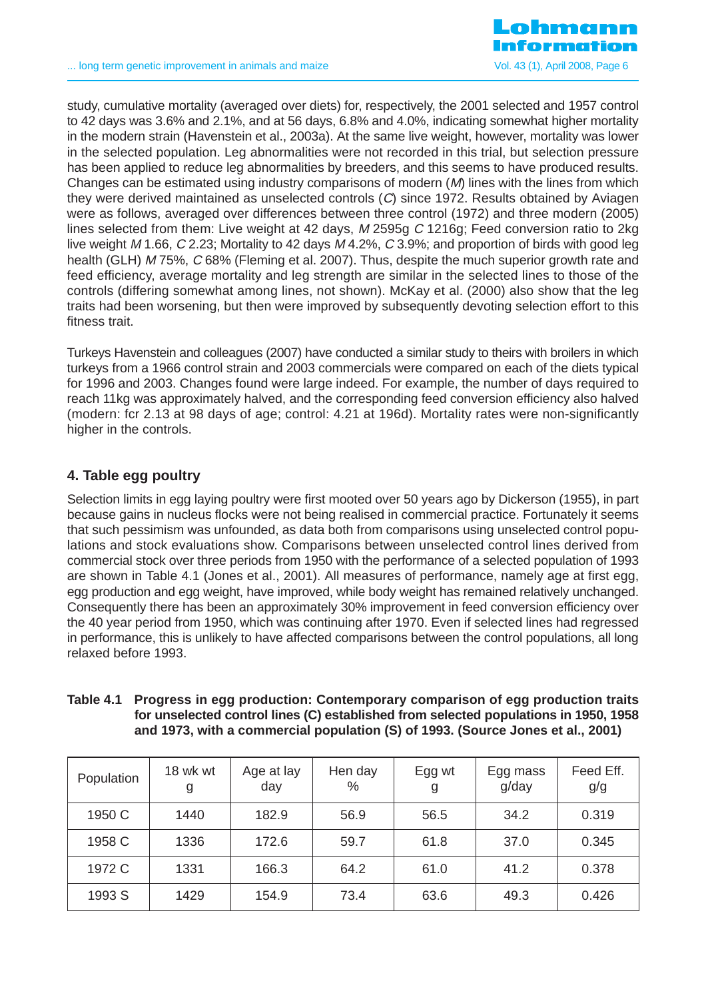

study, cumulative mortality (averaged over diets) for, respectively, the 2001 selected and 1957 control to 42 days was 3.6% and 2.1%, and at 56 days, 6.8% and 4.0%, indicating somewhat higher mortality in the modern strain (Havenstein et al., 2003a). At the same live weight, however, mortality was lower in the selected population. Leg abnormalities were not recorded in this trial, but selection pressure has been applied to reduce leg abnormalities by breeders, and this seems to have produced results. Changes can be estimated using industry comparisons of modern  $(M)$  lines with the lines from which they were derived maintained as unselected controls (C) since 1972. Results obtained by Aviagen were as follows, averaged over differences between three control (1972) and three modern (2005) lines selected from them: Live weight at 42 days, M 2595g C 1216g; Feed conversion ratio to 2kg live weight M 1.66, C 2.23; Mortality to 42 days M 4.2%, C 3.9%; and proportion of birds with good leg health (GLH) M 75%, C 68% (Fleming et al. 2007). Thus, despite the much superior growth rate and feed efficiency, average mortality and leg strength are similar in the selected lines to those of the controls (differing somewhat among lines, not shown). McKay et al. (2000) also show that the leg traits had been worsening, but then were improved by subsequently devoting selection effort to this fitness trait.

Turkeys Havenstein and colleagues (2007) have conducted a similar study to theirs with broilers in which turkeys from a 1966 control strain and 2003 commercials were compared on each of the diets typical for 1996 and 2003. Changes found were large indeed. For example, the number of days required to reach 11kg was approximately halved, and the corresponding feed conversion efficiency also halved (modern: fcr 2.13 at 98 days of age; control: 4.21 at 196d). Mortality rates were non-significantly higher in the controls.

# **4. Table egg poultry**

Selection limits in egg laying poultry were first mooted over 50 years ago by Dickerson (1955), in part because gains in nucleus flocks were not being realised in commercial practice. Fortunately it seems that such pessimism was unfounded, as data both from comparisons using unselected control populations and stock evaluations show. Comparisons between unselected control lines derived from commercial stock over three periods from 1950 with the performance of a selected population of 1993 are shown in Table 4.1 (Jones et al., 2001). All measures of performance, namely age at first egg, egg production and egg weight, have improved, while body weight has remained relatively unchanged. Consequently there has been an approximately 30% improvement in feed conversion efficiency over the 40 year period from 1950, which was continuing after 1970. Even if selected lines had regressed in performance, this is unlikely to have affected comparisons between the control populations, all long relaxed before 1993.

| Population | 18 wk wt<br>g | Age at lay<br>day | Hen day<br>% | Egg wt<br>g | Egg mass<br>g/day | Feed Eff.<br>g/g |
|------------|---------------|-------------------|--------------|-------------|-------------------|------------------|
| 1950 C     | 1440          | 182.9             | 56.9         | 56.5        | 34.2              | 0.319            |
| 1958 C     | 1336          | 172.6             | 59.7         | 61.8        | 37.0              | 0.345            |
| 1972 C     | 1331          | 166.3             | 64.2         | 61.0        | 41.2              | 0.378            |
| 1993 S     | 1429          | 154.9             | 73.4         | 63.6        | 49.3              | 0.426            |

| Table 4.1 Progress in egg production: Contemporary comparison of egg production traits |
|----------------------------------------------------------------------------------------|
| for unselected control lines (C) established from selected populations in 1950, 1958   |
| and 1973, with a commercial population (S) of 1993. (Source Jones et al., 2001)        |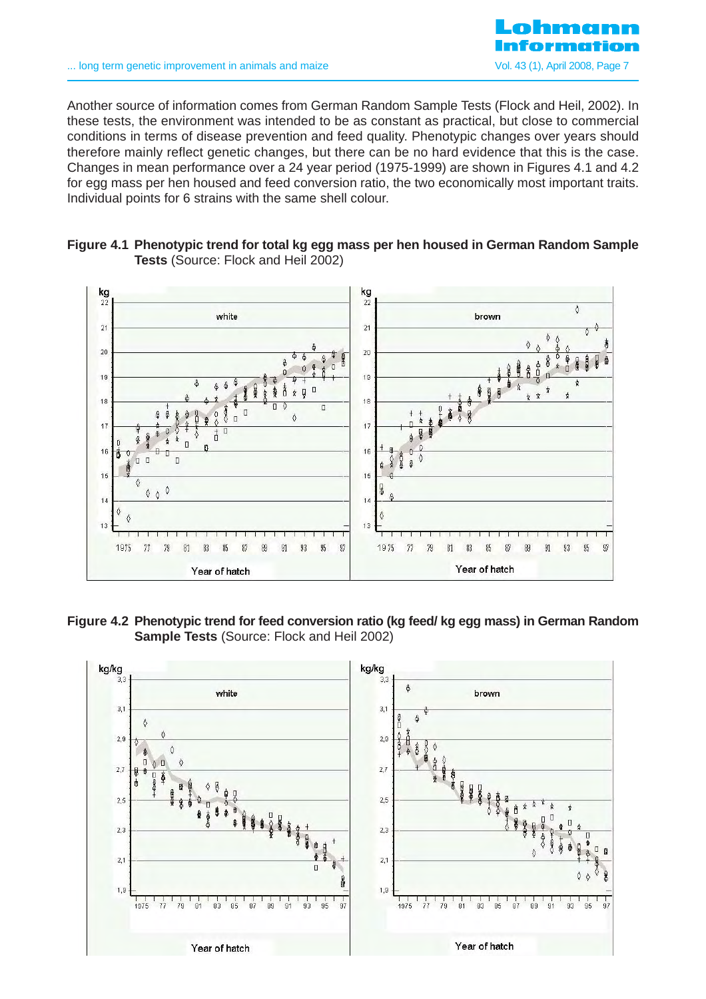

Another source of information comes from German Random Sample Tests (Flock and Heil, 2002). In these tests, the environment was intended to be as constant as practical, but close to commercial conditions in terms of disease prevention and feed quality. Phenotypic changes over years should therefore mainly reflect genetic changes, but there can be no hard evidence that this is the case. Changes in mean performance over a 24 year period (1975-1999) are shown in Figures 4.1 and 4.2 for egg mass per hen housed and feed conversion ratio, the two economically most important traits. Individual points for 6 strains with the same shell colour.





**Figure 4.2 Phenotypic trend for feed conversion ratio (kg feed/ kg egg mass) in German Random Sample Tests** (Source: Flock and Heil 2002)

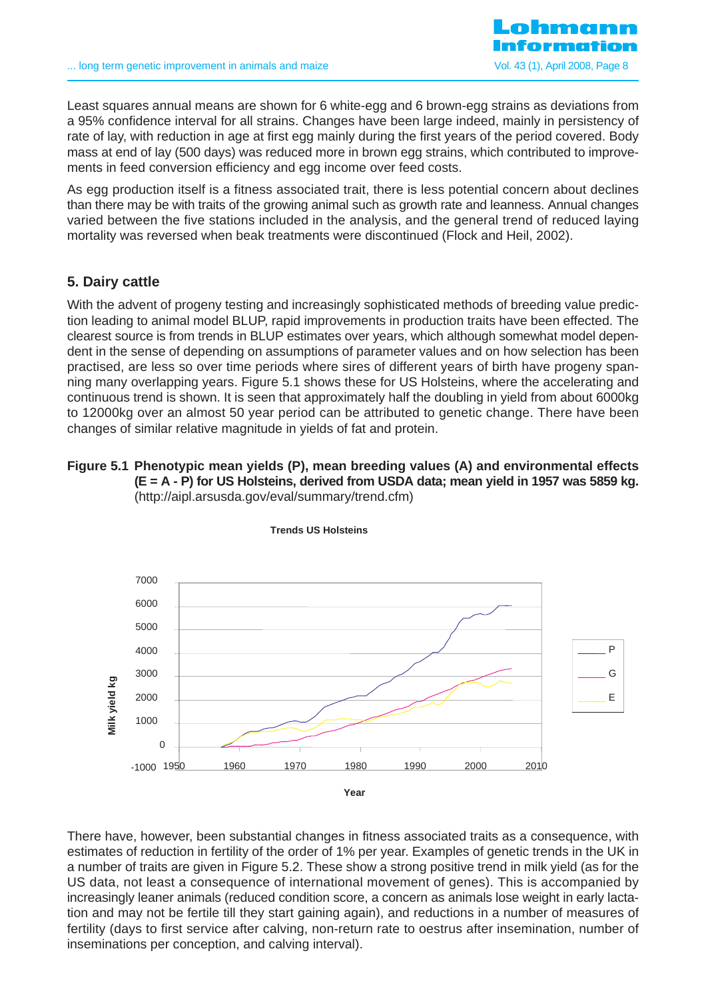

Least squares annual means are shown for 6 white-egg and 6 brown-egg strains as deviations from a 95% confidence interval for all strains. Changes have been large indeed, mainly in persistency of rate of lay, with reduction in age at first egg mainly during the first years of the period covered. Body mass at end of lay (500 days) was reduced more in brown egg strains, which contributed to improvements in feed conversion efficiency and egg income over feed costs.

As egg production itself is a fitness associated trait, there is less potential concern about declines than there may be with traits of the growing animal such as growth rate and leanness. Annual changes varied between the five stations included in the analysis, and the general trend of reduced laying mortality was reversed when beak treatments were discontinued (Flock and Heil, 2002).

# **5. Dairy cattle**

With the advent of progeny testing and increasingly sophisticated methods of breeding value prediction leading to animal model BLUP, rapid improvements in production traits have been effected. The clearest source is from trends in BLUP estimates over years, which although somewhat model dependent in the sense of depending on assumptions of parameter values and on how selection has been practised, are less so over time periods where sires of different years of birth have progeny spanning many overlapping years. Figure 5.1 shows these for US Holsteins, where the accelerating and continuous trend is shown. It is seen that approximately half the doubling in yield from about 6000kg to 12000kg over an almost 50 year period can be attributed to genetic change. There have been changes of similar relative magnitude in yields of fat and protein.

#### **Figure 5.1 Phenotypic mean yields (P), mean breeding values (A) and environmental effects (E = A - P) for US Holsteins, derived from USDA data; mean yield in 1957 was 5859 kg.** (http://aipl.arsusda.gov/eval/summary/trend.cfm)



**Trends US Holsteins**

There have, however, been substantial changes in fitness associated traits as a consequence, with estimates of reduction in fertility of the order of 1% per year. Examples of genetic trends in the UK in a number of traits are given in Figure 5.2. These show a strong positive trend in milk yield (as for the US data, not least a consequence of international movement of genes). This is accompanied by increasingly leaner animals (reduced condition score, a concern as animals lose weight in early lactation and may not be fertile till they start gaining again), and reductions in a number of measures of fertility (days to first service after calving, non-return rate to oestrus after insemination, number of inseminations per conception, and calving interval).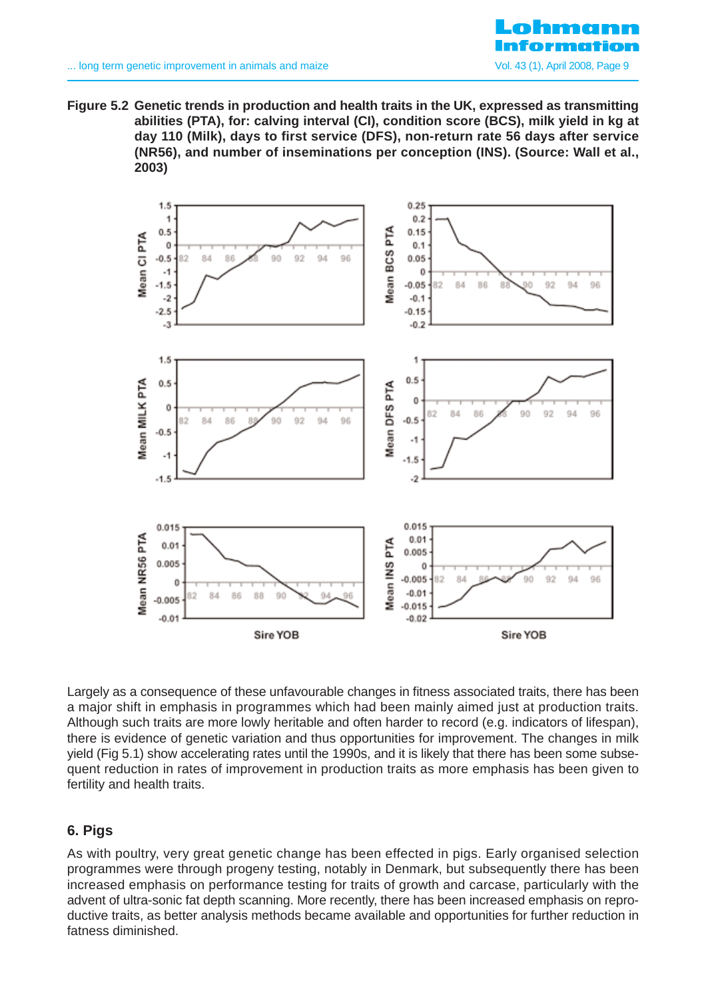**Figure 5.2 Genetic trends in production and health traits in the UK, expressed as transmitting abilities (PTA), for: calving interval (CI), condition score (BCS), milk yield in kg at day 110 (Milk), days to first service (DFS), non-return rate 56 days after service (NR56), and number of inseminations per conception (INS). (Source: Wall et al., 2003)** 



Largely as a consequence of these unfavourable changes in fitness associated traits, there has been a major shift in emphasis in programmes which had been mainly aimed just at production traits. Although such traits are more lowly heritable and often harder to record (e.g. indicators of lifespan), there is evidence of genetic variation and thus opportunities for improvement. The changes in milk yield (Fig 5.1) show accelerating rates until the 1990s, and it is likely that there has been some subsequent reduction in rates of improvement in production traits as more emphasis has been given to fertility and health traits.

# **6. Pigs**

As with poultry, very great genetic change has been effected in pigs. Early organised selection programmes were through progeny testing, notably in Denmark, but subsequently there has been increased emphasis on performance testing for traits of growth and carcase, particularly with the advent of ultra-sonic fat depth scanning. More recently, there has been increased emphasis on reproductive traits, as better analysis methods became available and opportunities for further reduction in fatness diminished.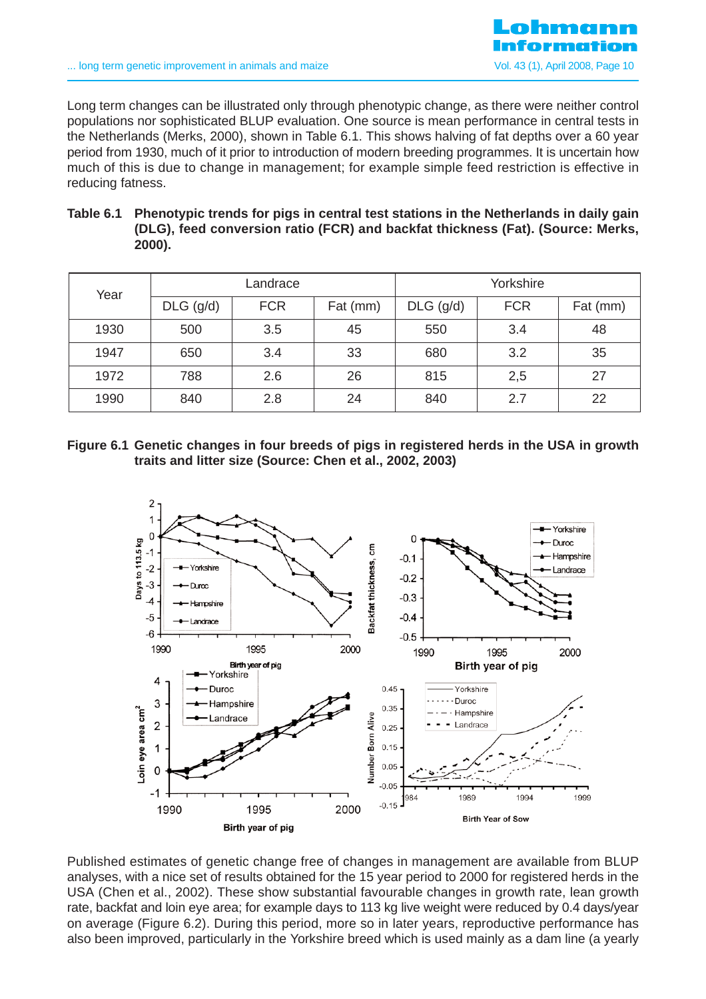

Long term changes can be illustrated only through phenotypic change, as there were neither control populations nor sophisticated BLUP evaluation. One source is mean performance in central tests in the Netherlands (Merks, 2000), shown in Table 6.1. This shows halving of fat depths over a 60 year period from 1930, much of it prior to introduction of modern breeding programmes. It is uncertain how much of this is due to change in management; for example simple feed restriction is effective in reducing fatness.

| Table 6.1 Phenotypic trends for pigs in central test stations in the Netherlands in daily gain |
|------------------------------------------------------------------------------------------------|
| (DLG), feed conversion ratio (FCR) and backfat thickness (Fat). (Source: Merks,                |
| 2000).                                                                                         |

| Year |                           | Landrace |          | Yorkshire   |            |          |  |
|------|---------------------------|----------|----------|-------------|------------|----------|--|
|      | <b>FCR</b><br>$DLG$ (g/d) |          | Fat (mm) | $DLG$ (g/d) | <b>FCR</b> | Fat (mm) |  |
| 1930 | 500                       | 3.5      | 45       | 550         | 3.4        | 48       |  |
| 1947 | 650                       | 3.4      | 33       | 680         | 3.2        | 35       |  |
| 1972 | 788                       | 2.6      | 26       | 815         | 2,5        | 27       |  |
| 1990 | 840                       | 2.8      | 24       | 840         | 2.7        | 22       |  |

**Figure 6.1 Genetic changes in four breeds of pigs in registered herds in the USA in growth traits and litter size (Source: Chen et al., 2002, 2003)**



Published estimates of genetic change free of changes in management are available from BLUP analyses, with a nice set of results obtained for the 15 year period to 2000 for registered herds in the USA (Chen et al., 2002). These show substantial favourable changes in growth rate, lean growth rate, backfat and loin eye area; for example days to 113 kg live weight were reduced by 0.4 days/year on average (Figure 6.2). During this period, more so in later years, reproductive performance has also been improved, particularly in the Yorkshire breed which is used mainly as a dam line (a yearly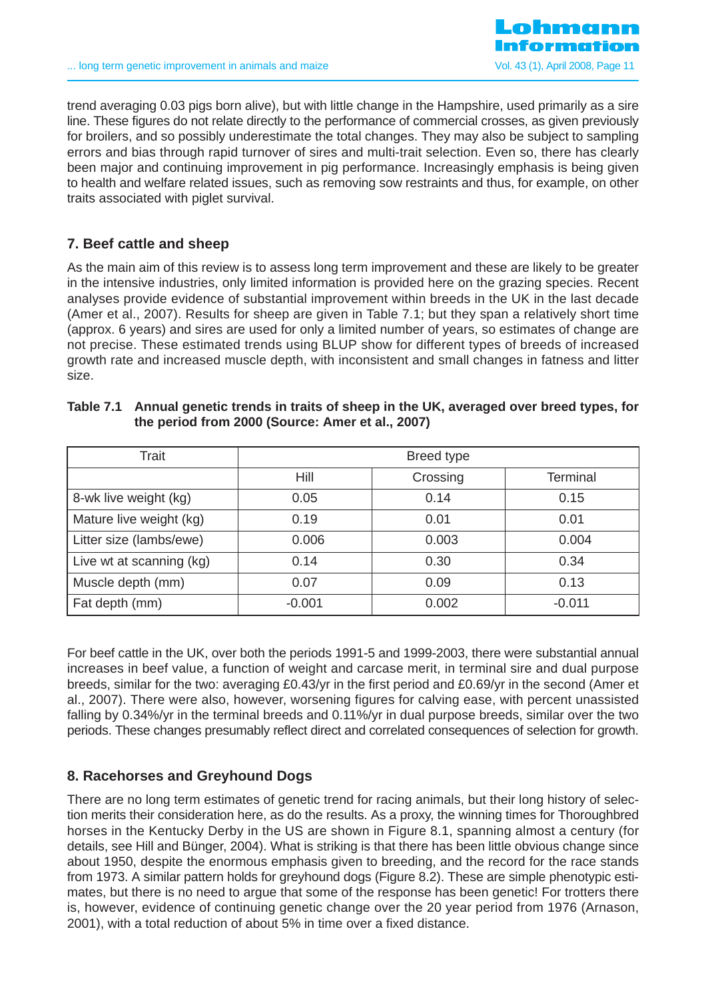

trend averaging 0.03 pigs born alive), but with little change in the Hampshire, used primarily as a sire line. These figures do not relate directly to the performance of commercial crosses, as given previously for broilers, and so possibly underestimate the total changes. They may also be subject to sampling errors and bias through rapid turnover of sires and multi-trait selection. Even so, there has clearly been major and continuing improvement in pig performance. Increasingly emphasis is being given to health and welfare related issues, such as removing sow restraints and thus, for example, on other traits associated with piglet survival.

# **7. Beef cattle and sheep**

As the main aim of this review is to assess long term improvement and these are likely to be greater in the intensive industries, only limited information is provided here on the grazing species. Recent analyses provide evidence of substantial improvement within breeds in the UK in the last decade (Amer et al., 2007). Results for sheep are given in Table 7.1; but they span a relatively short time (approx. 6 years) and sires are used for only a limited number of years, so estimates of change are not precise. These estimated trends using BLUP show for different types of breeds of increased growth rate and increased muscle depth, with inconsistent and small changes in fatness and litter size.

| Trait                    | Breed type |          |          |  |  |  |  |
|--------------------------|------------|----------|----------|--|--|--|--|
|                          | Hill       | Crossing | Terminal |  |  |  |  |
| 8-wk live weight (kg)    | 0.05       | 0.14     | 0.15     |  |  |  |  |
| Mature live weight (kg)  | 0.19       | 0.01     | 0.01     |  |  |  |  |
| Litter size (lambs/ewe)  | 0.006      | 0.003    | 0.004    |  |  |  |  |
| Live wt at scanning (kg) | 0.14       | 0.30     | 0.34     |  |  |  |  |
| Muscle depth (mm)        | 0.07       | 0.09     | 0.13     |  |  |  |  |
| Fat depth (mm)           | $-0.001$   | 0.002    | $-0.011$ |  |  |  |  |

| Table 7.1 Annual genetic trends in traits of sheep in the UK, averaged over breed types, for |
|----------------------------------------------------------------------------------------------|
| the period from 2000 (Source: Amer et al., 2007)                                             |

For beef cattle in the UK, over both the periods 1991-5 and 1999-2003, there were substantial annual increases in beef value, a function of weight and carcase merit, in terminal sire and dual purpose breeds, similar for the two: averaging £0.43/yr in the first period and £0.69/yr in the second (Amer et al., 2007). There were also, however, worsening figures for calving ease, with percent unassisted falling by 0.34%/yr in the terminal breeds and 0.11%/yr in dual purpose breeds, similar over the two periods. These changes presumably reflect direct and correlated consequences of selection for growth.

# **8. Racehorses and Greyhound Dogs**

There are no long term estimates of genetic trend for racing animals, but their long history of selection merits their consideration here, as do the results. As a proxy, the winning times for Thoroughbred horses in the Kentucky Derby in the US are shown in Figure 8.1, spanning almost a century (for details, see Hill and Bünger, 2004). What is striking is that there has been little obvious change since about 1950, despite the enormous emphasis given to breeding, and the record for the race stands from 1973. A similar pattern holds for greyhound dogs (Figure 8.2). These are simple phenotypic estimates, but there is no need to argue that some of the response has been genetic! For trotters there is, however, evidence of continuing genetic change over the 20 year period from 1976 (Arnason, 2001), with a total reduction of about 5% in time over a fixed distance.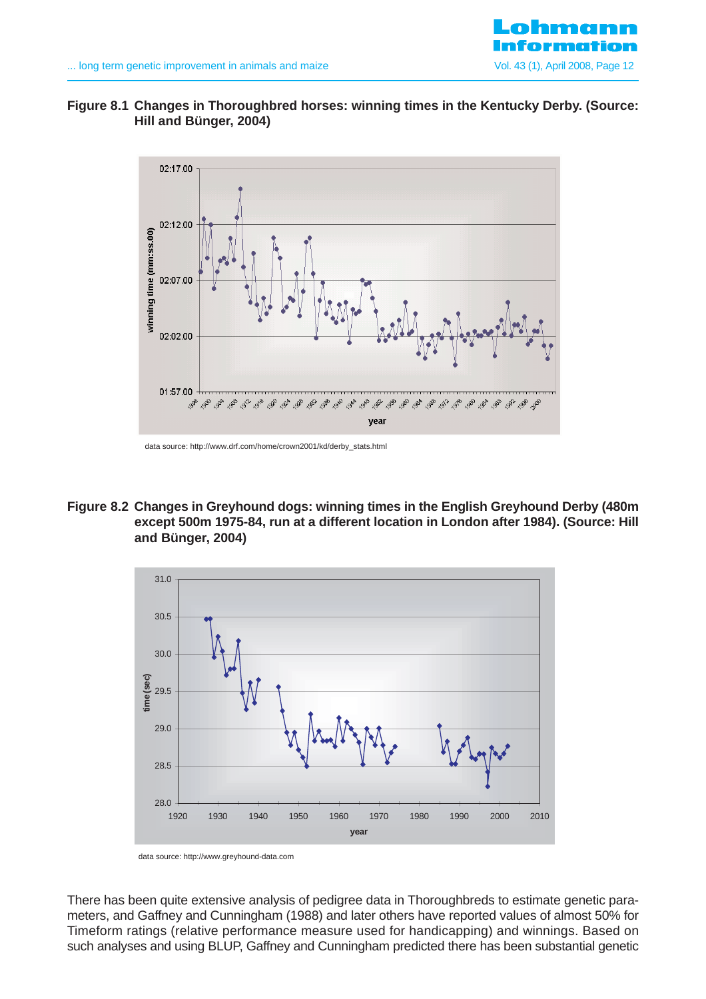

# **Figure 8.1 Changes in Thoroughbred horses: winning times in the Kentucky Derby. (Source: Hill and Bünger, 2004)**



data source: http://www.drf.com/home/crown2001/kd/derby\_stats.html

**Figure 8.2 Changes in Greyhound dogs: winning times in the English Greyhound Derby (480m except 500m 1975-84, run at a different location in London after 1984). (Source: Hill and Bünger, 2004)**



data source: http://www.greyhound-data.com

There has been quite extensive analysis of pedigree data in Thoroughbreds to estimate genetic parameters, and Gaffney and Cunningham (1988) and later others have reported values of almost 50% for Timeform ratings (relative performance measure used for handicapping) and winnings. Based on such analyses and using BLUP, Gaffney and Cunningham predicted there has been substantial genetic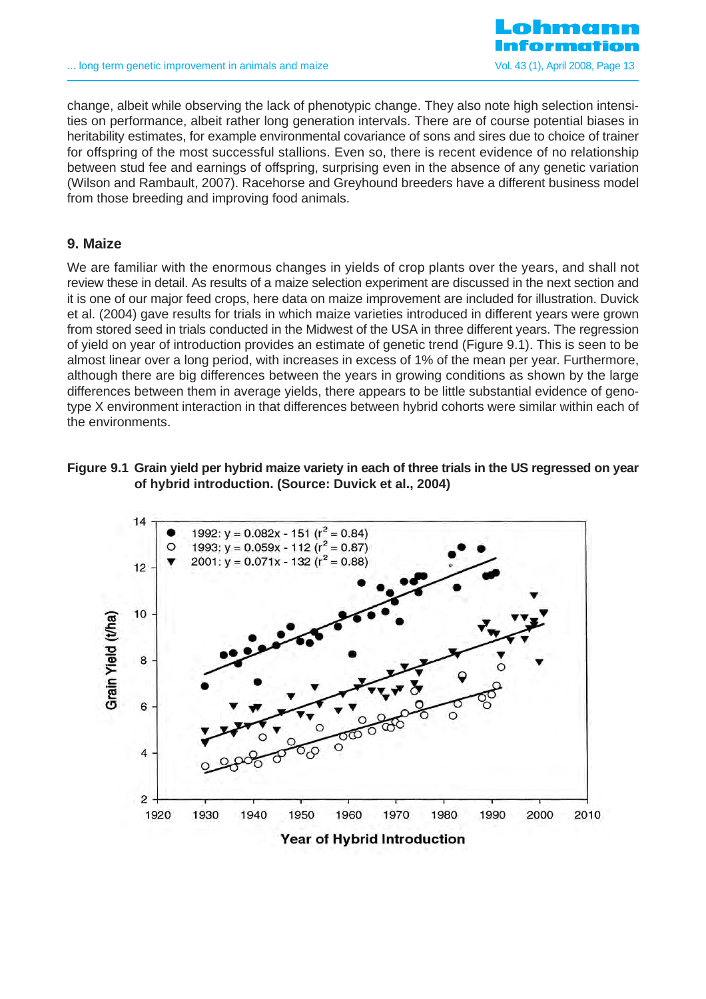

change, albeit while observing the lack of phenotypic change. They also note high selection intensities on performance, albeit rather long generation intervals. There are of course potential biases in heritability estimates, for example environmental covariance of sons and sires due to choice of trainer for offspring of the most successful stallions. Even so, there is recent evidence of no relationship between stud fee and earnings of offspring, surprising even in the absence of any genetic variation (Wilson and Rambault, 2007). Racehorse and Greyhound breeders have a different business model from those breeding and improving food animals.

### **9. Maize**

We are familiar with the enormous changes in yields of crop plants over the years, and shall not review these in detail. As results of a maize selection experiment are discussed in the next section and it is one of our major feed crops, here data on maize improvement are included for illustration. Duvick et al. (2004) gave results for trials in which maize varieties introduced in different years were grown from stored seed in trials conducted in the Midwest of the USA in three different years. The regression of yield on year of introduction provides an estimate of genetic trend (Figure 9.1). This is seen to be almost linear over a long period, with increases in excess of 1% of the mean per year. Furthermore, although there are big differences between the years in growing conditions as shown by the large differences between them in average yields, there appears to be little substantial evidence of genotype X environment interaction in that differences between hybrid cohorts were similar within each of the environments.

### **Figure 9.1 Grain yield per hybrid maize variety in each of three trials in the US regressed on year of hybrid introduction. (Source: Duvick et al., 2004)**



#### **Year of Hybrid Introduction**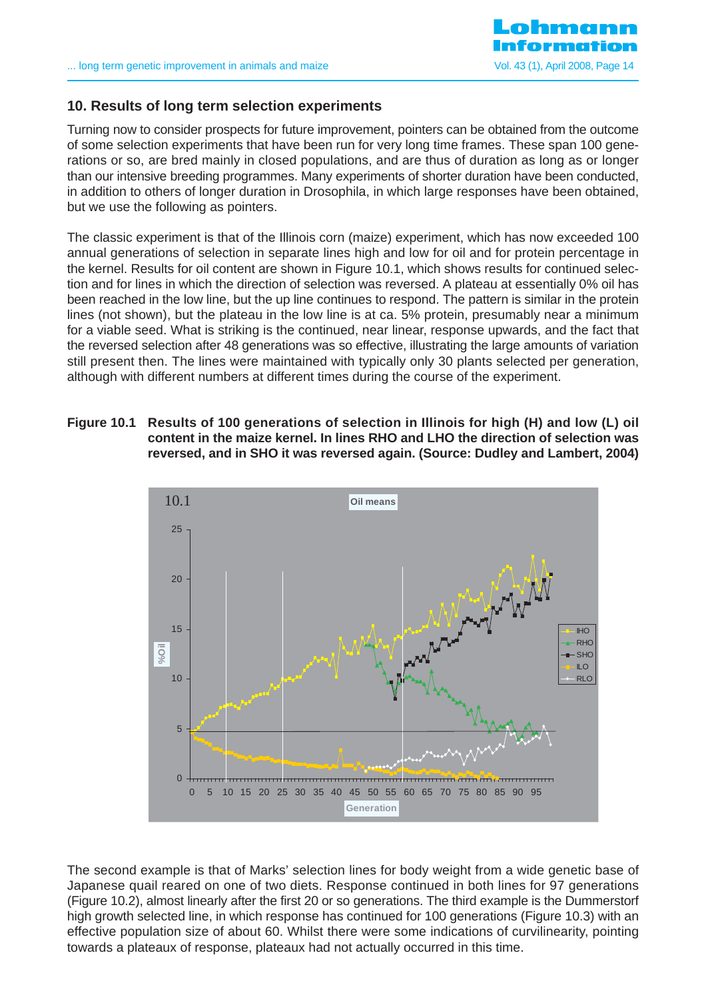

# **10. Results of long term selection experiments**

Turning now to consider prospects for future improvement, pointers can be obtained from the outcome of some selection experiments that have been run for very long time frames. These span 100 generations or so, are bred mainly in closed populations, and are thus of duration as long as or longer than our intensive breeding programmes. Many experiments of shorter duration have been conducted, in addition to others of longer duration in Drosophila, in which large responses have been obtained, but we use the following as pointers.

The classic experiment is that of the Illinois corn (maize) experiment, which has now exceeded 100 annual generations of selection in separate lines high and low for oil and for protein percentage in the kernel. Results for oil content are shown in Figure 10.1, which shows results for continued selection and for lines in which the direction of selection was reversed. A plateau at essentially 0% oil has been reached in the low line, but the up line continues to respond. The pattern is similar in the protein lines (not shown), but the plateau in the low line is at ca. 5% protein, presumably near a minimum for a viable seed. What is striking is the continued, near linear, response upwards, and the fact that the reversed selection after 48 generations was so effective, illustrating the large amounts of variation still present then. The lines were maintained with typically only 30 plants selected per generation, although with different numbers at different times during the course of the experiment.

**Figure 10.1 Results of 100 generations of selection in Illinois for high (H) and low (L) oil content in the maize kernel. In lines RHO and LHO the direction of selection was reversed, and in SHO it was reversed again. (Source: Dudley and Lambert, 2004)**



The second example is that of Marks' selection lines for body weight from a wide genetic base of Japanese quail reared on one of two diets. Response continued in both lines for 97 generations (Figure 10.2), almost linearly after the first 20 or so generations. The third example is the Dummerstorf high growth selected line, in which response has continued for 100 generations (Figure 10.3) with an effective population size of about 60. Whilst there were some indications of curvilinearity, pointing towards a plateaux of response, plateaux had not actually occurred in this time.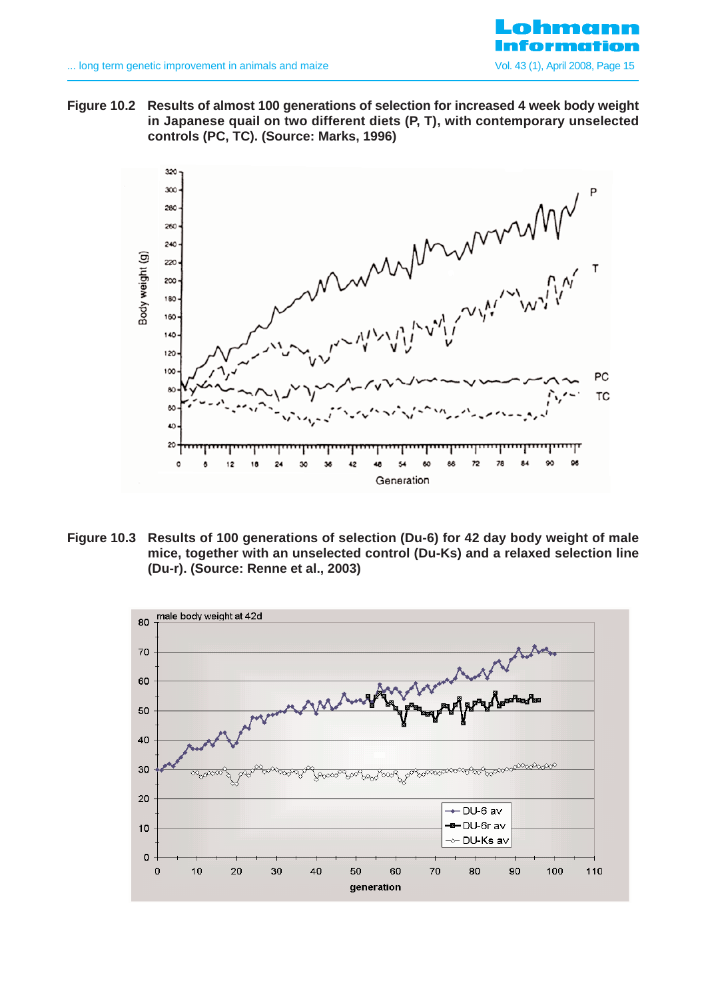

**Figure 10.2 Results of almost 100 generations of selection for increased 4 week body weight in Japanese quail on two different diets (P, T), with contemporary unselected controls (PC, TC). (Source: Marks, 1996)**



**Figure 10.3 Results of 100 generations of selection (Du-6) for 42 day body weight of male mice, together with an unselected control (Du-Ks) and a relaxed selection line (Du-r). (Source: Renne et al., 2003)**

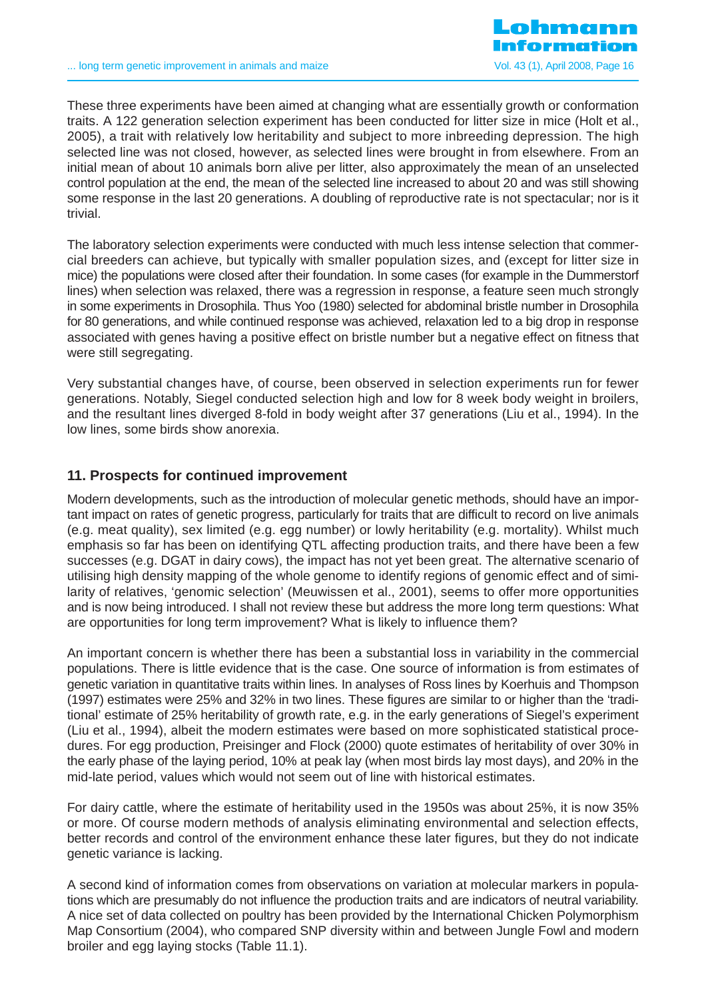These three experiments have been aimed at changing what are essentially growth or conformation traits. A 122 generation selection experiment has been conducted for litter size in mice (Holt et al., 2005), a trait with relatively low heritability and subject to more inbreeding depression. The high selected line was not closed, however, as selected lines were brought in from elsewhere. From an initial mean of about 10 animals born alive per litter, also approximately the mean of an unselected control population at the end, the mean of the selected line increased to about 20 and was still showing some response in the last 20 generations. A doubling of reproductive rate is not spectacular; nor is it trivial.

The laboratory selection experiments were conducted with much less intense selection that commercial breeders can achieve, but typically with smaller population sizes, and (except for litter size in mice) the populations were closed after their foundation. In some cases (for example in the Dummerstorf lines) when selection was relaxed, there was a regression in response, a feature seen much strongly in some experiments in Drosophila. Thus Yoo (1980) selected for abdominal bristle number in Drosophila for 80 generations, and while continued response was achieved, relaxation led to a big drop in response associated with genes having a positive effect on bristle number but a negative effect on fitness that were still segregating.

Very substantial changes have, of course, been observed in selection experiments run for fewer generations. Notably, Siegel conducted selection high and low for 8 week body weight in broilers, and the resultant lines diverged 8-fold in body weight after 37 generations (Liu et al., 1994). In the low lines, some birds show anorexia.

# **11. Prospects for continued improvement**

Modern developments, such as the introduction of molecular genetic methods, should have an important impact on rates of genetic progress, particularly for traits that are difficult to record on live animals (e.g. meat quality), sex limited (e.g. egg number) or lowly heritability (e.g. mortality). Whilst much emphasis so far has been on identifying QTL affecting production traits, and there have been a few successes (e.g. DGAT in dairy cows), the impact has not yet been great. The alternative scenario of utilising high density mapping of the whole genome to identify regions of genomic effect and of similarity of relatives, 'genomic selection' (Meuwissen et al., 2001), seems to offer more opportunities and is now being introduced. I shall not review these but address the more long term questions: What are opportunities for long term improvement? What is likely to influence them?

An important concern is whether there has been a substantial loss in variability in the commercial populations. There is little evidence that is the case. One source of information is from estimates of genetic variation in quantitative traits within lines. In analyses of Ross lines by Koerhuis and Thompson (1997) estimates were 25% and 32% in two lines. These figures are similar to or higher than the 'traditional' estimate of 25% heritability of growth rate, e.g. in the early generations of Siegel's experiment (Liu et al., 1994), albeit the modern estimates were based on more sophisticated statistical procedures. For egg production, Preisinger and Flock (2000) quote estimates of heritability of over 30% in the early phase of the laying period, 10% at peak lay (when most birds lay most days), and 20% in the mid-late period, values which would not seem out of line with historical estimates.

For dairy cattle, where the estimate of heritability used in the 1950s was about 25%, it is now 35% or more. Of course modern methods of analysis eliminating environmental and selection effects, better records and control of the environment enhance these later figures, but they do not indicate genetic variance is lacking.

A second kind of information comes from observations on variation at molecular markers in populations which are presumably do not influence the production traits and are indicators of neutral variability. A nice set of data collected on poultry has been provided by the International Chicken Polymorphism Map Consortium (2004), who compared SNP diversity within and between Jungle Fowl and modern broiler and egg laying stocks (Table 11.1).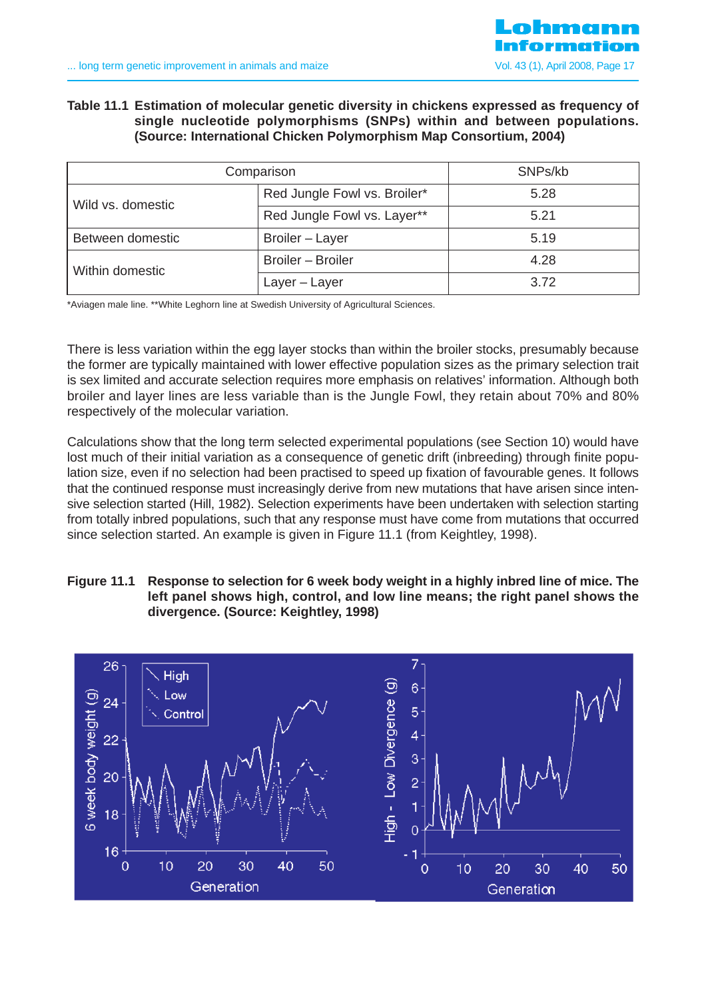### **Table 11.1 Estimation of molecular genetic diversity in chickens expressed as frequency of single nucleotide polymorphisms (SNPs) within and between populations. (Source: International Chicken Polymorphism Map Consortium, 2004)**

| Comparison        | SNPs/kb                      |      |
|-------------------|------------------------------|------|
| Wild vs. domestic | Red Jungle Fowl vs. Broiler* | 5.28 |
|                   | Red Jungle Fowl vs. Layer**  | 5.21 |
| Between domestic  | Broiler - Layer              | 5.19 |
| Within domestic   | Broiler - Broiler            | 4.28 |
|                   | Layer - Layer                | 3.72 |

\*Aviagen male line. \*\*White Leghorn line at Swedish University of Agricultural Sciences.

There is less variation within the egg layer stocks than within the broiler stocks, presumably because the former are typically maintained with lower effective population sizes as the primary selection trait is sex limited and accurate selection requires more emphasis on relatives' information. Although both broiler and layer lines are less variable than is the Jungle Fowl, they retain about 70% and 80% respectively of the molecular variation.

Calculations show that the long term selected experimental populations (see Section 10) would have lost much of their initial variation as a consequence of genetic drift (inbreeding) through finite population size, even if no selection had been practised to speed up fixation of favourable genes. It follows that the continued response must increasingly derive from new mutations that have arisen since intensive selection started (Hill, 1982). Selection experiments have been undertaken with selection starting from totally inbred populations, such that any response must have come from mutations that occurred since selection started. An example is given in Figure 11.1 (from Keightley, 1998).

### **Figure 11.1 Response to selection for 6 week body weight in a highly inbred line of mice. The left panel shows high, control, and low line means; the right panel shows the divergence. (Source: Keightley, 1998)**

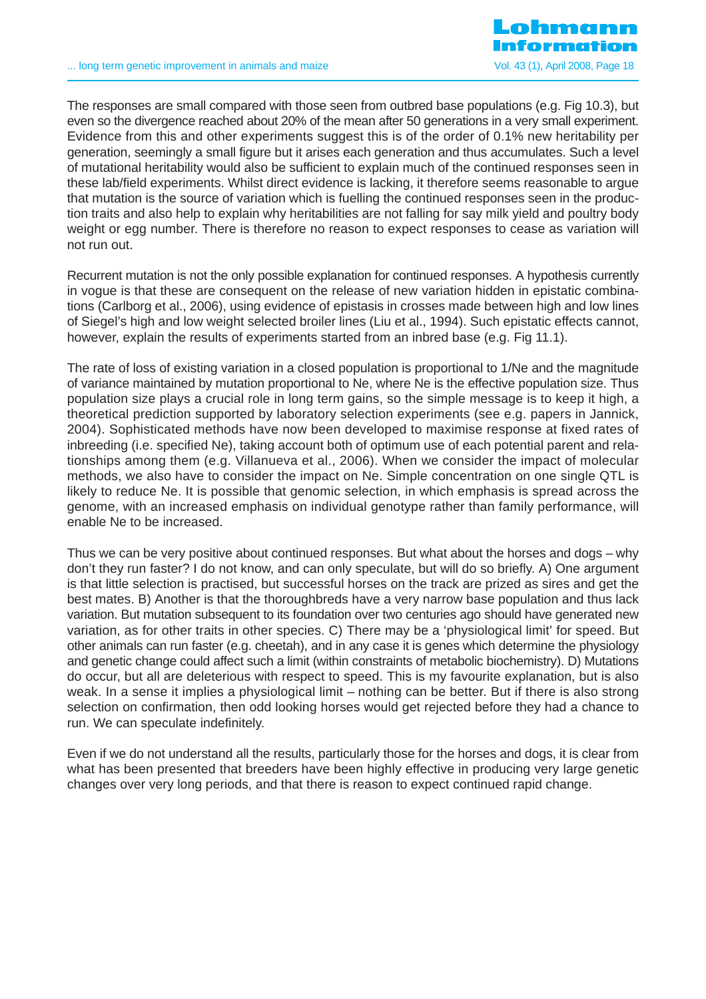The responses are small compared with those seen from outbred base populations (e.g. Fig 10.3), but even so the divergence reached about 20% of the mean after 50 generations in a very small experiment. Evidence from this and other experiments suggest this is of the order of 0.1% new heritability per generation, seemingly a small figure but it arises each generation and thus accumulates. Such a level of mutational heritability would also be sufficient to explain much of the continued responses seen in these lab/field experiments. Whilst direct evidence is lacking, it therefore seems reasonable to argue that mutation is the source of variation which is fuelling the continued responses seen in the production traits and also help to explain why heritabilities are not falling for say milk yield and poultry body weight or egg number. There is therefore no reason to expect responses to cease as variation will not run out.

Recurrent mutation is not the only possible explanation for continued responses. A hypothesis currently in vogue is that these are consequent on the release of new variation hidden in epistatic combinations (Carlborg et al., 2006), using evidence of epistasis in crosses made between high and low lines of Siegel's high and low weight selected broiler lines (Liu et al., 1994). Such epistatic effects cannot, however, explain the results of experiments started from an inbred base (e.g. Fig 11.1).

The rate of loss of existing variation in a closed population is proportional to 1/Ne and the magnitude of variance maintained by mutation proportional to Ne, where Ne is the effective population size. Thus population size plays a crucial role in long term gains, so the simple message is to keep it high, a theoretical prediction supported by laboratory selection experiments (see e.g. papers in Jannick, 2004). Sophisticated methods have now been developed to maximise response at fixed rates of inbreeding (i.e. specified Ne), taking account both of optimum use of each potential parent and relationships among them (e.g. Villanueva et al., 2006). When we consider the impact of molecular methods, we also have to consider the impact on Ne. Simple concentration on one single QTL is likely to reduce Ne. It is possible that genomic selection, in which emphasis is spread across the genome, with an increased emphasis on individual genotype rather than family performance, will enable Ne to be increased.

Thus we can be very positive about continued responses. But what about the horses and dogs – why don't they run faster? I do not know, and can only speculate, but will do so briefly. A) One argument is that little selection is practised, but successful horses on the track are prized as sires and get the best mates. B) Another is that the thoroughbreds have a very narrow base population and thus lack variation. But mutation subsequent to its foundation over two centuries ago should have generated new variation, as for other traits in other species. C) There may be a 'physiological limit' for speed. But other animals can run faster (e.g. cheetah), and in any case it is genes which determine the physiology and genetic change could affect such a limit (within constraints of metabolic biochemistry). D) Mutations do occur, but all are deleterious with respect to speed. This is my favourite explanation, but is also weak. In a sense it implies a physiological limit – nothing can be better. But if there is also strong selection on confirmation, then odd looking horses would get rejected before they had a chance to run. We can speculate indefinitely.

Even if we do not understand all the results, particularly those for the horses and dogs, it is clear from what has been presented that breeders have been highly effective in producing very large genetic changes over very long periods, and that there is reason to expect continued rapid change.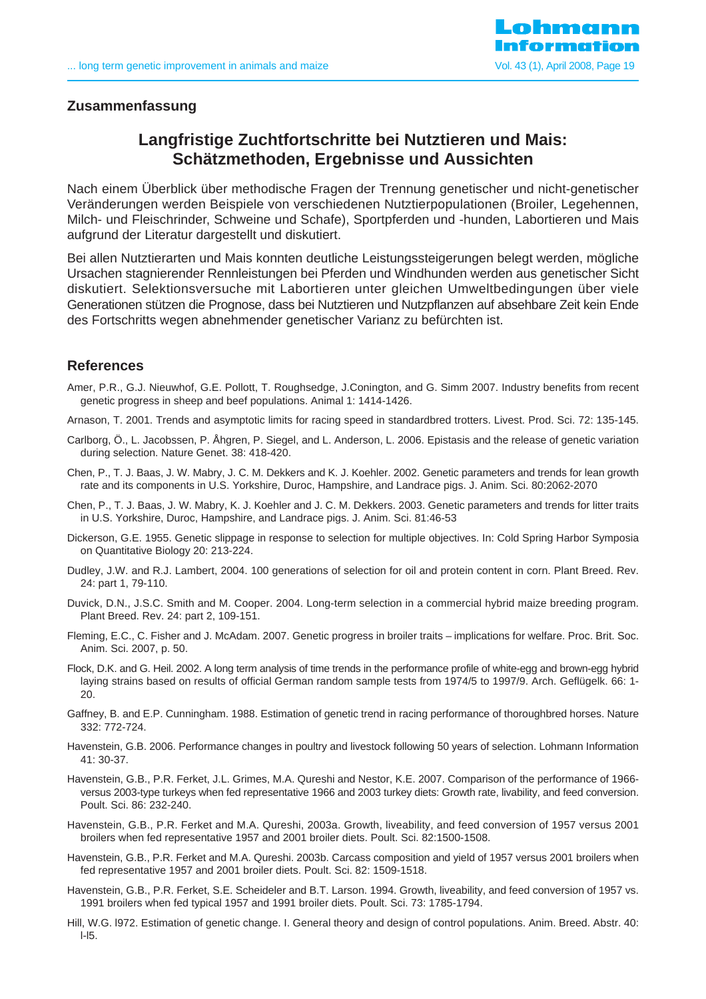

#### **Zusammenfassung**

# **Langfristige Zuchtfortschritte bei Nutztieren und Mais: Schätzmethoden, Ergebnisse und Aussichten**

Nach einem Überblick über methodische Fragen der Trennung genetischer und nicht-genetischer Veränderungen werden Beispiele von verschiedenen Nutztierpopulationen (Broiler, Legehennen, Milch- und Fleischrinder, Schweine und Schafe), Sportpferden und -hunden, Labortieren und Mais aufgrund der Literatur dargestellt und diskutiert.

Bei allen Nutztierarten und Mais konnten deutliche Leistungssteigerungen belegt werden, mögliche Ursachen stagnierender Rennleistungen bei Pferden und Windhunden werden aus genetischer Sicht diskutiert. Selektionsversuche mit Labortieren unter gleichen Umweltbedingungen über viele Generationen stützen die Prognose, dass bei Nutztieren und Nutzpflanzen auf absehbare Zeit kein Ende des Fortschritts wegen abnehmender genetischer Varianz zu befürchten ist.

#### **References**

- Amer, P.R., G.J. Nieuwhof, G.E. Pollott, T. Roughsedge, J.Conington, and G. Simm 2007. Industry benefits from recent genetic progress in sheep and beef populations. Animal 1: 1414-1426.
- Arnason, T. 2001. Trends and asymptotic limits for racing speed in standardbred trotters. Livest. Prod. Sci. 72: 135-145.
- Carlborg, Ö., L. Jacobssen, P. Åhgren, P. Siegel, and L. Anderson, L. 2006. Epistasis and the release of genetic variation during selection. Nature Genet. 38: 418-420.
- Chen, P., T. J. Baas, J. W. Mabry, J. C. M. Dekkers and K. J. Koehler. 2002. Genetic parameters and trends for lean growth rate and its components in U.S. Yorkshire, Duroc, Hampshire, and Landrace pigs. J. Anim. Sci. 80:2062-2070
- Chen, P., T. J. Baas, J. W. Mabry, K. J. Koehler and J. C. M. Dekkers. 2003. Genetic parameters and trends for litter traits in U.S. Yorkshire, Duroc, Hampshire, and Landrace pigs. J. Anim. Sci. 81:46-53
- Dickerson, G.E. 1955. Genetic slippage in response to selection for multiple objectives. In: Cold Spring Harbor Symposia on Quantitative Biology 20: 213-224.
- Dudley, J.W. and R.J. Lambert, 2004. 100 generations of selection for oil and protein content in corn. Plant Breed. Rev. 24: part 1, 79-110.
- Duvick, D.N., J.S.C. Smith and M. Cooper. 2004. Long-term selection in a commercial hybrid maize breeding program. Plant Breed. Rev. 24: part 2, 109-151.
- Fleming, E.C., C. Fisher and J. McAdam. 2007. Genetic progress in broiler traits implications for welfare. Proc. Brit. Soc. Anim. Sci. 2007, p. 50.
- Flock, D.K. and G. Heil. 2002. A long term analysis of time trends in the performance profile of white-egg and brown-egg hybrid laying strains based on results of official German random sample tests from 1974/5 to 1997/9. Arch. Geflügelk. 66: 1- 20.
- Gaffney, B. and E.P. Cunningham. 1988. Estimation of genetic trend in racing performance of thoroughbred horses. Nature 332: 772-724.
- Havenstein, G.B. 2006. Performance changes in poultry and livestock following 50 years of selection. Lohmann Information 41: 30-37.
- Havenstein, G.B., P.R. Ferket, J.L. Grimes, M.A. Qureshi and Nestor, K.E. 2007. Comparison of the performance of 1966 versus 2003-type turkeys when fed representative 1966 and 2003 turkey diets: Growth rate, livability, and feed conversion. Poult. Sci. 86: 232-240.
- Havenstein, G.B., P.R. Ferket and M.A. Qureshi, 2003a. Growth, liveability, and feed conversion of 1957 versus 2001 broilers when fed representative 1957 and 2001 broiler diets. Poult. Sci. 82:1500-1508.
- Havenstein, G.B., P.R. Ferket and M.A. Qureshi. 2003b. Carcass composition and yield of 1957 versus 2001 broilers when fed representative 1957 and 2001 broiler diets. Poult. Sci. 82: 1509-1518.
- Havenstein, G.B., P.R. Ferket, S.E. Scheideler and B.T. Larson. 1994. Growth, liveability, and feed conversion of 1957 vs. 1991 broilers when fed typical 1957 and 1991 broiler diets. Poult. Sci. 73: 1785-1794.
- Hill, W.G. l972. Estimation of genetic change. I. General theory and design of control populations. Anim. Breed. Abstr. 40: l-l5.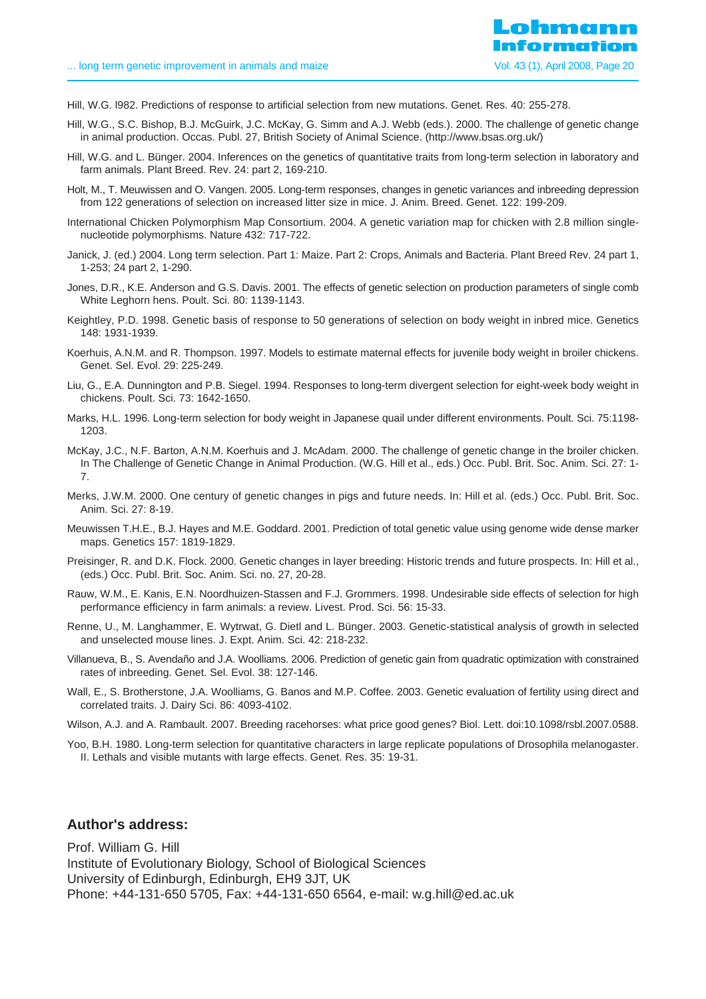- Hill, W.G. l982. Predictions of response to artificial selection from new mutations. Genet. Res. 40: 255-278.
- Hill, W.G., S.C. Bishop, B.J. McGuirk, J.C. McKay, G. Simm and A.J. Webb (eds.). 2000. The challenge of genetic change in animal production. Occas. Publ. 27, British Society of Animal Science. (http://www.bsas.org.uk/)
- Hill, W.G. and L. Bünger. 2004. Inferences on the genetics of quantitative traits from long-term selection in laboratory and farm animals. Plant Breed. Rev. 24: part 2, 169-210.
- Holt, M., T. Meuwissen and O. Vangen. 2005. Long-term responses, changes in genetic variances and inbreeding depression from 122 generations of selection on increased litter size in mice. J. Anim. Breed. Genet. 122: 199-209.
- International Chicken Polymorphism Map Consortium. 2004. A genetic variation map for chicken with 2.8 million singlenucleotide polymorphisms. Nature 432: 717-722.
- Janick, J. (ed.) 2004. Long term selection. Part 1: Maize. Part 2: Crops, Animals and Bacteria. Plant Breed Rev. 24 part 1, 1-253; 24 part 2, 1-290.
- Jones, D.R., K.E. Anderson and G.S. Davis. 2001. The effects of genetic selection on production parameters of single comb White Leghorn hens. Poult. Sci. 80: 1139-1143.
- Keightley, P.D. 1998. Genetic basis of response to 50 generations of selection on body weight in inbred mice. Genetics 148: 1931-1939.
- Koerhuis, A.N.M. and R. Thompson. 1997. Models to estimate maternal effects for juvenile body weight in broiler chickens. Genet. Sel. Evol. 29: 225-249.
- Liu, G., E.A. Dunnington and P.B. Siegel. 1994. Responses to long-term divergent selection for eight-week body weight in chickens. Poult. Sci. 73: 1642-1650.
- Marks, H.L. 1996. Long-term selection for body weight in Japanese quail under different environments. Poult. Sci. 75:1198- 1203.
- McKay, J.C., N.F. Barton, A.N.M. Koerhuis and J. McAdam. 2000. The challenge of genetic change in the broiler chicken. In The Challenge of Genetic Change in Animal Production. (W.G. Hill et al., eds.) Occ. Publ. Brit. Soc. Anim. Sci. 27: 1- 7.
- Merks, J.W.M. 2000. One century of genetic changes in pigs and future needs. In: Hill et al. (eds.) Occ. Publ. Brit. Soc. Anim. Sci. 27: 8-19.
- Meuwissen T.H.E., B.J. Hayes and M.E. Goddard. 2001. Prediction of total genetic value using genome wide dense marker maps. Genetics 157: 1819-1829.
- Preisinger, R. and D.K. Flock. 2000. Genetic changes in layer breeding: Historic trends and future prospects. In: Hill et al., (eds.) Occ. Publ. Brit. Soc. Anim. Sci. no. 27, 20-28.
- Rauw, W.M., E. Kanis, E.N. Noordhuizen-Stassen and F.J. Grommers. 1998. Undesirable side effects of selection for high performance efficiency in farm animals: a review. Livest. Prod. Sci. 56: 15-33.
- Renne, U., M. Langhammer, E. Wytrwat, G. Dietl and L. Bünger. 2003. Genetic-statistical analysis of growth in selected and unselected mouse lines. J. Expt. Anim. Sci. 42: 218-232.
- Villanueva, B., S. Avendaño and J.A. Woolliams. 2006. Prediction of genetic gain from quadratic optimization with constrained rates of inbreeding. Genet. Sel. Evol. 38: 127-146.
- Wall, E., S. Brotherstone, J.A. Woolliams, G. Banos and M.P. Coffee. 2003. Genetic evaluation of fertility using direct and correlated traits. J. Dairy Sci. 86: 4093-4102.
- Wilson, A.J. and A. Rambault. 2007. Breeding racehorses: what price good genes? Biol. Lett. doi:10.1098/rsbl.2007.0588.
- Yoo, B.H. 1980. Long-term selection for quantitative characters in large replicate populations of Drosophila melanogaster. II. Lethals and visible mutants with large effects. Genet. Res. 35: 19-31.

#### **Author's address:**

Prof. William G. Hill Institute of Evolutionary Biology, School of Biological Sciences University of Edinburgh, Edinburgh, EH9 3JT, UK Phone: +44-131-650 5705, Fax: +44-131-650 6564, e-mail: w.g.hill@ed.ac.uk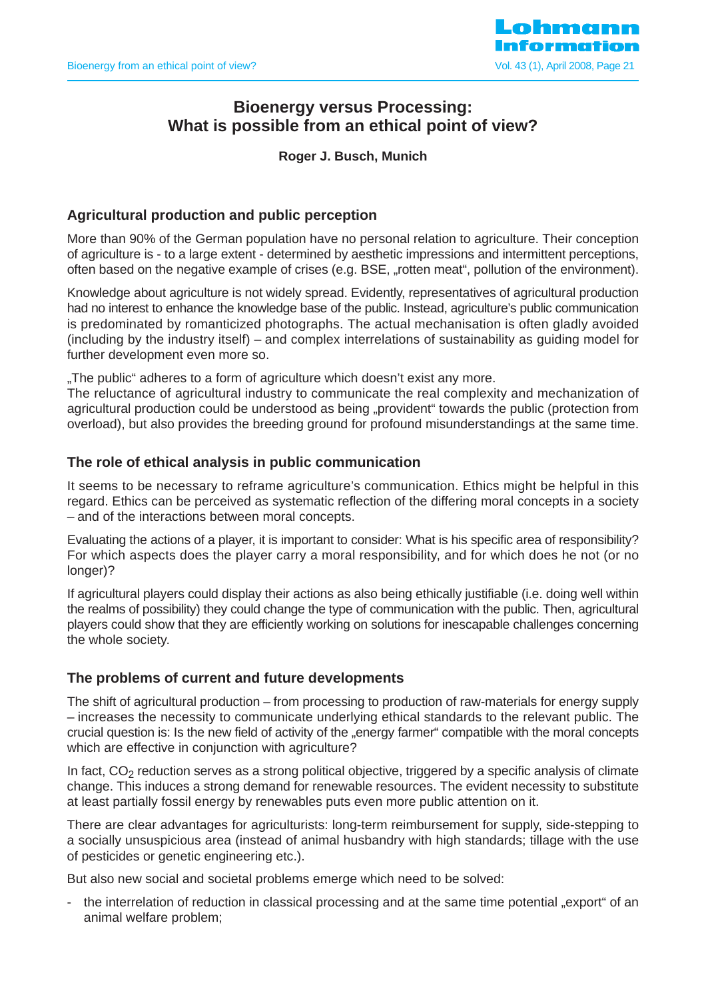

# **Bioenergy versus Processing: What is possible from an ethical point of view?**

**Roger J. Busch, Munich**

# **Agricultural production and public perception**

More than 90% of the German population have no personal relation to agriculture. Their conception of agriculture is - to a large extent - determined by aesthetic impressions and intermittent perceptions, often based on the negative example of crises (e.g. BSE, "rotten meat", pollution of the environment).

Knowledge about agriculture is not widely spread. Evidently, representatives of agricultural production had no interest to enhance the knowledge base of the public. Instead, agriculture's public communication is predominated by romanticized photographs. The actual mechanisation is often gladly avoided (including by the industry itself) – and complex interrelations of sustainability as guiding model for further development even more so.

"The public" adheres to a form of agriculture which doesn't exist any more.

The reluctance of agricultural industry to communicate the real complexity and mechanization of agricultural production could be understood as being "provident" towards the public (protection from overload), but also provides the breeding ground for profound misunderstandings at the same time.

# **The role of ethical analysis in public communication**

It seems to be necessary to reframe agriculture's communication. Ethics might be helpful in this regard. Ethics can be perceived as systematic reflection of the differing moral concepts in a society – and of the interactions between moral concepts.

Evaluating the actions of a player, it is important to consider: What is his specific area of responsibility? For which aspects does the player carry a moral responsibility, and for which does he not (or no longer)?

If agricultural players could display their actions as also being ethically justifiable (i.e. doing well within the realms of possibility) they could change the type of communication with the public. Then, agricultural players could show that they are efficiently working on solutions for inescapable challenges concerning the whole society.

### **The problems of current and future developments**

The shift of agricultural production – from processing to production of raw-materials for energy supply – increases the necessity to communicate underlying ethical standards to the relevant public. The crucial question is: Is the new field of activity of the "energy farmer" compatible with the moral concepts which are effective in conjunction with agriculture?

In fact,  $CO<sub>2</sub>$  reduction serves as a strong political objective, triggered by a specific analysis of climate change. This induces a strong demand for renewable resources. The evident necessity to substitute at least partially fossil energy by renewables puts even more public attention on it.

There are clear advantages for agriculturists: long-term reimbursement for supply, side-stepping to a socially unsuspicious area (instead of animal husbandry with high standards; tillage with the use of pesticides or genetic engineering etc.).

But also new social and societal problems emerge which need to be solved:

the interrelation of reduction in classical processing and at the same time potential "export" of an animal welfare problem;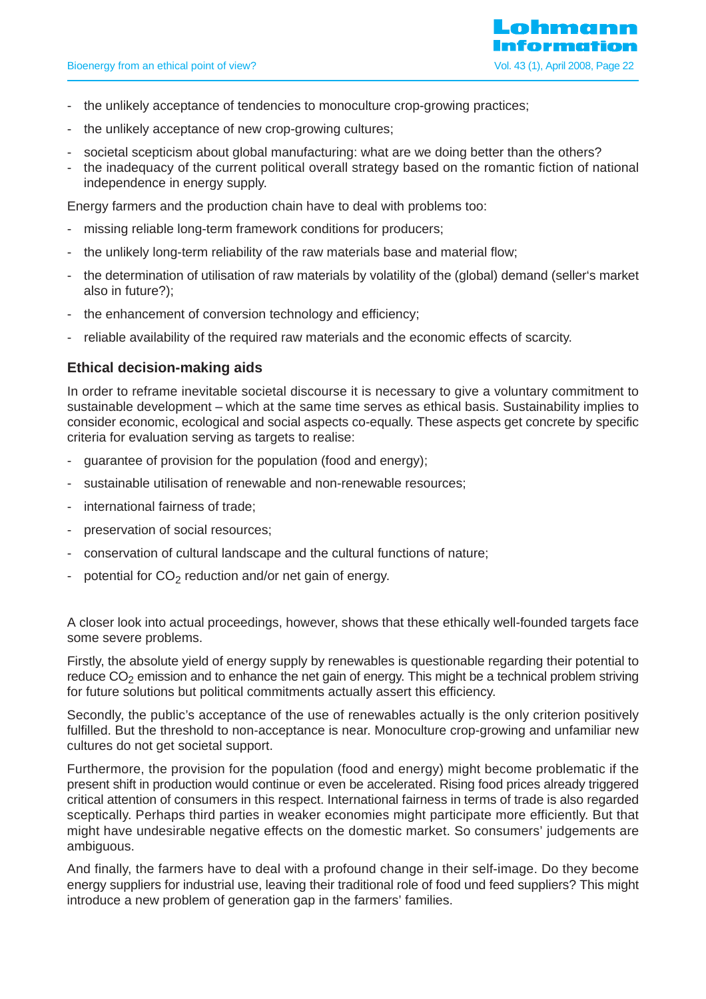

- the unlikely acceptance of tendencies to monoculture crop-growing practices;
- the unlikely acceptance of new crop-growing cultures;
- societal scepticism about global manufacturing: what are we doing better than the others?
- the inadequacy of the current political overall strategy based on the romantic fiction of national independence in energy supply.

Energy farmers and the production chain have to deal with problems too:

- missing reliable long-term framework conditions for producers;
- the unlikely long-term reliability of the raw materials base and material flow;
- the determination of utilisation of raw materials by volatility of the (global) demand (seller's market also in future?);
- the enhancement of conversion technology and efficiency;
- reliable availability of the required raw materials and the economic effects of scarcity.

# **Ethical decision-making aids**

In order to reframe inevitable societal discourse it is necessary to give a voluntary commitment to sustainable development – which at the same time serves as ethical basis. Sustainability implies to consider economic, ecological and social aspects co-equally. These aspects get concrete by specific criteria for evaluation serving as targets to realise:

- guarantee of provision for the population (food and energy);
- sustainable utilisation of renewable and non-renewable resources;
- international fairness of trade;
- preservation of social resources;
- conservation of cultural landscape and the cultural functions of nature;
- potential for  $CO<sub>2</sub>$  reduction and/or net gain of energy.

A closer look into actual proceedings, however, shows that these ethically well-founded targets face some severe problems.

Firstly, the absolute yield of energy supply by renewables is questionable regarding their potential to reduce  $CO<sub>2</sub>$  emission and to enhance the net gain of energy. This might be a technical problem striving for future solutions but political commitments actually assert this efficiency.

Secondly, the public's acceptance of the use of renewables actually is the only criterion positively fulfilled. But the threshold to non-acceptance is near. Monoculture crop-growing and unfamiliar new cultures do not get societal support.

Furthermore, the provision for the population (food and energy) might become problematic if the present shift in production would continue or even be accelerated. Rising food prices already triggered critical attention of consumers in this respect. International fairness in terms of trade is also regarded sceptically. Perhaps third parties in weaker economies might participate more efficiently. But that might have undesirable negative effects on the domestic market. So consumers' judgements are ambiguous.

And finally, the farmers have to deal with a profound change in their self-image. Do they become energy suppliers for industrial use, leaving their traditional role of food und feed suppliers? This might introduce a new problem of generation gap in the farmers' families.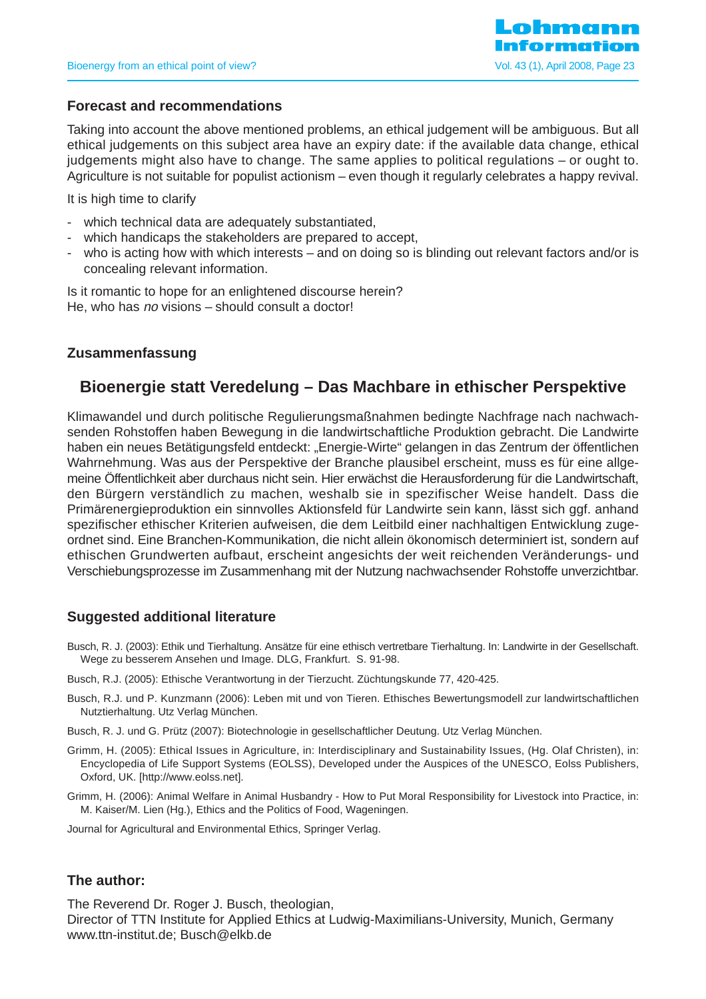### **Forecast and recommendations**

Taking into account the above mentioned problems, an ethical judgement will be ambiguous. But all ethical judgements on this subject area have an expiry date: if the available data change, ethical judgements might also have to change. The same applies to political regulations – or ought to. Agriculture is not suitable for populist actionism – even though it regularly celebrates a happy revival.

It is high time to clarify

- which technical data are adequately substantiated,
- which handicaps the stakeholders are prepared to accept,
- who is acting how with which interests and on doing so is blinding out relevant factors and/or is concealing relevant information.

Is it romantic to hope for an enlightened discourse herein? He, who has no visions – should consult a doctor!

# **Zusammenfassung**

# **Bioenergie statt Veredelung – Das Machbare in ethischer Perspektive**

Klimawandel und durch politische Regulierungsmaßnahmen bedingte Nachfrage nach nachwachsenden Rohstoffen haben Bewegung in die landwirtschaftliche Produktion gebracht. Die Landwirte haben ein neues Betätigungsfeld entdeckt: "Energie-Wirte" gelangen in das Zentrum der öffentlichen Wahrnehmung. Was aus der Perspektive der Branche plausibel erscheint, muss es für eine allgemeine Öffentlichkeit aber durchaus nicht sein. Hier erwächst die Herausforderung für die Landwirtschaft, den Bürgern verständlich zu machen, weshalb sie in spezifischer Weise handelt. Dass die Primärenergieproduktion ein sinnvolles Aktionsfeld für Landwirte sein kann, lässt sich ggf. anhand spezifischer ethischer Kriterien aufweisen, die dem Leitbild einer nachhaltigen Entwicklung zugeordnet sind. Eine Branchen-Kommunikation, die nicht allein ökonomisch determiniert ist, sondern auf ethischen Grundwerten aufbaut, erscheint angesichts der weit reichenden Veränderungs- und Verschiebungsprozesse im Zusammenhang mit der Nutzung nachwachsender Rohstoffe unverzichtbar.

# **Suggested additional literature**

- Busch, R. J. (2003): Ethik und Tierhaltung. Ansätze für eine ethisch vertretbare Tierhaltung. In: Landwirte in der Gesellschaft. Wege zu besserem Ansehen und Image. DLG, Frankfurt. S. 91-98.
- Busch, R.J. (2005): Ethische Verantwortung in der Tierzucht. Züchtungskunde 77, 420-425.
- Busch, R.J. und P. Kunzmann (2006): Leben mit und von Tieren. Ethisches Bewertungsmodell zur landwirtschaftlichen Nutztierhaltung. Utz Verlag München.
- Busch, R. J. und G. Prütz (2007): Biotechnologie in gesellschaftlicher Deutung. Utz Verlag München.
- Grimm, H. (2005): Ethical Issues in Agriculture, in: Interdisciplinary and Sustainability Issues, (Hg. Olaf Christen), in: Encyclopedia of Life Support Systems (EOLSS), Developed under the Auspices of the UNESCO, Eolss Publishers, Oxford, UK. [http://www.eolss.net].
- Grimm, H. (2006): Animal Welfare in Animal Husbandry How to Put Moral Responsibility for Livestock into Practice, in: M. Kaiser/M. Lien (Hg.), Ethics and the Politics of Food, Wageningen.

Journal for Agricultural and Environmental Ethics, Springer Verlag.

### **The author:**

The Reverend Dr. Roger J. Busch, theologian, Director of TTN Institute for Applied Ethics at Ludwig-Maximilians-University, Munich, Germany www.ttn-institut.de; Busch@elkb.de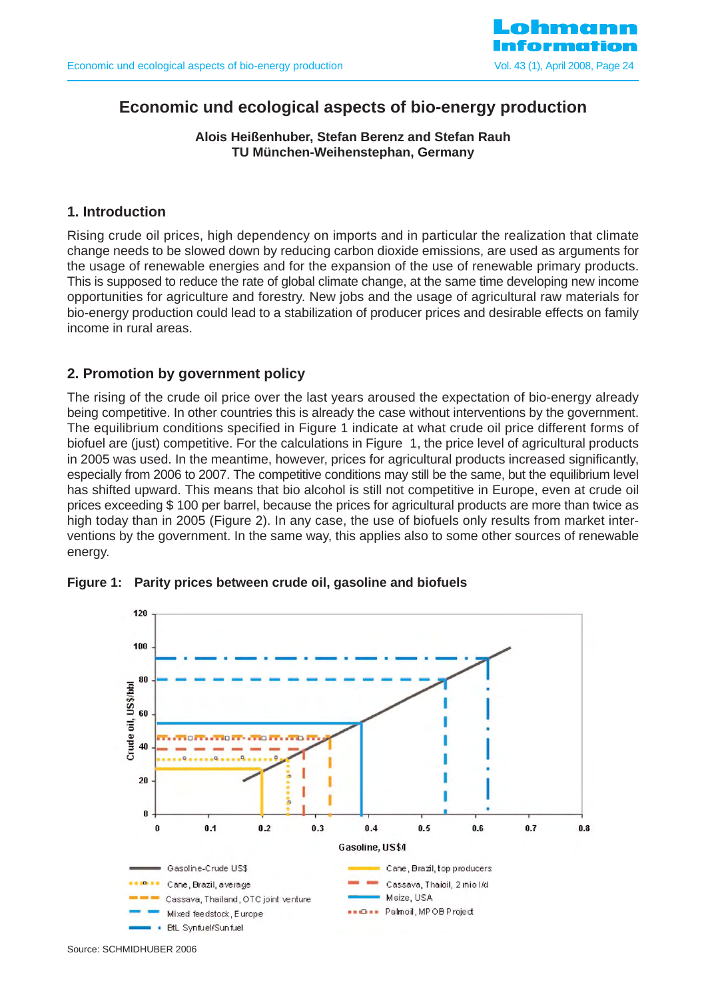

# **Economic und ecological aspects of bio-energy production**

### **Alois Heißenhuber, Stefan Berenz and Stefan Rauh TU München-Weihenstephan, Germany**

# **1. Introduction**

Rising crude oil prices, high dependency on imports and in particular the realization that climate change needs to be slowed down by reducing carbon dioxide emissions, are used as arguments for the usage of renewable energies and for the expansion of the use of renewable primary products. This is supposed to reduce the rate of global climate change, at the same time developing new income opportunities for agriculture and forestry. New jobs and the usage of agricultural raw materials for bio-energy production could lead to a stabilization of producer prices and desirable effects on family income in rural areas.

# **2. Promotion by government policy**

The rising of the crude oil price over the last years aroused the expectation of bio-energy already being competitive. In other countries this is already the case without interventions by the government. The equilibrium conditions specified in Figure 1 indicate at what crude oil price different forms of biofuel are (just) competitive. For the calculations in Figure 1, the price level of agricultural products in 2005 was used. In the meantime, however, prices for agricultural products increased significantly, especially from 2006 to 2007. The competitive conditions may still be the same, but the equilibrium level has shifted upward. This means that bio alcohol is still not competitive in Europe, even at crude oil prices exceeding \$ 100 per barrel, because the prices for agricultural products are more than twice as high today than in 2005 (Figure 2). In any case, the use of biofuels only results from market interventions by the government. In the same way, this applies also to some other sources of renewable energy.



#### **Figure 1: Parity prices between crude oil, gasoline and biofuels**

Source: SCHMIDHUBER 2006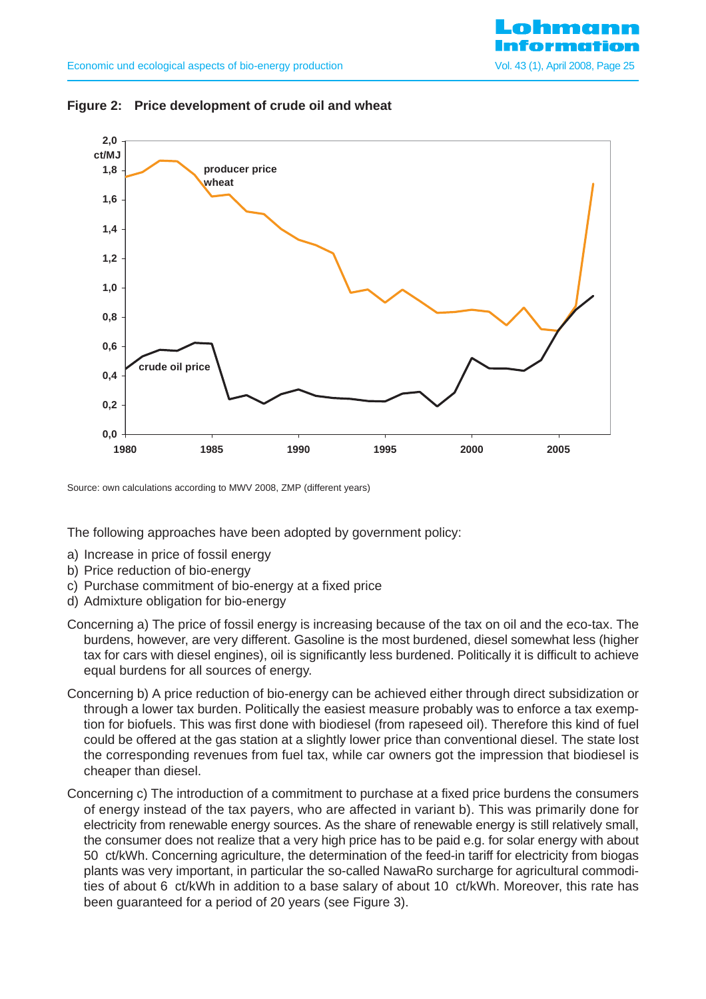



Source: own calculations according to MWV 2008, ZMP (different years)

The following approaches have been adopted by government policy:

- a) Increase in price of fossil energy
- b) Price reduction of bio-energy
- c) Purchase commitment of bio-energy at a fixed price
- d) Admixture obligation for bio-energy
- Concerning a) The price of fossil energy is increasing because of the tax on oil and the eco-tax. The burdens, however, are very different. Gasoline is the most burdened, diesel somewhat less (higher tax for cars with diesel engines), oil is significantly less burdened. Politically it is difficult to achieve equal burdens for all sources of energy.
- Concerning b) A price reduction of bio-energy can be achieved either through direct subsidization or through a lower tax burden. Politically the easiest measure probably was to enforce a tax exemption for biofuels. This was first done with biodiesel (from rapeseed oil). Therefore this kind of fuel could be offered at the gas station at a slightly lower price than conventional diesel. The state lost the corresponding revenues from fuel tax, while car owners got the impression that biodiesel is cheaper than diesel.
- Concerning c) The introduction of a commitment to purchase at a fixed price burdens the consumers of energy instead of the tax payers, who are affected in variant b). This was primarily done for electricity from renewable energy sources. As the share of renewable energy is still relatively small, the consumer does not realize that a very high price has to be paid e.g. for solar energy with about 50 ct/kWh. Concerning agriculture, the determination of the feed-in tariff for electricity from biogas plants was very important, in particular the so-called NawaRo surcharge for agricultural commodities of about 6 ct/kWh in addition to a base salary of about 10 ct/kWh. Moreover, this rate has been guaranteed for a period of 20 years (see Figure 3).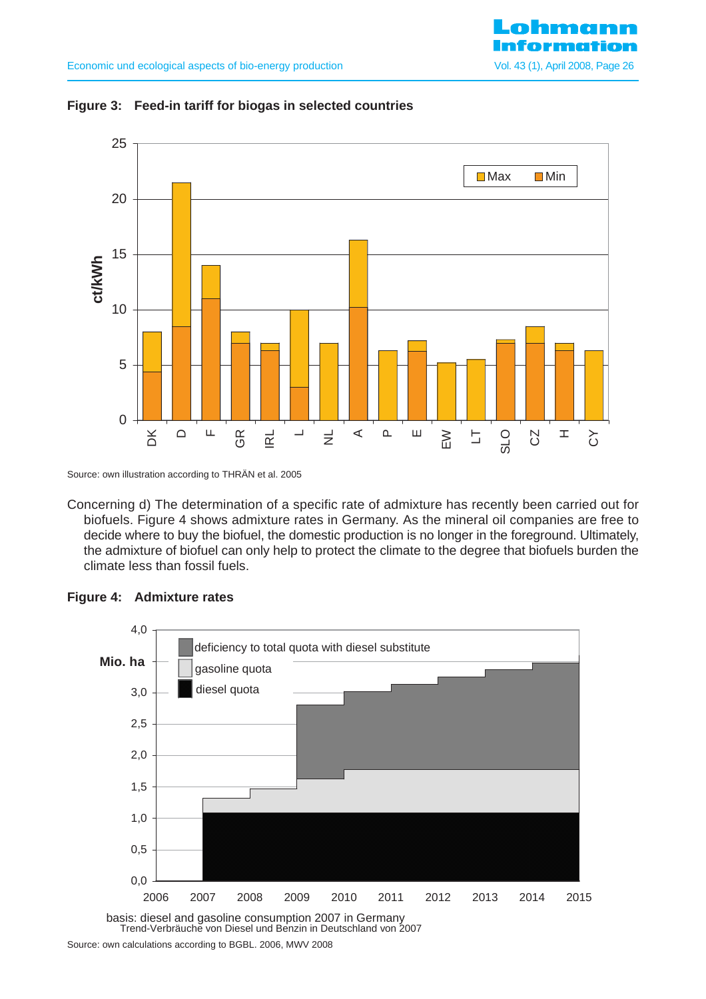



Source: own illustration according to THRÄN et al. 2005

Concerning d) The determination of a specific rate of admixture has recently been carried out for biofuels. Figure 4 shows admixture rates in Germany. As the mineral oil companies are free to decide where to buy the biofuel, the domestic production is no longer in the foreground. Ultimately, the admixture of biofuel can only help to protect the climate to the degree that biofuels burden the climate less than fossil fuels.



#### **Figure 4: Admixture rates**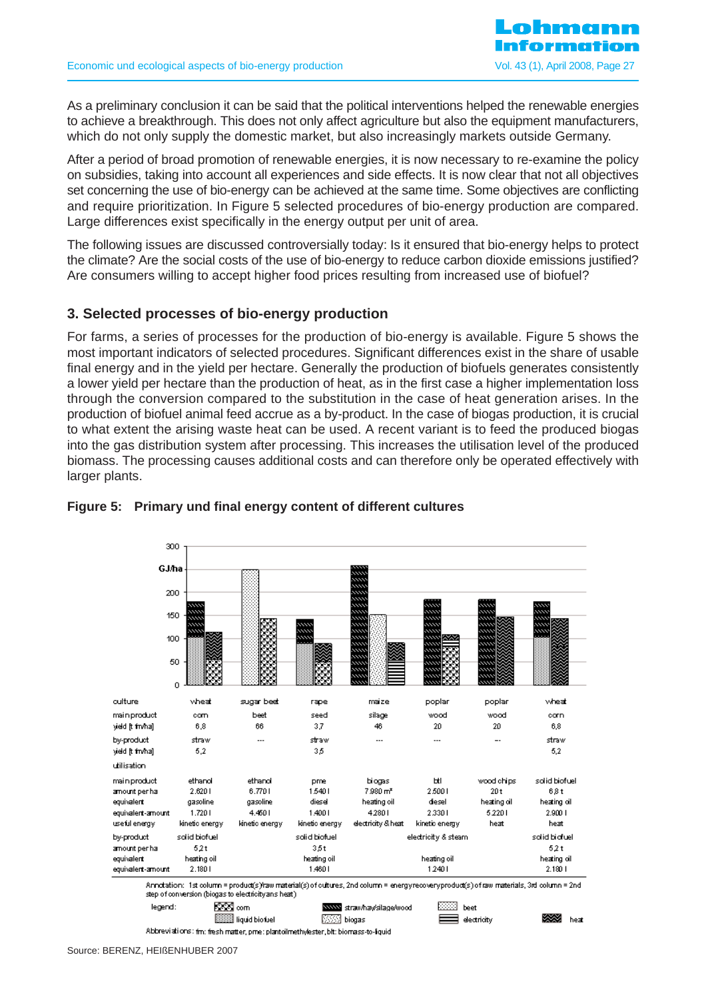As a preliminary conclusion it can be said that the political interventions helped the renewable energies to achieve a breakthrough. This does not only affect agriculture but also the equipment manufacturers, which do not only supply the domestic market, but also increasingly markets outside Germany.

After a period of broad promotion of renewable energies, it is now necessary to re-examine the policy on subsidies, taking into account all experiences and side effects. It is now clear that not all objectives set concerning the use of bio-energy can be achieved at the same time. Some objectives are conflicting and require prioritization. In Figure 5 selected procedures of bio-energy production are compared. Large differences exist specifically in the energy output per unit of area.

The following issues are discussed controversially today: Is it ensured that bio-energy helps to protect the climate? Are the social costs of the use of bio-energy to reduce carbon dioxide emissions justified? Are consumers willing to accept higher food prices resulting from increased use of biofuel?

# **3. Selected processes of bio-energy production**

For farms, a series of processes for the production of bio-energy is available. Figure 5 shows the most important indicators of selected procedures. Significant differences exist in the share of usable final energy and in the yield per hectare. Generally the production of biofuels generates consistently a lower yield per hectare than the production of heat, as in the first case a higher implementation loss through the conversion compared to the substitution in the case of heat generation arises. In the production of biofuel animal feed accrue as a by-product. In the case of biogas production, it is crucial to what extent the arising waste heat can be used. A recent variant is to feed the produced biogas into the gas distribution system after processing. This increases the utilisation level of the produced biomass. The processing causes additional costs and can therefore only be operated effectively with larger plants.



### **Figure 5: Primary und final energy content of different cultures**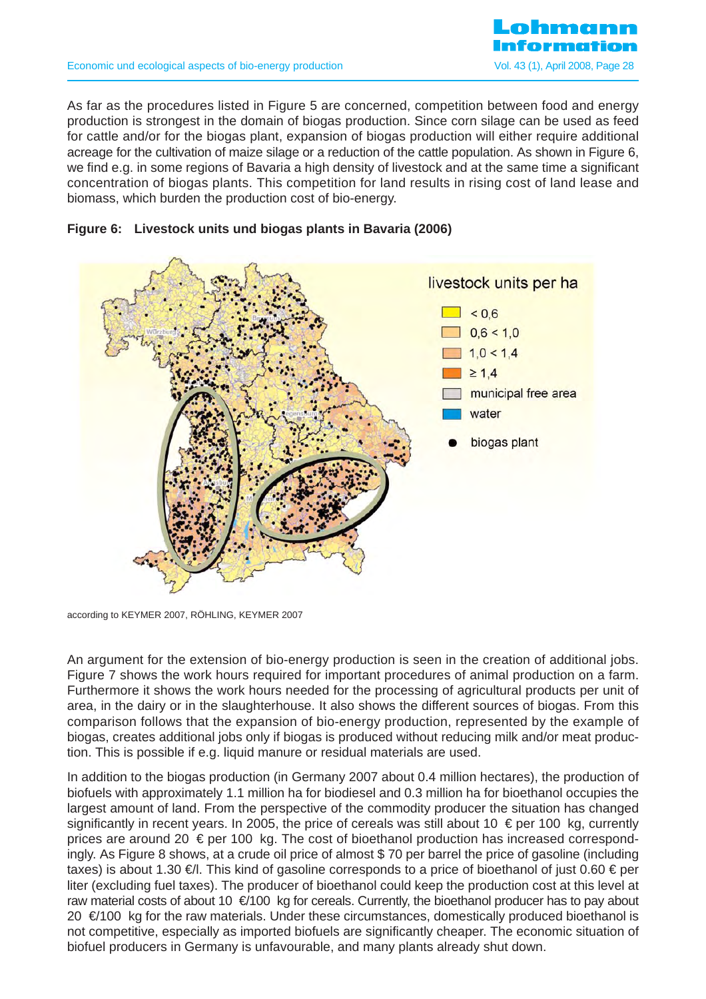

As far as the procedures listed in Figure 5 are concerned, competition between food and energy production is strongest in the domain of biogas production. Since corn silage can be used as feed for cattle and/or for the biogas plant, expansion of biogas production will either require additional acreage for the cultivation of maize silage or a reduction of the cattle population. As shown in Figure 6, we find e.g. in some regions of Bavaria a high density of livestock and at the same time a significant concentration of biogas plants. This competition for land results in rising cost of land lease and biomass, which burden the production cost of bio-energy.





according to KEYMER 2007, RÖHLING, KEYMER 2007

An argument for the extension of bio-energy production is seen in the creation of additional jobs. Figure 7 shows the work hours required for important procedures of animal production on a farm. Furthermore it shows the work hours needed for the processing of agricultural products per unit of area, in the dairy or in the slaughterhouse. It also shows the different sources of biogas. From this comparison follows that the expansion of bio-energy production, represented by the example of biogas, creates additional jobs only if biogas is produced without reducing milk and/or meat production. This is possible if e.g. liquid manure or residual materials are used.

In addition to the biogas production (in Germany 2007 about 0.4 million hectares), the production of biofuels with approximately 1.1 million ha for biodiesel and 0.3 million ha for bioethanol occupies the largest amount of land. From the perspective of the commodity producer the situation has changed significantly in recent years. In 2005, the price of cereals was still about 10  $\epsilon$  per 100 kg, currently prices are around 20  $\epsilon$  per 100 kg. The cost of bioethanol production has increased correspondingly. As Figure 8 shows, at a crude oil price of almost \$ 70 per barrel the price of gasoline (including taxes) is about 1.30 €/l. This kind of gasoline corresponds to a price of bioethanol of just 0.60 € per liter (excluding fuel taxes). The producer of bioethanol could keep the production cost at this level at raw material costs of about 10 €/100 kg for cereals. Currently, the bioethanol producer has to pay about 20 €/100 kg for the raw materials. Under these circumstances, domestically produced bioethanol is not competitive, especially as imported biofuels are significantly cheaper. The economic situation of biofuel producers in Germany is unfavourable, and many plants already shut down.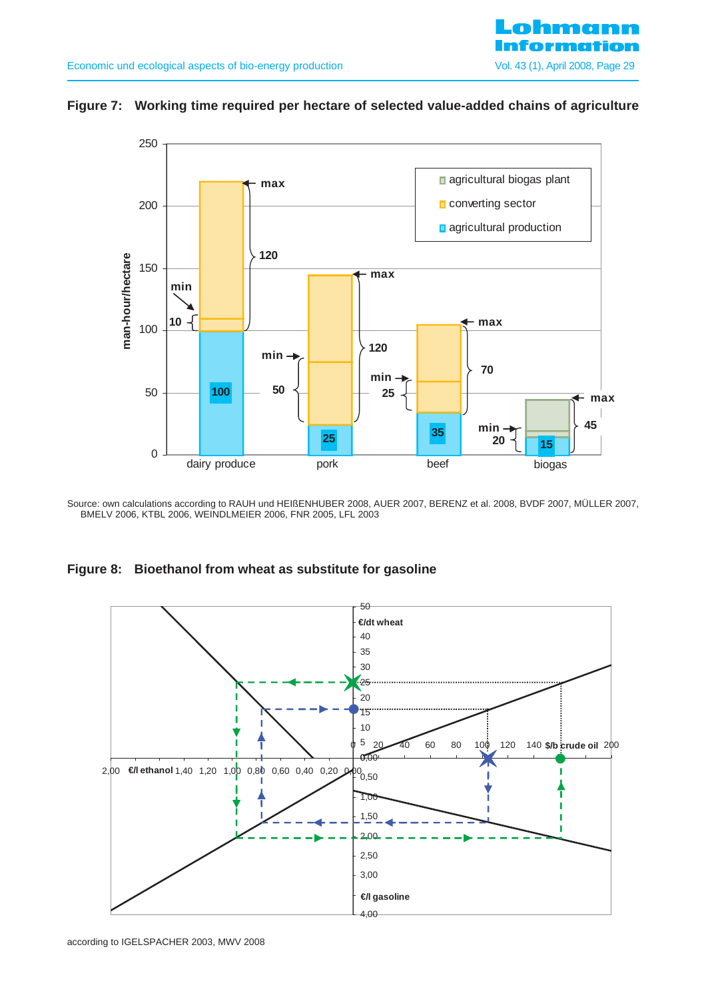

## **Figure 7: Working time required per hectare of selected value-added chains of agriculture**



Source: own calculations according to RAUH und HEIßENHUBER 2008, AUER 2007, BERENZ et al. 2008, BVDF 2007, MÜLLER 2007, BMELV 2006, KTBL 2006, WEINDLMEIER 2006, FNR 2005, LFL 2003

**Figure 8: Bioethanol from wheat as substitute for gasoline** 

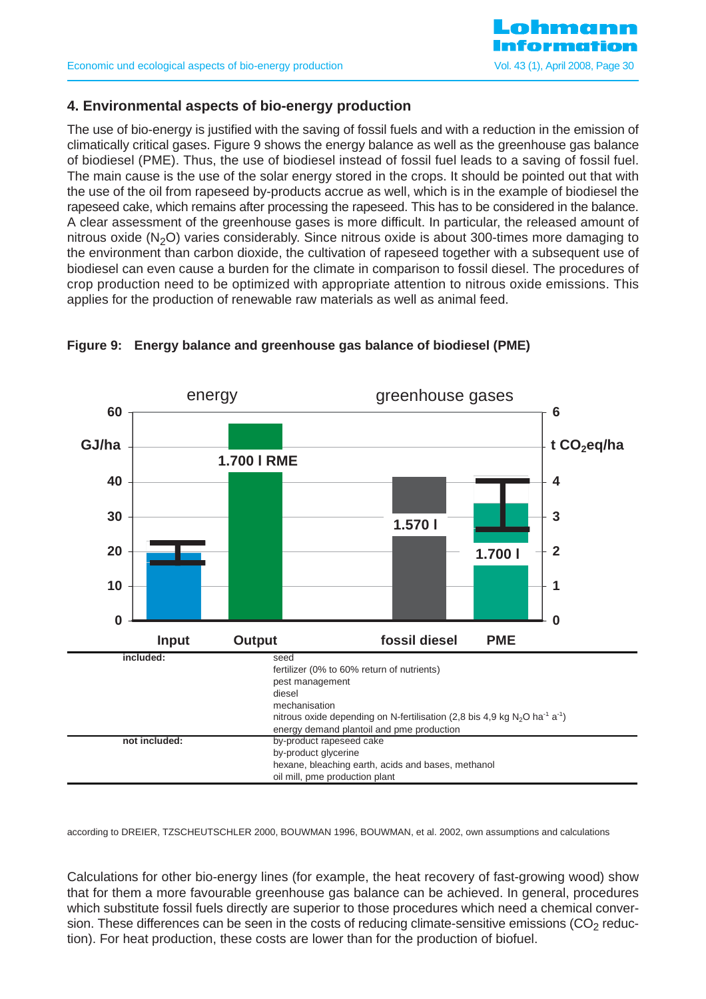

# **4. Environmental aspects of bio-energy production**

The use of bio-energy is justified with the saving of fossil fuels and with a reduction in the emission of climatically critical gases. Figure 9 shows the energy balance as well as the greenhouse gas balance of biodiesel (PME). Thus, the use of biodiesel instead of fossil fuel leads to a saving of fossil fuel. The main cause is the use of the solar energy stored in the crops. It should be pointed out that with the use of the oil from rapeseed by-products accrue as well, which is in the example of biodiesel the rapeseed cake, which remains after processing the rapeseed. This has to be considered in the balance. A clear assessment of the greenhouse gases is more difficult. In particular, the released amount of nitrous oxide  $(N_2O)$  varies considerably. Since nitrous oxide is about 300-times more damaging to the environment than carbon dioxide, the cultivation of rapeseed together with a subsequent use of biodiesel can even cause a burden for the climate in comparison to fossil diesel. The procedures of crop production need to be optimized with appropriate attention to nitrous oxide emissions. This applies for the production of renewable raw materials as well as animal feed.



#### **Figure 9: Energy balance and greenhouse gas balance of biodiesel (PME)**

according to DREIER, TZSCHEUTSCHLER 2000, BOUWMAN 1996, BOUWMAN, et al. 2002, own assumptions and calculations

Calculations for other bio-energy lines (for example, the heat recovery of fast-growing wood) show that for them a more favourable greenhouse gas balance can be achieved. In general, procedures which substitute fossil fuels directly are superior to those procedures which need a chemical conversion. These differences can be seen in the costs of reducing climate-sensitive emissions ( $CO<sub>2</sub>$  reduction). For heat production, these costs are lower than for the production of biofuel.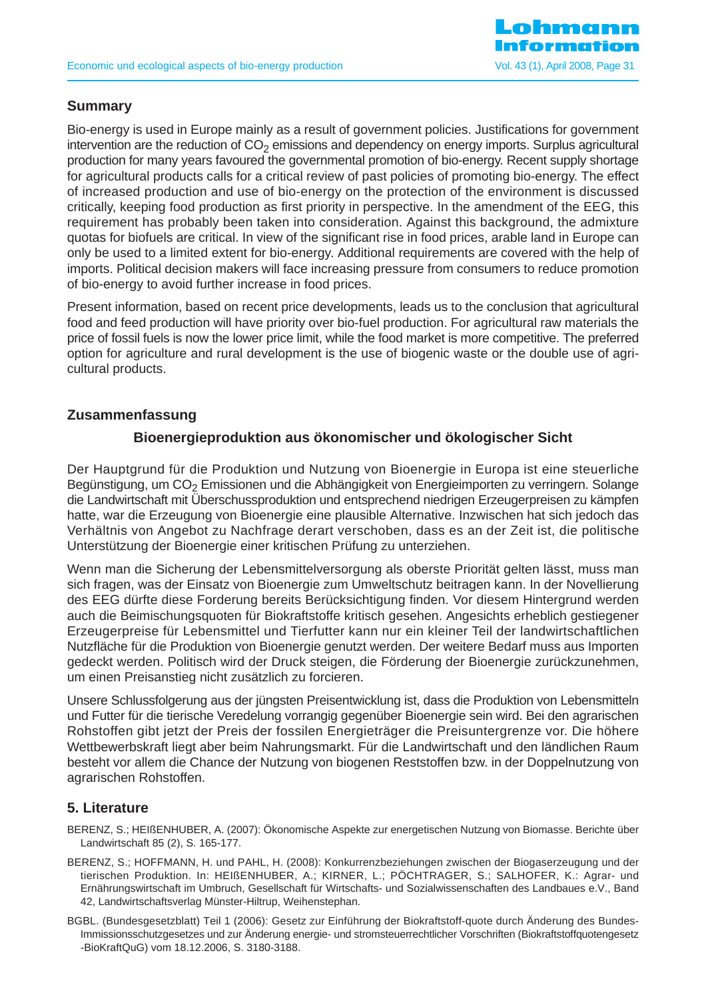

# **Summary**

Bio-energy is used in Europe mainly as a result of government policies. Justifications for government intervention are the reduction of  $CO<sub>2</sub>$  emissions and dependency on energy imports. Surplus agricultural production for many years favoured the governmental promotion of bio-energy. Recent supply shortage for agricultural products calls for a critical review of past policies of promoting bio-energy. The effect of increased production and use of bio-energy on the protection of the environment is discussed critically, keeping food production as first priority in perspective. In the amendment of the EEG, this requirement has probably been taken into consideration. Against this background, the admixture quotas for biofuels are critical. In view of the significant rise in food prices, arable land in Europe can only be used to a limited extent for bio-energy. Additional requirements are covered with the help of imports. Political decision makers will face increasing pressure from consumers to reduce promotion of bio-energy to avoid further increase in food prices.

Present information, based on recent price developments, leads us to the conclusion that agricultural food and feed production will have priority over bio-fuel production. For agricultural raw materials the price of fossil fuels is now the lower price limit, while the food market is more competitive. The preferred option for agriculture and rural development is the use of biogenic waste or the double use of agricultural products.

# **Zusammenfassung**

# **Bioenergieproduktion aus ökonomischer und ökologischer Sicht**

Der Hauptgrund für die Produktion und Nutzung von Bioenergie in Europa ist eine steuerliche Begünstigung, um CO<sub>2</sub> Emissionen und die Abhängigkeit von Energieimporten zu verringern. Solange die Landwirtschaft mit Überschussproduktion und entsprechend niedrigen Erzeugerpreisen zu kämpfen hatte, war die Erzeugung von Bioenergie eine plausible Alternative. Inzwischen hat sich jedoch das Verhältnis von Angebot zu Nachfrage derart verschoben, dass es an der Zeit ist, die politische Unterstützung der Bioenergie einer kritischen Prüfung zu unterziehen.

Wenn man die Sicherung der Lebensmittelversorgung als oberste Priorität gelten lässt, muss man sich fragen, was der Einsatz von Bioenergie zum Umweltschutz beitragen kann. In der Novellierung des EEG dürfte diese Forderung bereits Berücksichtigung finden. Vor diesem Hintergrund werden auch die Beimischungsquoten für Biokraftstoffe kritisch gesehen. Angesichts erheblich gestiegener Erzeugerpreise für Lebensmittel und Tierfutter kann nur ein kleiner Teil der landwirtschaftlichen Nutzfläche für die Produktion von Bioenergie genutzt werden. Der weitere Bedarf muss aus Importen gedeckt werden. Politisch wird der Druck steigen, die Förderung der Bioenergie zurückzunehmen, um einen Preisanstieg nicht zusätzlich zu forcieren.

Unsere Schlussfolgerung aus der jüngsten Preisentwicklung ist, dass die Produktion von Lebensmitteln und Futter für die tierische Veredelung vorrangig gegenüber Bioenergie sein wird. Bei den agrarischen Rohstoffen gibt jetzt der Preis der fossilen Energieträger die Preisuntergrenze vor. Die höhere Wettbewerbskraft liegt aber beim Nahrungsmarkt. Für die Landwirtschaft und den ländlichen Raum besteht vor allem die Chance der Nutzung von biogenen Reststoffen bzw. in der Doppelnutzung von agrarischen Rohstoffen.

### **5. Literature**

- BERENZ, S.; HEIßENHUBER, A. (2007): Ökonomische Aspekte zur energetischen Nutzung von Biomasse. Berichte über Landwirtschaft 85 (2), S. 165-177.
- BERENZ, S.; HOFFMANN, H. und PAHL, H. (2008): Konkurrenzbeziehungen zwischen der Biogaserzeugung und der tierischen Produktion. In: HEIßENHUBER, A.; KIRNER, L.; PÖCHTRAGER, S.; SALHOFER, K.: Agrar- und Ernährungswirtschaft im Umbruch, Gesellschaft für Wirtschafts- und Sozialwissenschaften des Landbaues e.V., Band 42, Landwirtschaftsverlag Münster-Hiltrup, Weihenstephan.
- BGBL. (Bundesgesetzblatt) Teil 1 (2006): Gesetz zur Einführung der Biokraftstoff-quote durch Änderung des Bundes-Immissionsschutzgesetzes und zur Änderung energie- und stromsteuerrechtlicher Vorschriften (Biokraftstoffquotengesetz -BioKraftQuG) vom 18.12.2006, S. 3180-3188.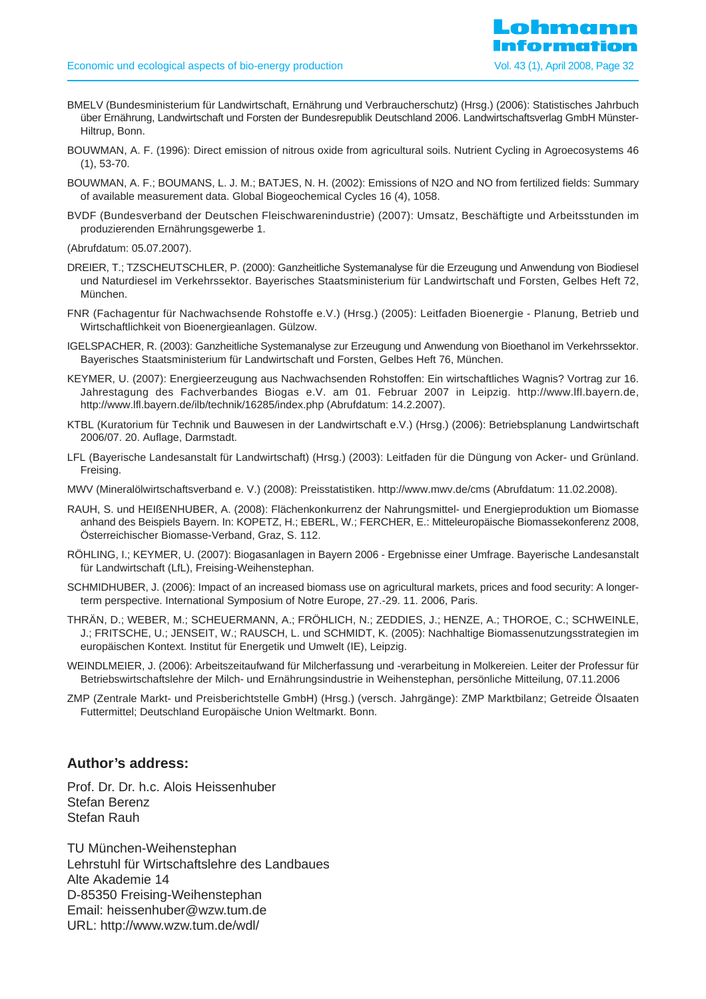- BMELV (Bundesministerium für Landwirtschaft, Ernährung und Verbraucherschutz) (Hrsg.) (2006): Statistisches Jahrbuch über Ernährung, Landwirtschaft und Forsten der Bundesrepublik Deutschland 2006. Landwirtschaftsverlag GmbH Münster-Hiltrup, Bonn.
- BOUWMAN, A. F. (1996): Direct emission of nitrous oxide from agricultural soils. Nutrient Cycling in Agroecosystems 46 (1), 53-70.
- BOUWMAN, A. F.; BOUMANS, L. J. M.; BATJES, N. H. (2002): Emissions of N2O and NO from fertilized fields: Summary of available measurement data. Global Biogeochemical Cycles 16 (4), 1058.
- BVDF (Bundesverband der Deutschen Fleischwarenindustrie) (2007): Umsatz, Beschäftigte und Arbeitsstunden im produzierenden Ernährungsgewerbe 1.
- (Abrufdatum: 05.07.2007).
- DREIER, T.; TZSCHEUTSCHLER, P. (2000): Ganzheitliche Systemanalyse für die Erzeugung und Anwendung von Biodiesel und Naturdiesel im Verkehrssektor. Bayerisches Staatsministerium für Landwirtschaft und Forsten, Gelbes Heft 72, München.
- FNR (Fachagentur für Nachwachsende Rohstoffe e.V.) (Hrsg.) (2005): Leitfaden Bioenergie Planung, Betrieb und Wirtschaftlichkeit von Bioenergieanlagen. Gülzow.
- IGELSPACHER, R. (2003): Ganzheitliche Systemanalyse zur Erzeugung und Anwendung von Bioethanol im Verkehrssektor. Bayerisches Staatsministerium für Landwirtschaft und Forsten, Gelbes Heft 76, München.
- KEYMER, U. (2007): Energieerzeugung aus Nachwachsenden Rohstoffen: Ein wirtschaftliches Wagnis? Vortrag zur 16. Jahrestagung des Fachverbandes Biogas e.V. am 01. Februar 2007 in Leipzig. http://www.lfl.bayern.de, http://www.lfl.bayern.de/ilb/technik/16285/index.php (Abrufdatum: 14.2.2007).
- KTBL (Kuratorium für Technik und Bauwesen in der Landwirtschaft e.V.) (Hrsg.) (2006): Betriebsplanung Landwirtschaft 2006/07. 20. Auflage, Darmstadt.
- LFL (Bayerische Landesanstalt für Landwirtschaft) (Hrsg.) (2003): Leitfaden für die Düngung von Acker- und Grünland. Freising.
- MWV (Mineralölwirtschaftsverband e. V.) (2008): Preisstatistiken. http://www.mwv.de/cms (Abrufdatum: 11.02.2008).
- RAUH, S. und HEIßENHUBER, A. (2008): Flächenkonkurrenz der Nahrungsmittel- und Energieproduktion um Biomasse anhand des Beispiels Bayern. In: KOPETZ, H.; EBERL, W.; FERCHER, E.: Mitteleuropäische Biomassekonferenz 2008, Österreichischer Biomasse-Verband, Graz, S. 112.
- RÖHLING, I.; KEYMER, U. (2007): Biogasanlagen in Bayern 2006 Ergebnisse einer Umfrage. Bayerische Landesanstalt für Landwirtschaft (LfL), Freising-Weihenstephan.
- SCHMIDHUBER, J. (2006): Impact of an increased biomass use on agricultural markets, prices and food security: A longerterm perspective. International Symposium of Notre Europe, 27.-29. 11. 2006, Paris.
- THRÄN, D.; WEBER, M.; SCHEUERMANN, A.; FRÖHLICH, N.; ZEDDIES, J.; HENZE, A.; THOROE, C.; SCHWEINLE, J.; FRITSCHE, U.; JENSEIT, W.; RAUSCH, L. und SCHMIDT, K. (2005): Nachhaltige Biomassenutzungsstrategien im europäischen Kontext. Institut für Energetik und Umwelt (IE), Leipzig.
- WEINDLMEIER, J. (2006): Arbeitszeitaufwand für Milcherfassung und -verarbeitung in Molkereien. Leiter der Professur für Betriebswirtschaftslehre der Milch- und Ernährungsindustrie in Weihenstephan, persönliche Mitteilung, 07.11.2006
- ZMP (Zentrale Markt- und Preisberichtstelle GmbH) (Hrsg.) (versch. Jahrgänge): ZMP Marktbilanz; Getreide Ölsaaten Futtermittel; Deutschland Europäische Union Weltmarkt. Bonn.

## **Author's address:**

Prof. Dr. Dr. h.c. Alois Heissenhuber Stefan Berenz Stefan Rauh

TU München-Weihenstephan Lehrstuhl für Wirtschaftslehre des Landbaues Alte Akademie 14 D-85350 Freising-Weihenstephan Email: heissenhuber@wzw.tum.de URL: http://www.wzw.tum.de/wdl/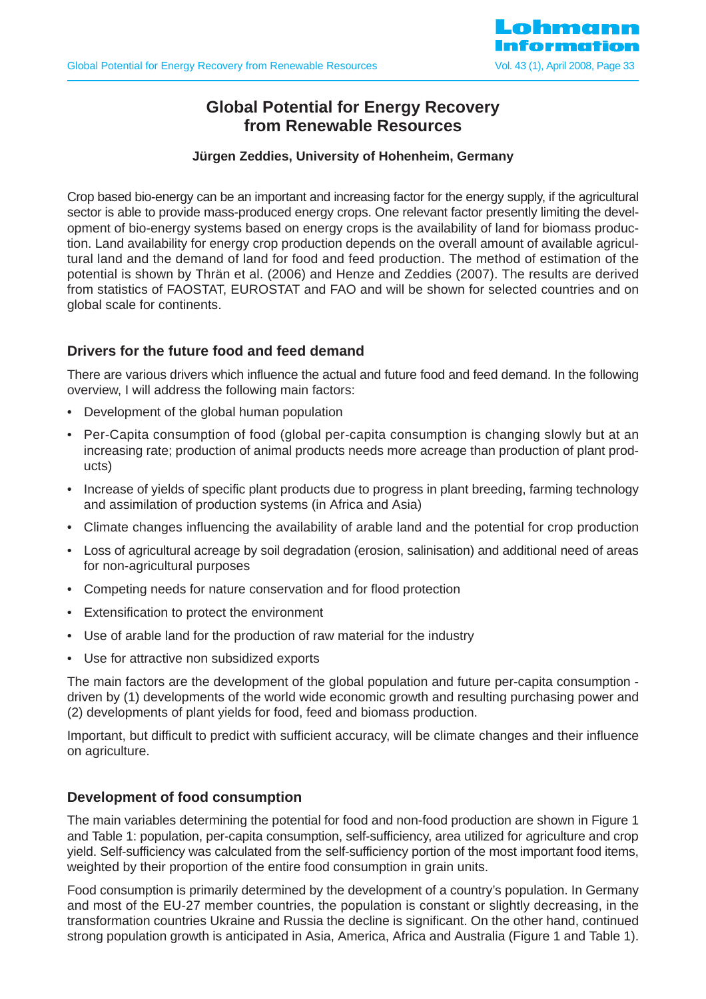

# **Global Potential for Energy Recovery from Renewable Resources**

### **Jürgen Zeddies, University of Hohenheim, Germany**

Crop based bio-energy can be an important and increasing factor for the energy supply, if the agricultural sector is able to provide mass-produced energy crops. One relevant factor presently limiting the development of bio-energy systems based on energy crops is the availability of land for biomass production. Land availability for energy crop production depends on the overall amount of available agricultural land and the demand of land for food and feed production. The method of estimation of the potential is shown by Thrän et al. (2006) and Henze and Zeddies (2007). The results are derived from statistics of FAOSTAT, EUROSTAT and FAO and will be shown for selected countries and on global scale for continents.

### **Drivers for the future food and feed demand**

There are various drivers which influence the actual and future food and feed demand. In the following overview, I will address the following main factors:

- Development of the global human population
- Per-Capita consumption of food (global per-capita consumption is changing slowly but at an increasing rate; production of animal products needs more acreage than production of plant products)
- Increase of vields of specific plant products due to progress in plant breeding, farming technology and assimilation of production systems (in Africa and Asia)
- Climate changes influencing the availability of arable land and the potential for crop production
- Loss of agricultural acreage by soil degradation (erosion, salinisation) and additional need of areas for non-agricultural purposes
- Competing needs for nature conservation and for flood protection
- Extensification to protect the environment
- Use of arable land for the production of raw material for the industry
- Use for attractive non subsidized exports

The main factors are the development of the global population and future per-capita consumption driven by (1) developments of the world wide economic growth and resulting purchasing power and (2) developments of plant yields for food, feed and biomass production.

Important, but difficult to predict with sufficient accuracy, will be climate changes and their influence on agriculture.

### **Development of food consumption**

The main variables determining the potential for food and non-food production are shown in Figure 1 and Table 1: population, per-capita consumption, self-sufficiency, area utilized for agriculture and crop yield. Self-sufficiency was calculated from the self-sufficiency portion of the most important food items, weighted by their proportion of the entire food consumption in grain units.

Food consumption is primarily determined by the development of a country's population. In Germany and most of the EU-27 member countries, the population is constant or slightly decreasing, in the transformation countries Ukraine and Russia the decline is significant. On the other hand, continued strong population growth is anticipated in Asia, America, Africa and Australia (Figure 1 and Table 1).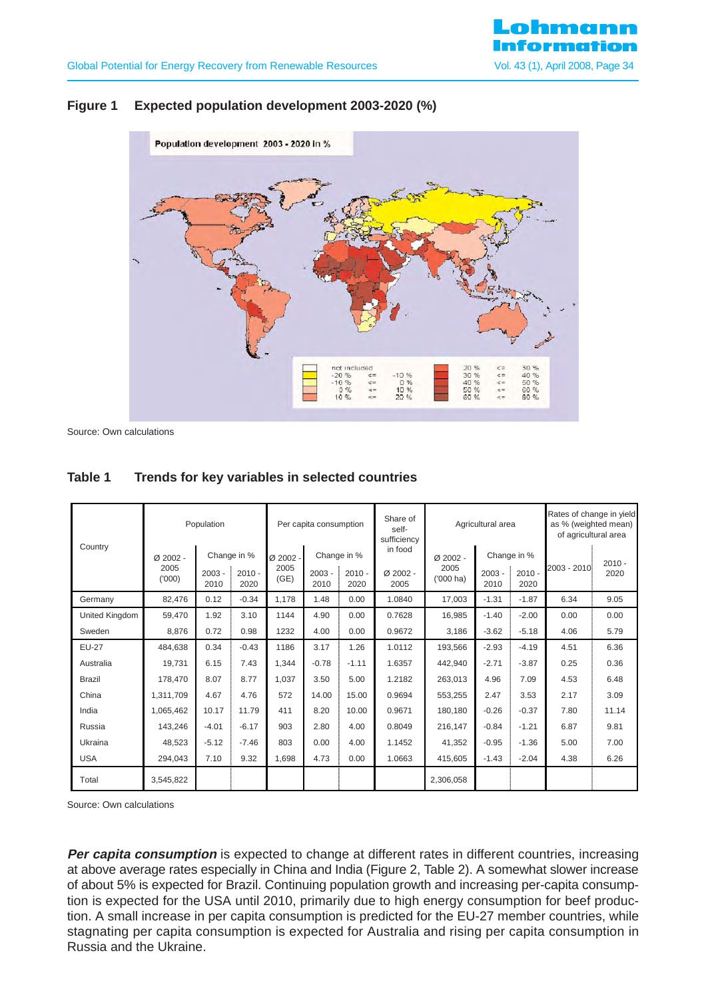### **Figure 1 Expected population development 2003-2020 (%)**



Source: Own calculations

| Country               | Population                   |                  |                                 | Per capita consumption   |                  | Share of<br>self-<br>sufficiency | Agricultural area             |                                  |                  | Rates of change in yield<br>as % (weighted mean)<br>of agricultural area |             |                  |
|-----------------------|------------------------------|------------------|---------------------------------|--------------------------|------------------|----------------------------------|-------------------------------|----------------------------------|------------------|--------------------------------------------------------------------------|-------------|------------------|
|                       | $Ø$ 2002 -<br>2005<br>(1000) | $2003 -$<br>2010 | Change in %<br>$2010 -$<br>2020 | Ø 2002 -<br>2005<br>(GE) | $2003 -$<br>2010 | Change in %<br>$2010 -$<br>2020  | in food<br>$Ø$ 2002 -<br>2005 | Ø 2002 -<br>2005<br>$(1000)$ ha) | $2003 -$<br>2010 | Change in %<br>$2010 -$<br>2020                                          | 2003 - 2010 | $2010 -$<br>2020 |
| Germany               | 82.476                       | 0.12             | $-0.34$                         | 1.178                    | 1.48             | 0.00                             | 1.0840                        | 17.003                           | $-1.31$          | $-1.87$                                                                  | 6.34        | 9.05             |
| <b>United Kingdom</b> | 59.470                       | 1.92             | 3.10                            | 1144                     | 4.90             | 0.00                             | 0.7628                        | 16,985                           | $-1.40$          | $-2.00$                                                                  | 0.00        | 0.00             |
| Sweden                | 8.876                        | 0.72             | 0.98                            | 1232                     | 4.00             | 0.00                             | 0.9672                        | 3,186                            | $-3.62$          | $-5.18$                                                                  | 4.06        | 5.79             |
| <b>EU-27</b>          | 484,638                      | 0.34             | $-0.43$                         | 1186                     | 3.17             | 1.26                             | 1.0112                        | 193,566                          | $-2.93$          | $-4.19$                                                                  | 4.51        | 6.36             |
| Australia             | 19,731                       | 6.15             | 7.43                            | 1.344                    | $-0.78$          | $-1.11$                          | 1.6357                        | 442,940                          | $-2.71$          | $-3.87$                                                                  | 0.25        | 0.36             |
| <b>Brazil</b>         | 178.470                      | 8.07             | 8.77                            | 1.037                    | 3.50             | 5.00                             | 1.2182                        | 263,013                          | 4.96             | 7.09                                                                     | 4.53        | 6.48             |
| China                 | 1.311.709                    | 4.67             | 4.76                            | 572                      | 14.00            | 15.00                            | 0.9694                        | 553,255                          | 2.47             | 3.53                                                                     | 2.17        | 3.09             |
| India                 | 1,065,462                    | 10.17            | 11.79                           | 411                      | 8.20             | 10.00                            | 0.9671                        | 180.180                          | $-0.26$          | $-0.37$                                                                  | 7.80        | 11.14            |
| Russia                | 143,246                      | $-4.01$          | $-6.17$                         | 903                      | 2.80             | 4.00                             | 0.8049                        | 216.147                          | $-0.84$          | $-1.21$                                                                  | 6.87        | 9.81             |
| Ukraina               | 48.523                       | $-5.12$          | $-7.46$                         | 803                      | 0.00             | 4.00                             | 1.1452                        | 41,352                           | $-0.95$          | $-1.36$                                                                  | 5.00        | 7.00             |
| <b>USA</b>            | 294,043                      | 7.10             | 9.32                            | 1.698                    | 4.73             | 0.00                             | 1.0663                        | 415,605                          | $-1.43$          | $-2.04$                                                                  | 4.38        | 6.26             |
| Total                 | 3,545,822                    |                  |                                 |                          |                  |                                  |                               | 2,306,058                        |                  |                                                                          |             |                  |

#### **Table 1 Trends for key variables in selected countries**

Source: Own calculations

**Per capita consumption** is expected to change at different rates in different countries, increasing at above average rates especially in China and India (Figure 2, Table 2). A somewhat slower increase of about 5% is expected for Brazil. Continuing population growth and increasing per-capita consumption is expected for the USA until 2010, primarily due to high energy consumption for beef production. A small increase in per capita consumption is predicted for the EU-27 member countries, while stagnating per capita consumption is expected for Australia and rising per capita consumption in Russia and the Ukraine.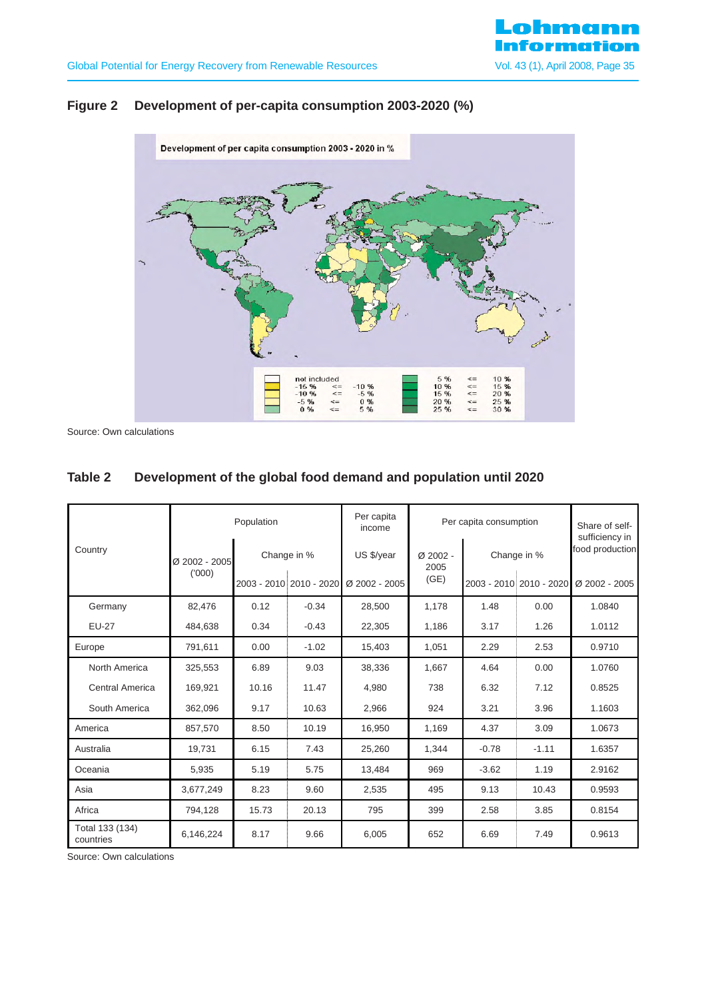

# **Figure 2 Development of per-capita consumption 2003-2020 (%)**



Source: Own calculations

# **Table 2 Development of the global food demand and population until 2020**

|                              |               | Population              |             | Per capita<br>income | Per capita consumption |                         |         | Share of self-<br>sufficiency in |  |
|------------------------------|---------------|-------------------------|-------------|----------------------|------------------------|-------------------------|---------|----------------------------------|--|
| Country                      | Ø 2002 - 2005 |                         | Change in % | US \$/year           | $Ø$ 2002 -<br>2005     | Change in %             |         | food production                  |  |
|                              | (000)         | 2003 - 2010 2010 - 2020 |             | Ø 2002 - 2005        | (GE)                   | 2003 - 2010 2010 - 2020 |         | Ø 2002 - 2005                    |  |
| Germany                      | 82,476        | 0.12                    | $-0.34$     | 28,500               | 1,178                  | 1.48                    | 0.00    | 1.0840                           |  |
| <b>EU-27</b>                 | 484,638       | 0.34                    | $-0.43$     | 22,305               | 1,186                  | 3.17                    | 1.26    | 1.0112                           |  |
| Europe                       | 791,611       | 0.00                    | $-1.02$     | 15,403               | 1,051                  | 2.29                    | 2.53    | 0.9710                           |  |
| North America                | 325,553       | 6.89                    | 9.03        | 38,336               | 1.667                  | 4.64                    | 0.00    | 1.0760                           |  |
| <b>Central America</b>       | 169,921       | 10.16                   | 11.47       | 4,980                | 738                    | 6.32                    | 7.12    | 0.8525                           |  |
| South America                | 362,096       | 9.17                    | 10.63       | 2,966                | 924                    | 3.21                    | 3.96    | 1.1603                           |  |
| America                      | 857,570       | 8.50                    | 10.19       | 16,950               | 1,169                  | 4.37                    | 3.09    | 1.0673                           |  |
| Australia                    | 19,731        | 6.15                    | 7.43        | 25,260               | 1.344                  | $-0.78$                 | $-1.11$ | 1.6357                           |  |
| Oceania                      | 5,935         | 5.19                    | 5.75        | 13,484               | 969                    | $-3.62$                 | 1.19    | 2.9162                           |  |
| Asia                         | 3,677,249     | 8.23                    | 9.60        | 2,535                | 495                    | 9.13                    | 10.43   | 0.9593                           |  |
| Africa                       | 794,128       | 15.73                   | 20.13       | 795                  | 399                    | 2.58                    | 3.85    | 0.8154                           |  |
| Total 133 (134)<br>countries | 6,146,224     | 8.17                    | 9.66        | 6,005                | 652                    | 6.69                    | 7.49    | 0.9613                           |  |

Source: Own calculations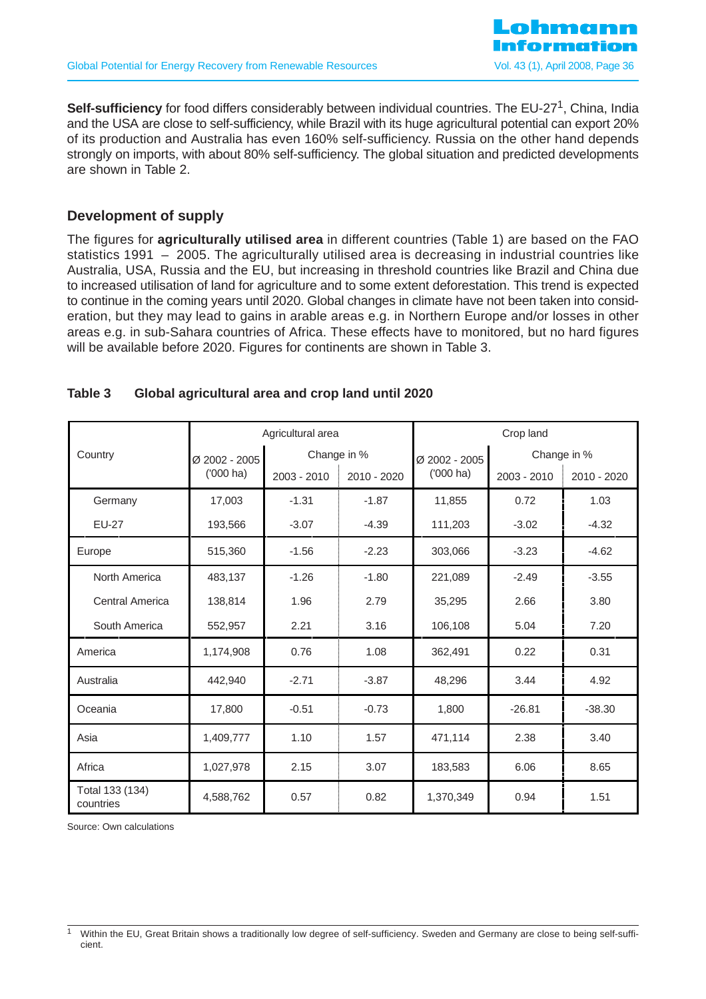**Self-sufficiency** for food differs considerably between individual countries. The EU-27<sup>1</sup>, China, India and the USA are close to self-sufficiency, while Brazil with its huge agricultural potential can export 20% of its production and Australia has even 160% self-sufficiency. Russia on the other hand depends strongly on imports, with about 80% self-sufficiency. The global situation and predicted developments are shown in Table 2.

# **Development of supply**

The figures for **agriculturally utilised area** in different countries (Table 1) are based on the FAO statistics 1991 – 2005. The agriculturally utilised area is decreasing in industrial countries like Australia, USA, Russia and the EU, but increasing in threshold countries like Brazil and China due to increased utilisation of land for agriculture and to some extent deforestation. This trend is expected to continue in the coming years until 2020. Global changes in climate have not been taken into consideration, but they may lead to gains in arable areas e.g. in Northern Europe and/or losses in other areas e.g. in sub-Sahara countries of Africa. These effects have to monitored, but no hard figures will be available before 2020. Figures for continents are shown in Table 3.

### **Table 3 Global agricultural area and crop land until 2020**

|                              |               | Agricultural area |             |               | Crop land   |             |
|------------------------------|---------------|-------------------|-------------|---------------|-------------|-------------|
| Country                      | Ø 2002 - 2005 |                   | Change in % | Ø 2002 - 2005 |             | Change in % |
|                              | $(000)$ ha)   | 2003 - 2010       | 2010 - 2020 | $(000)$ ha)   | 2003 - 2010 | 2010 - 2020 |
| Germany                      | 17,003        | $-1.31$           | $-1.87$     | 11,855        | 0.72        | 1.03        |
| <b>EU-27</b>                 | 193,566       | $-3.07$           | $-4.39$     | 111,203       | $-3.02$     | $-4.32$     |
| Europe                       | 515,360       | $-1.56$           | $-2.23$     | 303,066       | $-3.23$     | $-4.62$     |
| North America                | 483,137       | $-1.26$           | $-1.80$     | 221,089       | $-2.49$     | $-3.55$     |
| <b>Central America</b>       | 138,814       | 1.96              | 2.79        | 35,295        | 2.66        | 3.80        |
| South America                | 552,957       | 2.21              | 3.16        | 106,108       | 5.04        | 7.20        |
| America                      | 1,174,908     | 0.76              | 1.08        | 362,491       | 0.22        | 0.31        |
| Australia                    | 442,940       | $-2.71$           | $-3.87$     | 48,296        | 3.44        | 4.92        |
| Oceania                      | 17,800        | $-0.51$           | $-0.73$     | 1,800         | $-26.81$    | $-38.30$    |
| Asia                         | 1,409,777     | 1.10              | 1.57        | 471,114       | 2.38        | 3.40        |
| Africa                       | 1,027,978     | 2.15              | 3.07        | 183,583       | 6.06        | 8.65        |
| Total 133 (134)<br>countries | 4,588,762     | 0.57              | 0.82        | 1,370,349     | 0.94        | 1.51        |

Source: Own calculations

<sup>1</sup> Within the EU, Great Britain shows a traditionally low degree of self-sufficiency. Sweden and Germany are close to being self-sufficient.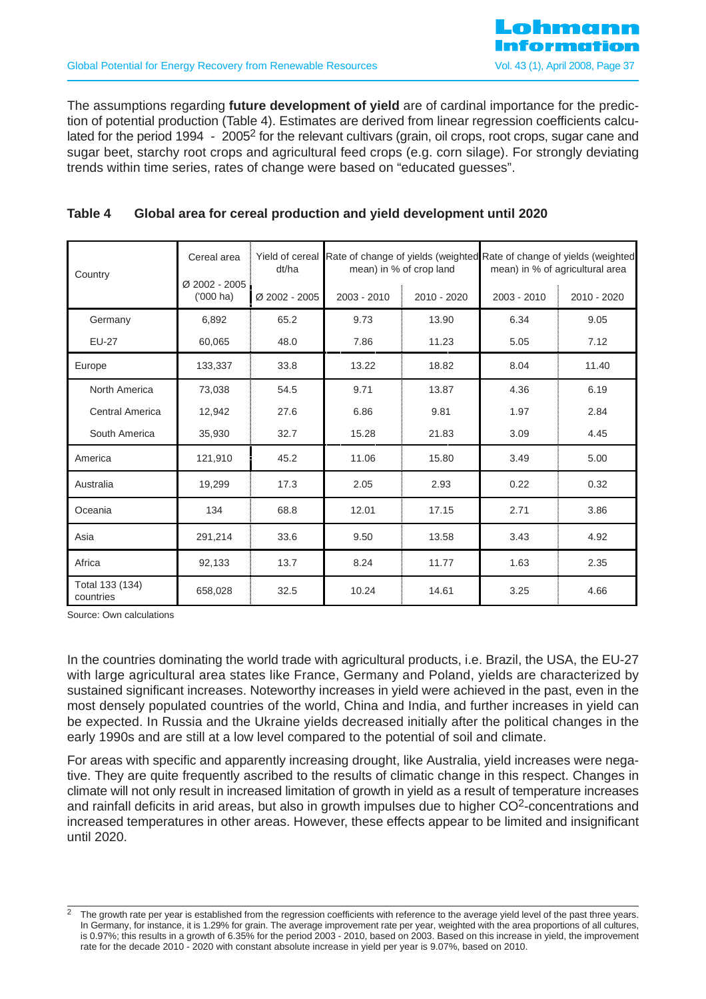The assumptions regarding **future development of yield** are of cardinal importance for the prediction of potential production (Table 4). Estimates are derived from linear regression coefficients calculated for the period 1994 - 2005<sup>2</sup> for the relevant cultivars (grain, oil crops, root crops, sugar cane and sugar beet, starchy root crops and agricultural feed crops (e.g. corn silage). For strongly deviating trends within time series, rates of change were based on "educated guesses".

# **Table 4 Global area for cereal production and yield development until 2020**

| Country                      | Cereal area                  | Yield of cereal<br>dt/ha |             | mean) in % of crop land | Rate of change of yields (weighted Rate of change of yields (weighted<br>mean) in % of agricultural area |             |  |
|------------------------------|------------------------------|--------------------------|-------------|-------------------------|----------------------------------------------------------------------------------------------------------|-------------|--|
|                              | Ø 2002 - 2005<br>$(000)$ ha) | Ø 2002 - 2005            | 2003 - 2010 | 2010 - 2020             | 2003 - 2010                                                                                              | 2010 - 2020 |  |
| Germany                      | 6,892                        | 65.2                     | 9.73        | 13.90                   | 6.34                                                                                                     | 9.05        |  |
| <b>EU-27</b>                 | 60,065                       | 48.0                     | 7.86        | 11.23                   | 5.05                                                                                                     | 7.12        |  |
| Europe                       | 133,337                      | 33.8                     | 13.22       | 18.82                   | 8.04                                                                                                     | 11.40       |  |
| North America                | 73,038                       | 54.5                     | 9.71        | 13.87                   | 4.36                                                                                                     | 6.19        |  |
| Central America              | 12,942                       | 27.6                     | 6.86        | 9.81                    | 1.97                                                                                                     | 2.84        |  |
| South America                | 35,930                       | 32.7                     | 15.28       | 21.83                   | 3.09                                                                                                     | 4.45        |  |
| America                      | 121,910                      | 45.2                     | 11.06       | 15.80                   | 3.49                                                                                                     | 5.00        |  |
| Australia                    | 19,299                       | 17.3                     | 2.05        | 2.93                    | 0.22                                                                                                     | 0.32        |  |
| Oceania                      | 134                          | 68.8                     | 12.01       | 17.15                   | 2.71                                                                                                     | 3.86        |  |
| Asia                         | 291,214                      | 33.6                     | 9.50        | 13.58                   | 3.43                                                                                                     | 4.92        |  |
| Africa                       | 92,133                       | 13.7                     | 8.24        | 11.77                   | 1.63                                                                                                     | 2.35        |  |
| Total 133 (134)<br>countries | 658,028                      | 32.5                     | 10.24       | 14.61                   | 3.25                                                                                                     | 4.66        |  |

Source: Own calculations

In the countries dominating the world trade with agricultural products, i.e. Brazil, the USA, the EU-27 with large agricultural area states like France, Germany and Poland, yields are characterized by sustained significant increases. Noteworthy increases in yield were achieved in the past, even in the most densely populated countries of the world, China and India, and further increases in yield can be expected. In Russia and the Ukraine yields decreased initially after the political changes in the early 1990s and are still at a low level compared to the potential of soil and climate.

For areas with specific and apparently increasing drought, like Australia, yield increases were negative. They are quite frequently ascribed to the results of climatic change in this respect. Changes in climate will not only result in increased limitation of growth in yield as a result of temperature increases and rainfall deficits in arid areas, but also in growth impulses due to higher  $CO<sup>2</sup>$ -concentrations and increased temperatures in other areas. However, these effects appear to be limited and insignificant until 2020.

<sup>&</sup>lt;sup>2</sup> The growth rate per year is established from the regression coefficients with reference to the average yield level of the past three years. In Germany, for instance, it is 1.29% for grain. The average improvement rate per year, weighted with the area proportions of all cultures, is 0.97%; this results in a growth of 6.35% for the period 2003 - 2010, based on 2003. Based on this increase in yield, the improvement rate for the decade 2010 - 2020 with constant absolute increase in yield per year is 9.07%, based on 2010.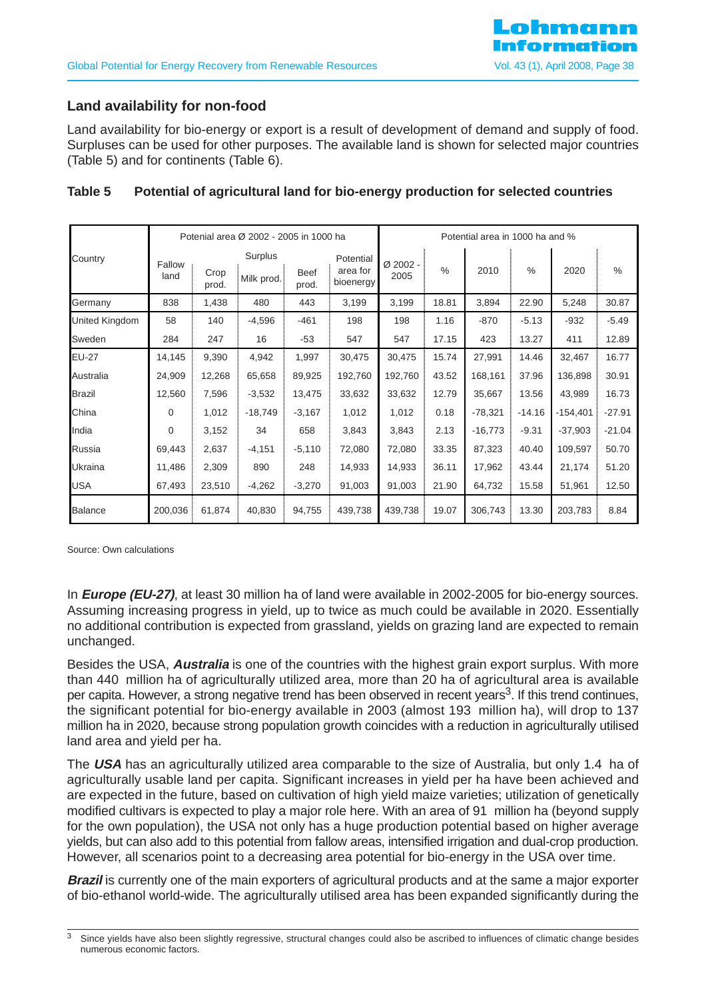# **Land availability for non-food**

Land availability for bio-energy or export is a result of development of demand and supply of food. Surpluses can be used for other purposes. The available land is shown for selected major countries (Table 5) and for continents (Table 6).

|                |                |               | Potenial area Ø 2002 - 2005 in 1000 ha |                      |                                    | Potential area in 1000 ha and % |               |           |               |            |          |
|----------------|----------------|---------------|----------------------------------------|----------------------|------------------------------------|---------------------------------|---------------|-----------|---------------|------------|----------|
| Country        | Fallow<br>land | Crop<br>prod. | Surplus<br>Milk prod.                  | <b>Beef</b><br>prod. | Potential<br>area for<br>bioenergy | Ø 2002 -<br>2005                | $\frac{0}{0}$ | 2010      | $\frac{0}{0}$ | 2020       | $\%$     |
| Germany        | 838            | 1,438         | 480                                    | 443                  | 3,199                              | 3,199                           | 18.81         | 3,894     | 22.90         | 5,248      | 30.87    |
| United Kingdom | 58             | 140           | $-4,596$                               | $-461$               | 198                                | 198                             | 1.16          | $-870$    | $-5.13$       | $-932$     | $-5.49$  |
| Sweden         | 284            | 247           | 16                                     | $-53$                | 547                                | 547                             | 17.15         | 423       | 13.27         | 411        | 12.89    |
| <b>EU-27</b>   | 14,145         | 9,390         | 4,942                                  | 1,997                | 30,475                             | 30,475                          | 15.74         | 27,991    | 14.46         | 32,467     | 16.77    |
| Australia      | 24,909         | 12,268        | 65,658                                 | 89,925               | 192,760                            | 192,760                         | 43.52         | 168,161   | 37.96         | 136,898    | 30.91    |
| <b>Brazil</b>  | 12,560         | 7,596         | $-3,532$                               | 13,475               | 33,632                             | 33,632                          | 12.79         | 35,667    | 13.56         | 43,989     | 16.73    |
| China          | 0              | 1,012         | $-18,749$                              | $-3,167$             | 1,012                              | 1,012                           | 0.18          | $-78,321$ | $-14.16$      | $-154,401$ | $-27.91$ |
| India          | $\mathbf 0$    | 3,152         | 34                                     | 658                  | 3,843                              | 3,843                           | 2.13          | $-16,773$ | $-9.31$       | $-37,903$  | $-21.04$ |
| Russia         | 69,443         | 2,637         | $-4,151$                               | $-5,110$             | 72,080                             | 72,080                          | 33.35         | 87,323    | 40.40         | 109,597    | 50.70    |
| Ukraina        | 11,486         | 2,309         | 890                                    | 248                  | 14,933                             | 14,933                          | 36.11         | 17,962    | 43.44         | 21,174     | 51.20    |
| <b>USA</b>     | 67,493         | 23,510        | $-4,262$                               | $-3,270$             | 91,003                             | 91,003                          | 21.90         | 64,732    | 15.58         | 51,961     | 12.50    |
| <b>Balance</b> | 200,036        | 61,874        | 40,830                                 | 94,755               | 439,738                            | 439,738                         | 19.07         | 306,743   | 13.30         | 203,783    | 8.84     |

# **Table 5 Potential of agricultural land for bio-energy production for selected countries**

Source: Own calculations

In **Europe (EU-27)**, at least 30 million ha of land were available in 2002-2005 for bio-energy sources. Assuming increasing progress in yield, up to twice as much could be available in 2020. Essentially no additional contribution is expected from grassland, yields on grazing land are expected to remain unchanged.

Besides the USA, **Australia** is one of the countries with the highest grain export surplus. With more than 440 million ha of agriculturally utilized area, more than 20 ha of agricultural area is available per capita. However, a strong negative trend has been observed in recent years<sup>3</sup>. If this trend continues, the significant potential for bio-energy available in 2003 (almost 193 million ha), will drop to 137 million ha in 2020, because strong population growth coincides with a reduction in agriculturally utilised land area and yield per ha.

The **USA** has an agriculturally utilized area comparable to the size of Australia, but only 1.4 ha of agriculturally usable land per capita. Significant increases in yield per ha have been achieved and are expected in the future, based on cultivation of high yield maize varieties; utilization of genetically modified cultivars is expected to play a major role here. With an area of 91 million ha (beyond supply for the own population), the USA not only has a huge production potential based on higher average yields, but can also add to this potential from fallow areas, intensified irrigation and dual-crop production. However, all scenarios point to a decreasing area potential for bio-energy in the USA over time.

**Brazil** is currently one of the main exporters of agricultural products and at the same a major exporter of bio-ethanol world-wide. The agriculturally utilised area has been expanded significantly during the

Since yields have also been slightly regressive, structural changes could also be ascribed to influences of climatic change besides numerous economic factors.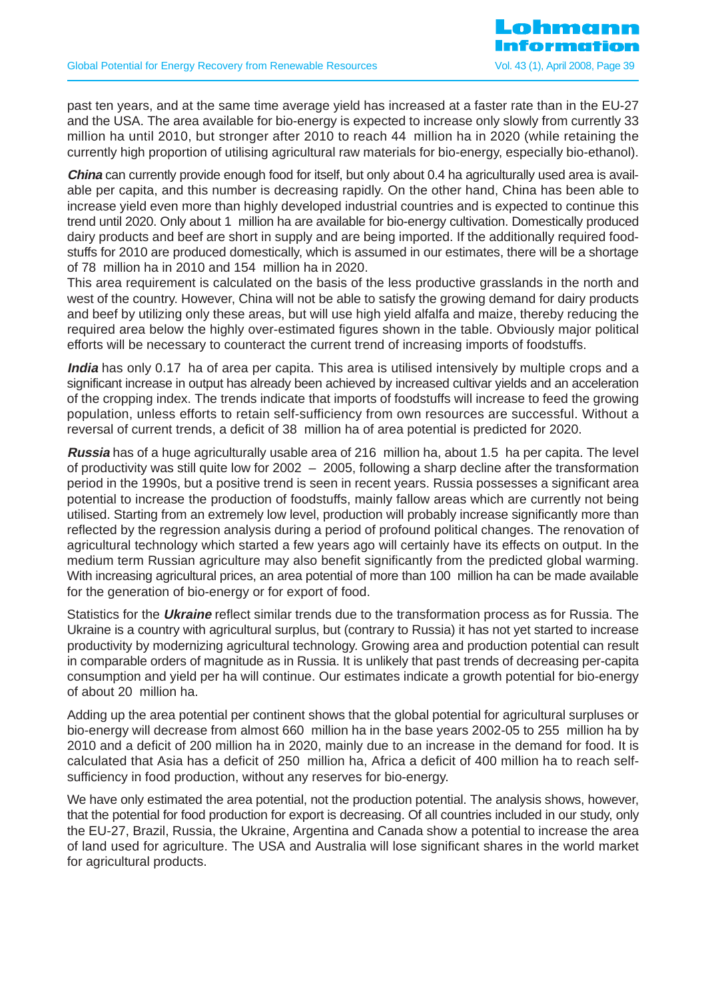past ten years, and at the same time average yield has increased at a faster rate than in the EU-27 and the USA. The area available for bio-energy is expected to increase only slowly from currently 33 million ha until 2010, but stronger after 2010 to reach 44 million ha in 2020 (while retaining the currently high proportion of utilising agricultural raw materials for bio-energy, especially bio-ethanol).

**China** can currently provide enough food for itself, but only about 0.4 ha agriculturally used area is available per capita, and this number is decreasing rapidly. On the other hand, China has been able to increase yield even more than highly developed industrial countries and is expected to continue this trend until 2020. Only about 1 million ha are available for bio-energy cultivation. Domestically produced dairy products and beef are short in supply and are being imported. If the additionally required foodstuffs for 2010 are produced domestically, which is assumed in our estimates, there will be a shortage of 78 million ha in 2010 and 154 million ha in 2020.

This area requirement is calculated on the basis of the less productive grasslands in the north and west of the country. However, China will not be able to satisfy the growing demand for dairy products and beef by utilizing only these areas, but will use high yield alfalfa and maize, thereby reducing the required area below the highly over-estimated figures shown in the table. Obviously major political efforts will be necessary to counteract the current trend of increasing imports of foodstuffs.

**India** has only 0.17 ha of area per capita. This area is utilised intensively by multiple crops and a significant increase in output has already been achieved by increased cultivar yields and an acceleration of the cropping index. The trends indicate that imports of foodstuffs will increase to feed the growing population, unless efforts to retain self-sufficiency from own resources are successful. Without a reversal of current trends, a deficit of 38 million ha of area potential is predicted for 2020.

**Russia** has of a huge agriculturally usable area of 216 million ha, about 1.5 ha per capita. The level of productivity was still quite low for 2002 – 2005, following a sharp decline after the transformation period in the 1990s, but a positive trend is seen in recent years. Russia possesses a significant area potential to increase the production of foodstuffs, mainly fallow areas which are currently not being utilised. Starting from an extremely low level, production will probably increase significantly more than reflected by the regression analysis during a period of profound political changes. The renovation of agricultural technology which started a few years ago will certainly have its effects on output. In the medium term Russian agriculture may also benefit significantly from the predicted global warming. With increasing agricultural prices, an area potential of more than 100 million ha can be made available for the generation of bio-energy or for export of food.

Statistics for the **Ukraine** reflect similar trends due to the transformation process as for Russia. The Ukraine is a country with agricultural surplus, but (contrary to Russia) it has not yet started to increase productivity by modernizing agricultural technology. Growing area and production potential can result in comparable orders of magnitude as in Russia. It is unlikely that past trends of decreasing per-capita consumption and yield per ha will continue. Our estimates indicate a growth potential for bio-energy of about 20 million ha.

Adding up the area potential per continent shows that the global potential for agricultural surpluses or bio-energy will decrease from almost 660 million ha in the base years 2002-05 to 255 million ha by 2010 and a deficit of 200 million ha in 2020, mainly due to an increase in the demand for food. It is calculated that Asia has a deficit of 250 million ha, Africa a deficit of 400 million ha to reach selfsufficiency in food production, without any reserves for bio-energy.

We have only estimated the area potential, not the production potential. The analysis shows, however, that the potential for food production for export is decreasing. Of all countries included in our study, only the EU-27, Brazil, Russia, the Ukraine, Argentina and Canada show a potential to increase the area of land used for agriculture. The USA and Australia will lose significant shares in the world market for agricultural products.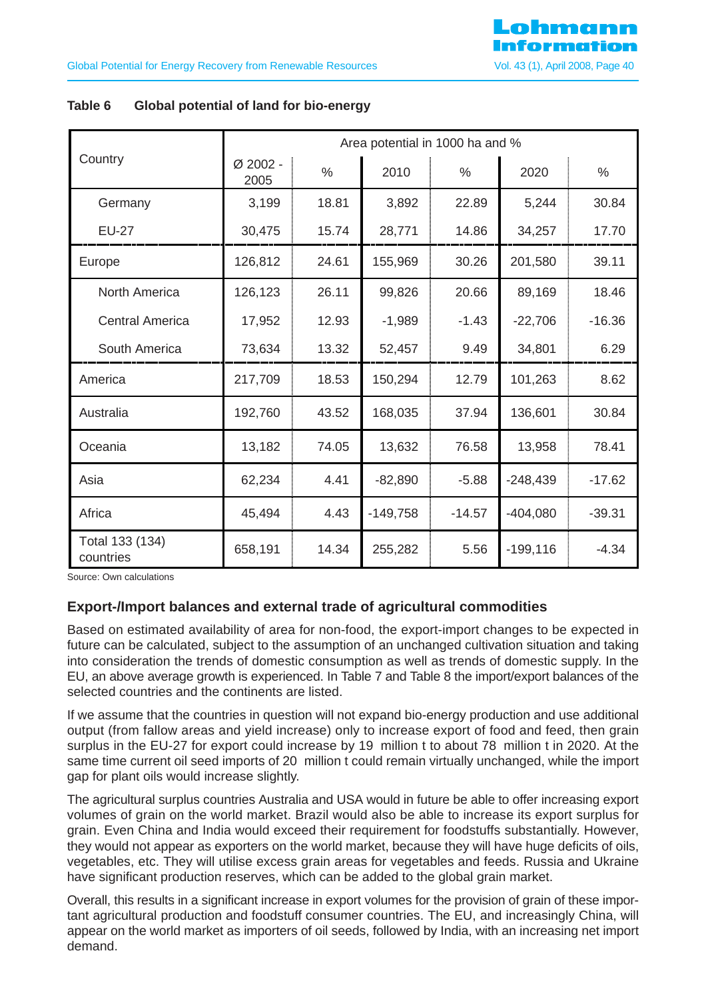|                              |                  |       |            | Area potential in 1000 ha and % |             |          |
|------------------------------|------------------|-------|------------|---------------------------------|-------------|----------|
| Country                      | Ø 2002 -<br>2005 | $\%$  | 2010       | $\%$                            | 2020        | $\%$     |
| Germany                      | 3,199            | 18.81 | 3,892      | 22.89                           | 5,244       | 30.84    |
| <b>EU-27</b>                 | 30,475           | 15.74 | 28,771     | 14.86                           | 34,257      | 17.70    |
| Europe                       | 126,812          | 24.61 | 155,969    | 30.26                           | 201,580     | 39.11    |
| North America                | 126,123          | 26.11 | 99,826     | 20.66                           | 89,169      | 18.46    |
| <b>Central America</b>       | 17,952           | 12.93 | $-1,989$   | $-1.43$                         | $-22,706$   | $-16.36$ |
| South America                | 73,634           | 13.32 | 52,457     | 9.49                            | 34,801      | 6.29     |
| America                      | 217,709          | 18.53 | 150,294    | 12.79                           | 101,263     | 8.62     |
| Australia                    | 192,760          | 43.52 | 168,035    | 37.94                           | 136,601     | 30.84    |
| Oceania                      | 13,182           | 74.05 | 13,632     | 76.58                           | 13,958      | 78.41    |
| Asia                         | 62,234           | 4.41  | $-82,890$  | $-5.88$                         | $-248,439$  | $-17.62$ |
| Africa                       | 45,494           | 4.43  | $-149,758$ | $-14.57$                        | $-404,080$  | $-39.31$ |
| Total 133 (134)<br>countries | 658,191          | 14.34 | 255,282    | 5.56                            | $-199, 116$ | $-4.34$  |

### **Table 6 Global potential of land for bio-energy**

Source: Own calculations

# **Export-/Import balances and external trade of agricultural commodities**

Based on estimated availability of area for non-food, the export-import changes to be expected in future can be calculated, subject to the assumption of an unchanged cultivation situation and taking into consideration the trends of domestic consumption as well as trends of domestic supply. In the EU, an above average growth is experienced. In Table 7 and Table 8 the import/export balances of the selected countries and the continents are listed.

If we assume that the countries in question will not expand bio-energy production and use additional output (from fallow areas and yield increase) only to increase export of food and feed, then grain surplus in the EU-27 for export could increase by 19 million t to about 78 million t in 2020. At the same time current oil seed imports of 20 million t could remain virtually unchanged, while the import gap for plant oils would increase slightly.

The agricultural surplus countries Australia and USA would in future be able to offer increasing export volumes of grain on the world market. Brazil would also be able to increase its export surplus for grain. Even China and India would exceed their requirement for foodstuffs substantially. However, they would not appear as exporters on the world market, because they will have huge deficits of oils, vegetables, etc. They will utilise excess grain areas for vegetables and feeds. Russia and Ukraine have significant production reserves, which can be added to the global grain market.

Overall, this results in a significant increase in export volumes for the provision of grain of these important agricultural production and foodstuff consumer countries. The EU, and increasingly China, will appear on the world market as importers of oil seeds, followed by India, with an increasing net import demand.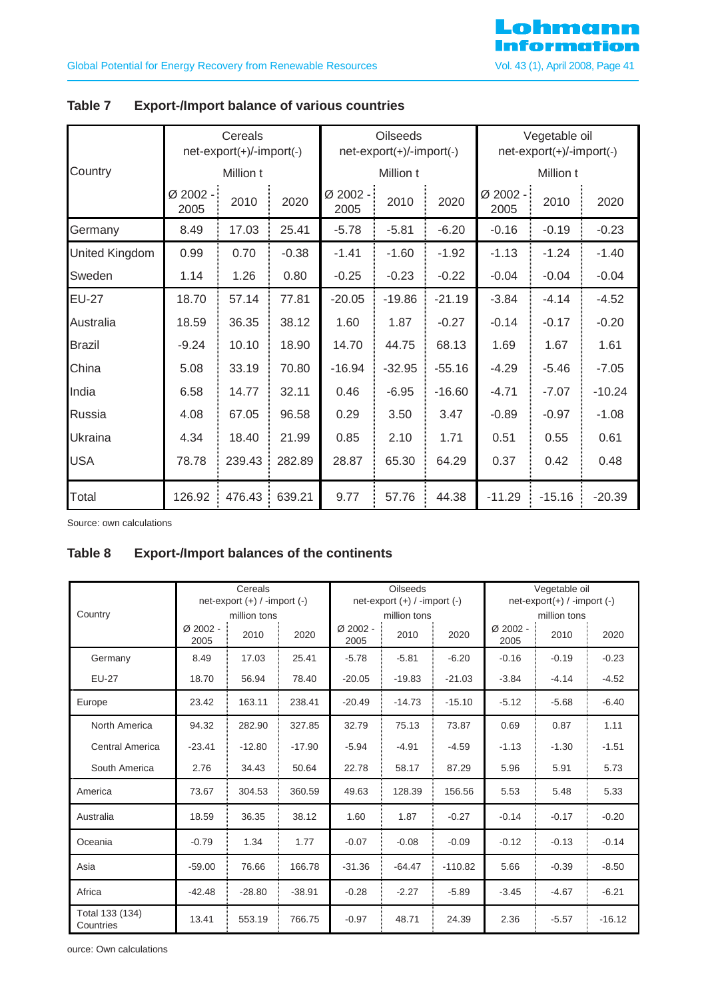|                | Cereals<br>net-export(+)/-import(-) |        |         |                  | <b>Oilseeds</b><br>net-export(+)/-import(-) |          |                  | Vegetable oil<br>net-export(+)/-import(-) |          |  |
|----------------|-------------------------------------|--------|---------|------------------|---------------------------------------------|----------|------------------|-------------------------------------------|----------|--|
| Country        | Million t                           |        |         |                  | Million t                                   |          |                  | Million t                                 |          |  |
|                | Ø 2002 -<br>2005                    | 2010   | 2020    | Ø 2002 -<br>2005 | 2010                                        | 2020     | Ø 2002 -<br>2005 | 2010                                      | 2020     |  |
| Germany        | 8.49                                | 17.03  | 25.41   | $-5.78$          | $-5.81$                                     | $-6.20$  | $-0.16$          | $-0.19$                                   | $-0.23$  |  |
| United Kingdom | 0.99                                | 0.70   | $-0.38$ | $-1.41$          | $-1.60$                                     | $-1.92$  | $-1.13$          | $-1.24$                                   | $-1.40$  |  |
| Sweden         | 1.14                                | 1.26   | 0.80    | $-0.25$          | $-0.23$                                     | $-0.22$  | $-0.04$          | $-0.04$                                   | $-0.04$  |  |
| <b>EU-27</b>   | 18.70                               | 57.14  | 77.81   | $-20.05$         | $-19.86$                                    | $-21.19$ | $-3.84$          | $-4.14$                                   | $-4.52$  |  |
| Australia      | 18.59                               | 36.35  | 38.12   | 1.60             | 1.87                                        | $-0.27$  | $-0.14$          | $-0.17$                                   | $-0.20$  |  |
| <b>Brazil</b>  | $-9.24$                             | 10.10  | 18.90   | 14.70            | 44.75                                       | 68.13    | 1.69             | 1.67                                      | 1.61     |  |
| China          | 5.08                                | 33.19  | 70.80   | $-16.94$         | $-32.95$                                    | $-55.16$ | $-4.29$          | $-5.46$                                   | $-7.05$  |  |
| India          | 6.58                                | 14.77  | 32.11   | 0.46             | $-6.95$                                     | $-16.60$ | $-4.71$          | $-7.07$                                   | $-10.24$ |  |
| Russia         | 4.08                                | 67.05  | 96.58   | 0.29             | 3.50                                        | 3.47     | $-0.89$          | $-0.97$                                   | $-1.08$  |  |
| Ukraina        | 4.34                                | 18.40  | 21.99   | 0.85             | 2.10                                        | 1.71     | 0.51             | 0.55                                      | 0.61     |  |
| <b>USA</b>     | 78.78                               | 239.43 | 282.89  | 28.87            | 65.30                                       | 64.29    | 0.37             | 0.42                                      | 0.48     |  |
| Total          | 126.92                              | 476.43 | 639.21  | 9.77             | 57.76                                       | 44.38    | $-11.29$         | $-15.16$                                  | $-20.39$ |  |

# **Table 7 Export-/Import balance of various countries**

Source: own calculations

# **Table 8 Export-/Import balances of the continents**

|                              | Cereals<br>net-export $(+)$ / -import $(-)$ |                      |          |                    | <b>Oilseeds</b><br>$net-export (+) / -import (-)$ |           |                  | Vegetable oil<br>$net-export(+) / -import (-)$<br>million tons |          |  |
|------------------------------|---------------------------------------------|----------------------|----------|--------------------|---------------------------------------------------|-----------|------------------|----------------------------------------------------------------|----------|--|
| Country                      | $Ø$ 2002 -<br>2005                          | million tons<br>2010 | 2020     | $Ø$ 2002 -<br>2005 | million tons<br>2010                              | 2020      | Ø 2002 -<br>2005 | 2010                                                           | 2020     |  |
| Germany                      | 8.49                                        | 17.03                | 25.41    | $-5.78$            | $-5.81$                                           | $-6.20$   | $-0.16$          | $-0.19$                                                        | $-0.23$  |  |
| <b>EU-27</b>                 | 18.70                                       | 56.94                | 78.40    | $-20.05$           | $-19.83$                                          | $-21.03$  | $-3.84$          | $-4.14$                                                        | $-4.52$  |  |
| Europe                       | 23.42                                       | 163.11               | 238.41   | $-20.49$           | $-14.73$                                          | $-15.10$  | $-5.12$          | $-5.68$                                                        | $-6.40$  |  |
| North America                | 94.32                                       | 282.90               | 327.85   | 32.79              | 75.13                                             | 73.87     | 0.69             | 0.87                                                           | 1.11     |  |
| <b>Central America</b>       | $-23.41$                                    | $-12.80$             | $-17.90$ | $-5.94$            | $-4.91$                                           | $-4.59$   | $-1.13$          | $-1.30$                                                        | $-1.51$  |  |
| South America                | 2.76                                        | 34.43                | 50.64    | 22.78              | 58.17                                             | 87.29     | 5.96             | 5.91                                                           | 5.73     |  |
| America                      | 73.67                                       | 304.53               | 360.59   | 49.63              | 128.39                                            | 156.56    | 5.53             | 5.48                                                           | 5.33     |  |
| Australia                    | 18.59                                       | 36.35                | 38.12    | 1.60               | 1.87                                              | $-0.27$   | $-0.14$          | $-0.17$                                                        | $-0.20$  |  |
| Oceania                      | $-0.79$                                     | 1.34                 | 1.77     | $-0.07$            | $-0.08$                                           | $-0.09$   | $-0.12$          | $-0.13$                                                        | $-0.14$  |  |
| Asia                         | $-59.00$                                    | 76.66                | 166.78   | $-31.36$           | $-64.47$                                          | $-110.82$ | 5.66             | $-0.39$                                                        | $-8.50$  |  |
| Africa                       | $-42.48$                                    | $-28.80$             | $-38.91$ | $-0.28$            | $-2.27$                                           | $-5.89$   | $-3.45$          | $-4.67$                                                        | $-6.21$  |  |
| Total 133 (134)<br>Countries | 13.41                                       | 553.19               | 766.75   | $-0.97$            | 48.71                                             | 24.39     | 2.36             | $-5.57$                                                        | $-16.12$ |  |

ource: Own calculations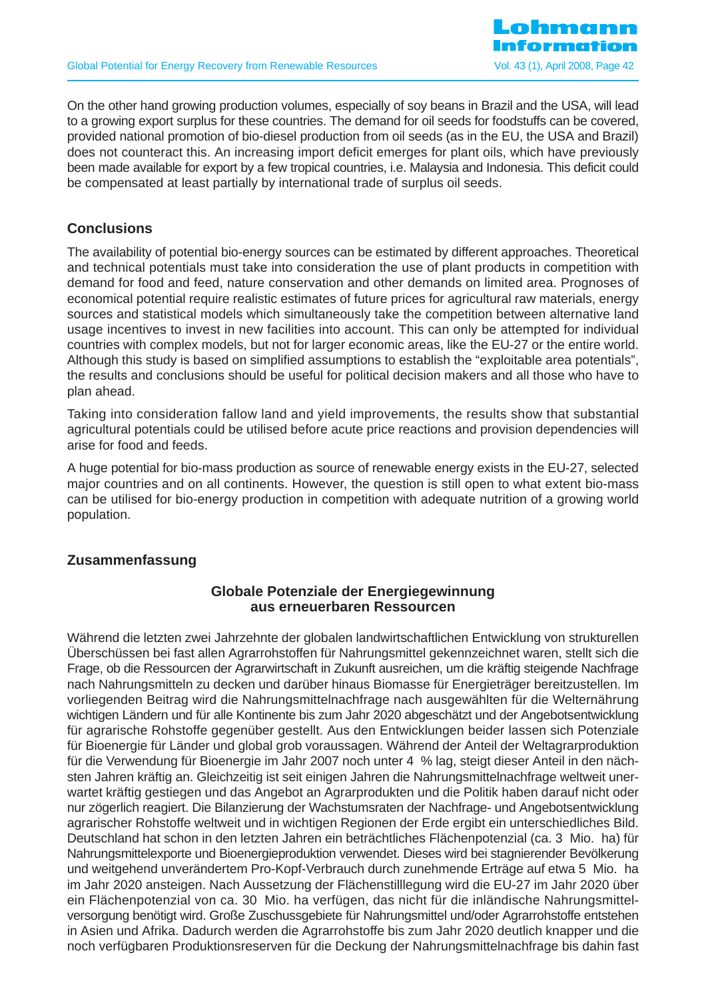On the other hand growing production volumes, especially of soy beans in Brazil and the USA, will lead to a growing export surplus for these countries. The demand for oil seeds for foodstuffs can be covered, provided national promotion of bio-diesel production from oil seeds (as in the EU, the USA and Brazil) does not counteract this. An increasing import deficit emerges for plant oils, which have previously been made available for export by a few tropical countries, i.e. Malaysia and Indonesia. This deficit could be compensated at least partially by international trade of surplus oil seeds.

# **Conclusions**

The availability of potential bio-energy sources can be estimated by different approaches. Theoretical and technical potentials must take into consideration the use of plant products in competition with demand for food and feed, nature conservation and other demands on limited area. Prognoses of economical potential require realistic estimates of future prices for agricultural raw materials, energy sources and statistical models which simultaneously take the competition between alternative land usage incentives to invest in new facilities into account. This can only be attempted for individual countries with complex models, but not for larger economic areas, like the EU-27 or the entire world. Although this study is based on simplified assumptions to establish the "exploitable area potentials", the results and conclusions should be useful for political decision makers and all those who have to plan ahead.

Taking into consideration fallow land and yield improvements, the results show that substantial agricultural potentials could be utilised before acute price reactions and provision dependencies will arise for food and feeds.

A huge potential for bio-mass production as source of renewable energy exists in the EU-27, selected major countries and on all continents. However, the question is still open to what extent bio-mass can be utilised for bio-energy production in competition with adequate nutrition of a growing world population.

# **Zusammenfassung**

# **Globale Potenziale der Energiegewinnung aus erneuerbaren Ressourcen**

Während die letzten zwei Jahrzehnte der globalen landwirtschaftlichen Entwicklung von strukturellen Überschüssen bei fast allen Agrarrohstoffen für Nahrungsmittel gekennzeichnet waren, stellt sich die Frage, ob die Ressourcen der Agrarwirtschaft in Zukunft ausreichen, um die kräftig steigende Nachfrage nach Nahrungsmitteln zu decken und darüber hinaus Biomasse für Energieträger bereitzustellen. Im vorliegenden Beitrag wird die Nahrungsmittelnachfrage nach ausgewählten für die Welternährung wichtigen Ländern und für alle Kontinente bis zum Jahr 2020 abgeschätzt und der Angebotsentwicklung für agrarische Rohstoffe gegenüber gestellt. Aus den Entwicklungen beider lassen sich Potenziale für Bioenergie für Länder und global grob voraussagen. Während der Anteil der Weltagrarproduktion für die Verwendung für Bioenergie im Jahr 2007 noch unter 4 % lag, steigt dieser Anteil in den nächsten Jahren kräftig an. Gleichzeitig ist seit einigen Jahren die Nahrungsmittelnachfrage weltweit unerwartet kräftig gestiegen und das Angebot an Agrarprodukten und die Politik haben darauf nicht oder nur zögerlich reagiert. Die Bilanzierung der Wachstumsraten der Nachfrage- und Angebotsentwicklung agrarischer Rohstoffe weltweit und in wichtigen Regionen der Erde ergibt ein unterschiedliches Bild. Deutschland hat schon in den letzten Jahren ein beträchtliches Flächenpotenzial (ca. 3 Mio. ha) für Nahrungsmittelexporte und Bioenergieproduktion verwendet. Dieses wird bei stagnierender Bevölkerung und weitgehend unverändertem Pro-Kopf-Verbrauch durch zunehmende Erträge auf etwa 5 Mio. ha im Jahr 2020 ansteigen. Nach Aussetzung der Flächenstilllegung wird die EU-27 im Jahr 2020 über ein Flächenpotenzial von ca. 30 Mio. ha verfügen, das nicht für die inländische Nahrungsmittelversorgung benötigt wird. Große Zuschussgebiete für Nahrungsmittel und/oder Agrarrohstoffe entstehen in Asien und Afrika. Dadurch werden die Agrarrohstoffe bis zum Jahr 2020 deutlich knapper und die noch verfügbaren Produktionsreserven für die Deckung der Nahrungsmittelnachfrage bis dahin fast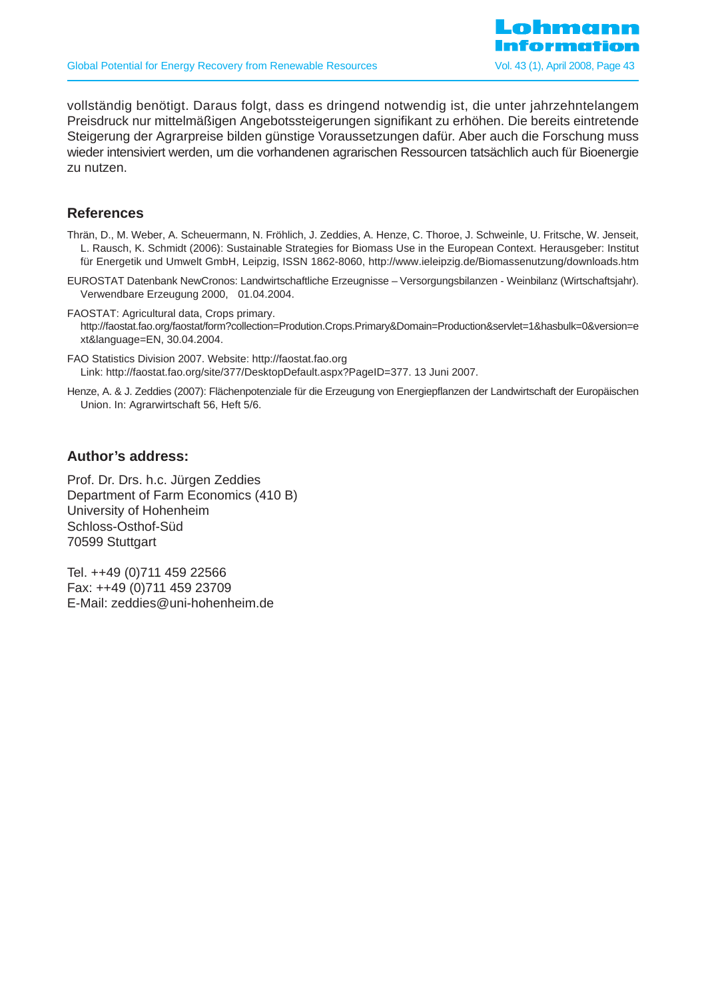

vollständig benötigt. Daraus folgt, dass es dringend notwendig ist, die unter jahrzehntelangem Preisdruck nur mittelmäßigen Angebotssteigerungen signifikant zu erhöhen. Die bereits eintretende Steigerung der Agrarpreise bilden günstige Voraussetzungen dafür. Aber auch die Forschung muss wieder intensiviert werden, um die vorhandenen agrarischen Ressourcen tatsächlich auch für Bioenergie zu nutzen.

# **References**

Thrän, D., M. Weber, A. Scheuermann, N. Fröhlich, J. Zeddies, A. Henze, C. Thoroe, J. Schweinle, U. Fritsche, W. Jenseit, L. Rausch, K. Schmidt (2006): Sustainable Strategies for Biomass Use in the European Context. Herausgeber: Institut für Energetik und Umwelt GmbH, Leipzig, ISSN 1862-8060, http://www.ieleipzig.de/Biomassenutzung/downloads.htm

EUROSTAT Datenbank NewCronos: Landwirtschaftliche Erzeugnisse – Versorgungsbilanzen - Weinbilanz (Wirtschaftsjahr). Verwendbare Erzeugung 2000, 01.04.2004.

FAOSTAT: Agricultural data, Crops primary. http://faostat.fao.org/faostat/form?collection=Prodution.Crops.Primary&Domain=Production&servlet=1&hasbulk=0&version=e xt&language=EN, 30.04.2004.

FAO Statistics Division 2007. Website: http://faostat.fao.org Link: http://faostat.fao.org/site/377/DesktopDefault.aspx?PageID=377. 13 Juni 2007.

Henze, A. & J. Zeddies (2007): Flächenpotenziale für die Erzeugung von Energiepflanzen der Landwirtschaft der Europäischen Union. In: Agrarwirtschaft 56, Heft 5/6.

### **Author's address:**

Prof. Dr. Drs. h.c. Jürgen Zeddies Department of Farm Economics (410 B) University of Hohenheim Schloss-Osthof-Süd 70599 Stuttgart

Tel. ++49 (0)711 459 22566 Fax: ++49 (0)711 459 23709 E-Mail: zeddies@uni-hohenheim.de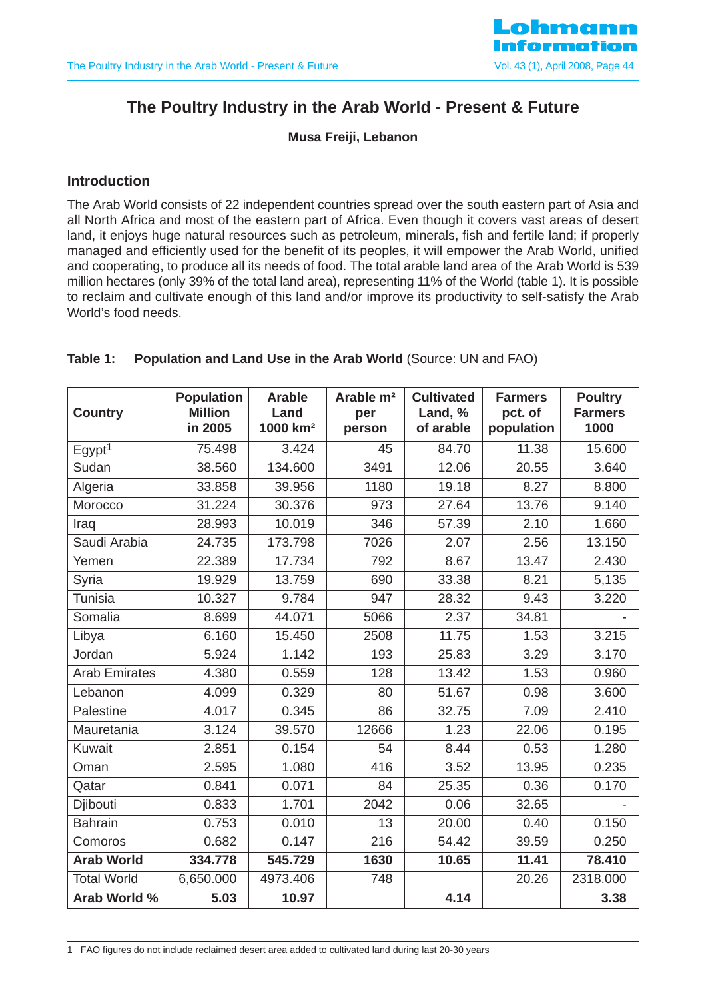

# **The Poultry Industry in the Arab World - Present & Future**

**Musa Freiji, Lebanon**

### **Introduction**

The Arab World consists of 22 independent countries spread over the south eastern part of Asia and all North Africa and most of the eastern part of Africa. Even though it covers vast areas of desert land, it enjoys huge natural resources such as petroleum, minerals, fish and fertile land; if properly managed and efficiently used for the benefit of its peoples, it will empower the Arab World, unified and cooperating, to produce all its needs of food. The total arable land area of the Arab World is 539 million hectares (only 39% of the total land area), representing 11% of the World (table 1). It is possible to reclaim and cultivate enough of this land and/or improve its productivity to self-satisfy the Arab World's food needs.

| <b>Country</b>       | <b>Population</b><br><b>Million</b><br>in 2005 | <b>Arable</b><br>Land<br>1000 km <sup>2</sup> | Arable m <sup>2</sup><br>per<br>person | <b>Cultivated</b><br>Land, %<br>of arable | <b>Farmers</b><br>pct. of<br>population | <b>Poultry</b><br><b>Farmers</b><br>1000 |
|----------------------|------------------------------------------------|-----------------------------------------------|----------------------------------------|-------------------------------------------|-----------------------------------------|------------------------------------------|
| Egypt <sup>1</sup>   | 75.498                                         | 3.424                                         | 45                                     | 84.70                                     | 11.38                                   | 15.600                                   |
| Sudan                | 38.560                                         | 134.600                                       | 3491                                   | 12.06                                     | 20.55                                   | 3.640                                    |
| Algeria              | 33.858                                         | 39.956                                        | 1180                                   | 19.18                                     | 8.27                                    | 8.800                                    |
| Morocco              | 31.224                                         | 30.376                                        | 973                                    | 27.64                                     | 13.76                                   | 9.140                                    |
| Iraq                 | 28.993                                         | 10.019                                        | 346                                    | 57.39                                     | 2.10                                    | 1.660                                    |
| Saudi Arabia         | 24.735                                         | 173.798                                       | 7026                                   | 2.07                                      | 2.56                                    | 13.150                                   |
| Yemen                | 22.389                                         | 17.734                                        | 792                                    | 8.67                                      | 13.47                                   | 2.430                                    |
| Syria                | 19.929                                         | 13.759                                        | 690                                    | 33.38                                     | 8.21                                    | 5,135                                    |
| Tunisia              | 10.327                                         | 9.784                                         | 947                                    | 28.32                                     | 9.43                                    | 3.220                                    |
| Somalia              | 8.699                                          | 44.071                                        | 5066                                   | 2.37                                      | 34.81                                   |                                          |
| Libya                | 6.160                                          | 15.450                                        | 2508                                   | 11.75                                     | 1.53                                    | 3.215                                    |
| Jordan               | 5.924                                          | 1.142                                         | 193                                    | 25.83                                     | 3.29                                    | 3.170                                    |
| <b>Arab Emirates</b> | 4.380                                          | 0.559                                         | 128                                    | 13.42                                     | 1.53                                    | 0.960                                    |
| Lebanon              | 4.099                                          | 0.329                                         | 80                                     | 51.67                                     | 0.98                                    | 3.600                                    |
| Palestine            | 4.017                                          | 0.345                                         | 86                                     | 32.75                                     | 7.09                                    | 2.410                                    |
| Mauretania           | 3.124                                          | 39.570                                        | 12666                                  | 1.23                                      | 22.06                                   | 0.195                                    |
| Kuwait               | 2.851                                          | 0.154                                         | 54                                     | 8.44                                      | 0.53                                    | 1.280                                    |
| Oman                 | 2.595                                          | 1.080                                         | 416                                    | 3.52                                      | 13.95                                   | 0.235                                    |
| Qatar                | 0.841                                          | 0.071                                         | 84                                     | 25.35                                     | 0.36                                    | 0.170                                    |
| Djibouti             | 0.833                                          | 1.701                                         | 2042                                   | 0.06                                      | 32.65                                   |                                          |
| <b>Bahrain</b>       | 0.753                                          | 0.010                                         | 13                                     | 20.00                                     | 0.40                                    | 0.150                                    |
| Comoros              | 0.682                                          | 0.147                                         | 216                                    | 54.42                                     | 39.59                                   | 0.250                                    |
| <b>Arab World</b>    | 334.778                                        | 545.729                                       | 1630                                   | 10.65                                     | 11.41                                   | 78.410                                   |
| <b>Total World</b>   | 6,650.000                                      | 4973.406                                      | 748                                    |                                           | 20.26                                   | 2318.000                                 |
| Arab World %         | 5.03                                           | 10.97                                         |                                        | 4.14                                      |                                         | 3.38                                     |

#### **Table 1: Population and Land Use in the Arab World (Source: UN and FAO)**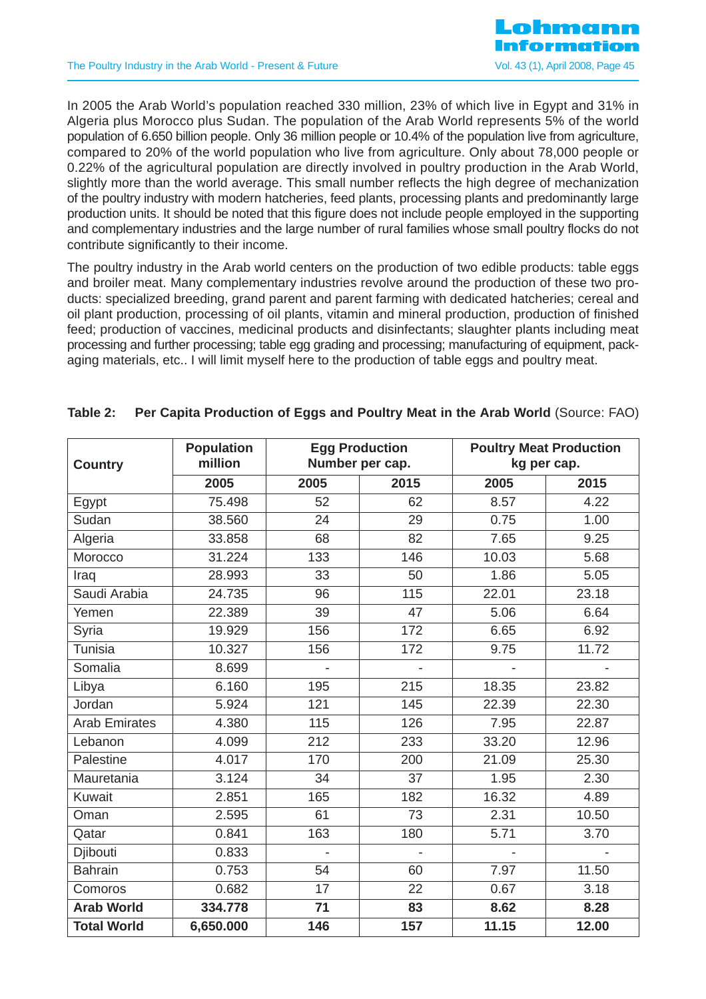

In 2005 the Arab World's population reached 330 million, 23% of which live in Egypt and 31% in Algeria plus Morocco plus Sudan. The population of the Arab World represents 5% of the world population of 6.650 billion people. Only 36 million people or 10.4% of the population live from agriculture, compared to 20% of the world population who live from agriculture. Only about 78,000 people or 0.22% of the agricultural population are directly involved in poultry production in the Arab World, slightly more than the world average. This small number reflects the high degree of mechanization of the poultry industry with modern hatcheries, feed plants, processing plants and predominantly large production units. It should be noted that this figure does not include people employed in the supporting and complementary industries and the large number of rural families whose small poultry flocks do not contribute significantly to their income.

The poultry industry in the Arab world centers on the production of two edible products: table eggs and broiler meat. Many complementary industries revolve around the production of these two products: specialized breeding, grand parent and parent farming with dedicated hatcheries; cereal and oil plant production, processing of oil plants, vitamin and mineral production, production of finished feed; production of vaccines, medicinal products and disinfectants; slaughter plants including meat processing and further processing; table egg grading and processing; manufacturing of equipment, packaging materials, etc.. I will limit myself here to the production of table eggs and poultry meat.

| <b>Country</b>       | <b>Population</b><br>million |                | <b>Egg Production</b><br>Number per cap. |       | <b>Poultry Meat Production</b><br>kg per cap. |
|----------------------|------------------------------|----------------|------------------------------------------|-------|-----------------------------------------------|
|                      | 2005                         | 2005           | 2015                                     | 2005  | 2015                                          |
| Egypt                | 75.498                       | 52             | 62                                       | 8.57  | 4.22                                          |
| Sudan                | 38.560                       | 24             | 29                                       | 0.75  | 1.00                                          |
| Algeria              | 33.858                       | 68             | 82                                       | 7.65  | 9.25                                          |
| Morocco              | 31.224                       | 133            | 146                                      | 10.03 | 5.68                                          |
| Iraq                 | 28.993                       | 33             | 50                                       | 1.86  | 5.05                                          |
| Saudi Arabia         | 24.735                       | 96             | 115                                      | 22.01 | 23.18                                         |
| Yemen                | 22.389                       | 39             | 47                                       | 5.06  | 6.64                                          |
| Syria                | 19.929                       | 156            | 172                                      | 6.65  | 6.92                                          |
| Tunisia              | 10.327                       | 156            | 172                                      | 9.75  | 11.72                                         |
| Somalia              | 8.699                        | $\overline{a}$ | $\overline{a}$                           |       | $\overline{a}$                                |
| Libya                | 6.160                        | 195            | 215                                      | 18.35 | 23.82                                         |
| Jordan               | 5.924                        | 121            | 145                                      | 22.39 | 22.30                                         |
| <b>Arab Emirates</b> | 4.380                        | 115            | 126                                      | 7.95  | 22.87                                         |
| Lebanon              | 4.099                        | 212            | 233                                      | 33.20 | 12.96                                         |
| Palestine            | 4.017                        | 170            | 200                                      | 21.09 | 25.30                                         |
| Mauretania           | 3.124                        | 34             | 37                                       | 1.95  | 2.30                                          |
| Kuwait               | 2.851                        | 165            | 182                                      | 16.32 | 4.89                                          |
| Oman                 | 2.595                        | 61             | 73                                       | 2.31  | 10.50                                         |
| Qatar                | 0.841                        | 163            | 180                                      | 5.71  | 3.70                                          |
| Djibouti             | 0.833                        |                |                                          |       |                                               |
| <b>Bahrain</b>       | 0.753                        | 54             | 60                                       | 7.97  | 11.50                                         |
| Comoros              | 0.682                        | 17             | 22                                       | 0.67  | 3.18                                          |
| <b>Arab World</b>    | 334.778                      | 71             | 83                                       | 8.62  | 8.28                                          |
| <b>Total World</b>   | 6,650.000                    | 146            | 157                                      | 11.15 | 12.00                                         |

### **Table 2: Per Capita Production of Eggs and Poultry Meat in the Arab World** (Source: FAO)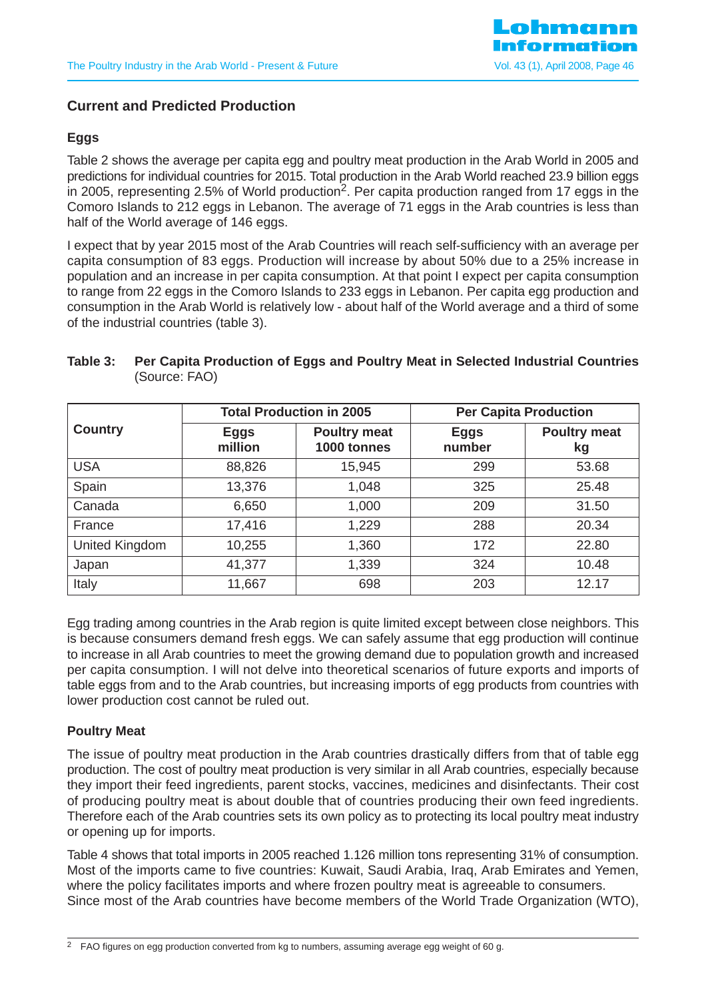

# **Current and Predicted Production**

### **Eggs**

Table 2 shows the average per capita egg and poultry meat production in the Arab World in 2005 and predictions for individual countries for 2015. Total production in the Arab World reached 23.9 billion eggs in 2005, representing 2.5% of World production<sup>2</sup>. Per capita production ranged from 17 eggs in the Comoro Islands to 212 eggs in Lebanon. The average of 71 eggs in the Arab countries is less than half of the World average of 146 eggs.

I expect that by year 2015 most of the Arab Countries will reach self-sufficiency with an average per capita consumption of 83 eggs. Production will increase by about 50% due to a 25% increase in population and an increase in per capita consumption. At that point I expect per capita consumption to range from 22 eggs in the Comoro Islands to 233 eggs in Lebanon. Per capita egg production and consumption in the Arab World is relatively low - about half of the World average and a third of some of the industrial countries (table 3).

# **Table 3: Per Capita Production of Eggs and Poultry Meat in Selected Industrial Countries** (Source: FAO)

|                |                        | <b>Total Production in 2005</b>    | <b>Per Capita Production</b> |                           |  |
|----------------|------------------------|------------------------------------|------------------------------|---------------------------|--|
| <b>Country</b> | <b>Eggs</b><br>million | <b>Poultry meat</b><br>1000 tonnes | <b>Eggs</b><br>number        | <b>Poultry meat</b><br>kg |  |
| <b>USA</b>     | 88,826                 | 15,945                             | 299                          | 53.68                     |  |
| Spain          | 13,376                 | 1,048                              | 325                          | 25.48                     |  |
| Canada         | 6,650                  | 1,000                              | 209                          | 31.50                     |  |
| France         | 17,416                 | 1,229                              | 288                          | 20.34                     |  |
| United Kingdom | 10,255                 | 1,360                              | 172                          | 22.80                     |  |
| Japan          | 41,377                 | 1,339                              | 324                          | 10.48                     |  |
| Italy          | 11,667                 | 698                                | 203                          | 12.17                     |  |

Egg trading among countries in the Arab region is quite limited except between close neighbors. This is because consumers demand fresh eggs. We can safely assume that egg production will continue to increase in all Arab countries to meet the growing demand due to population growth and increased per capita consumption. I will not delve into theoretical scenarios of future exports and imports of table eggs from and to the Arab countries, but increasing imports of egg products from countries with lower production cost cannot be ruled out.

### **Poultry Meat**

The issue of poultry meat production in the Arab countries drastically differs from that of table egg production. The cost of poultry meat production is very similar in all Arab countries, especially because they import their feed ingredients, parent stocks, vaccines, medicines and disinfectants. Their cost of producing poultry meat is about double that of countries producing their own feed ingredients. Therefore each of the Arab countries sets its own policy as to protecting its local poultry meat industry or opening up for imports.

Table 4 shows that total imports in 2005 reached 1.126 million tons representing 31% of consumption. Most of the imports came to five countries: Kuwait, Saudi Arabia, Iraq, Arab Emirates and Yemen, where the policy facilitates imports and where frozen poultry meat is agreeable to consumers. Since most of the Arab countries have become members of the World Trade Organization (WTO),

<sup>&</sup>lt;sup>2</sup> FAO figures on egg production converted from kg to numbers, assuming average egg weight of 60 g.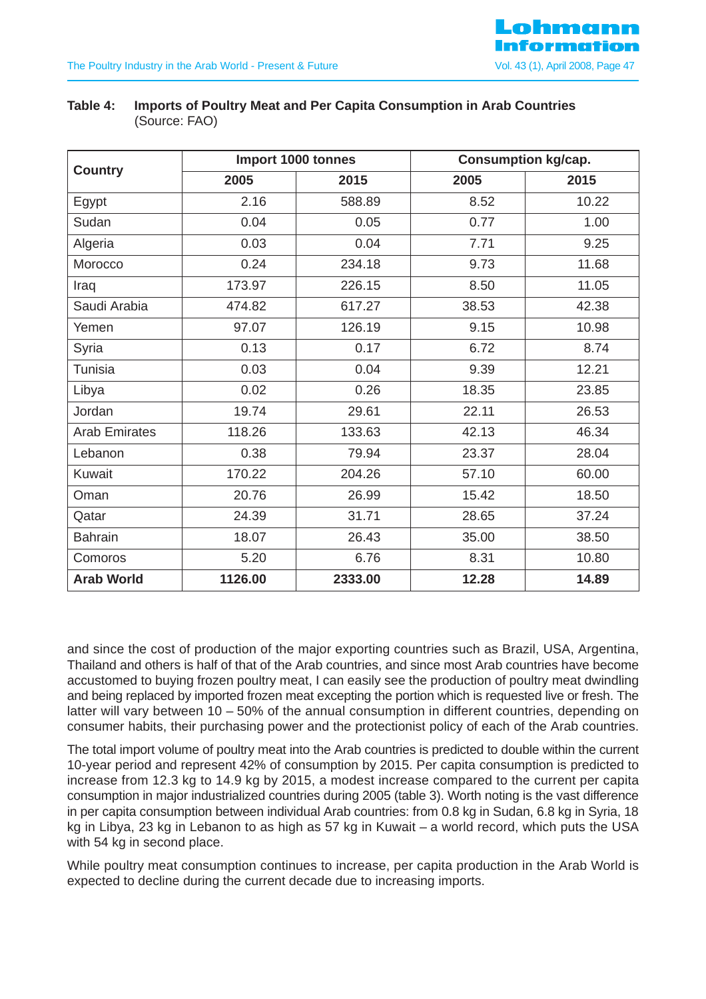|                      |         | Import 1000 tonnes |       | <b>Consumption kg/cap.</b> |
|----------------------|---------|--------------------|-------|----------------------------|
| <b>Country</b>       | 2005    | 2015               | 2005  | 2015                       |
| Egypt                | 2.16    | 588.89             | 8.52  | 10.22                      |
| Sudan                | 0.04    | 0.05               | 0.77  | 1.00                       |
| Algeria              | 0.03    | 0.04               | 7.71  | 9.25                       |
| Morocco              | 0.24    | 234.18             | 9.73  | 11.68                      |
| Iraq                 | 173.97  | 226.15             | 8.50  | 11.05                      |
| Saudi Arabia         | 474.82  | 617.27             | 38.53 | 42.38                      |
| Yemen                | 97.07   | 126.19             | 9.15  | 10.98                      |
| Syria                | 0.13    | 0.17               | 6.72  | 8.74                       |
| <b>Tunisia</b>       | 0.03    | 0.04               | 9.39  | 12.21                      |
| Libya                | 0.02    | 0.26               | 18.35 | 23.85                      |
| Jordan               | 19.74   | 29.61              | 22.11 | 26.53                      |
| <b>Arab Emirates</b> | 118.26  | 133.63             | 42.13 | 46.34                      |
| Lebanon              | 0.38    | 79.94              | 23.37 | 28.04                      |
| Kuwait               | 170.22  | 204.26             | 57.10 | 60.00                      |
| Oman                 | 20.76   | 26.99              | 15.42 | 18.50                      |
| Qatar                | 24.39   | 31.71              | 28.65 | 37.24                      |
| <b>Bahrain</b>       | 18.07   | 26.43              | 35.00 | 38.50                      |
| Comoros              | 5.20    | 6.76               | 8.31  | 10.80                      |
| <b>Arab World</b>    | 1126.00 | 2333.00            | 12.28 | 14.89                      |

**Table 4: Imports of Poultry Meat and Per Capita Consumption in Arab Countries**  (Source: FAO)

and since the cost of production of the major exporting countries such as Brazil, USA, Argentina, Thailand and others is half of that of the Arab countries, and since most Arab countries have become accustomed to buying frozen poultry meat, I can easily see the production of poultry meat dwindling and being replaced by imported frozen meat excepting the portion which is requested live or fresh. The latter will vary between 10 – 50% of the annual consumption in different countries, depending on consumer habits, their purchasing power and the protectionist policy of each of the Arab countries.

The total import volume of poultry meat into the Arab countries is predicted to double within the current 10-year period and represent 42% of consumption by 2015. Per capita consumption is predicted to increase from 12.3 kg to 14.9 kg by 2015, a modest increase compared to the current per capita consumption in major industrialized countries during 2005 (table 3). Worth noting is the vast difference in per capita consumption between individual Arab countries: from 0.8 kg in Sudan, 6.8 kg in Syria, 18 kg in Libya, 23 kg in Lebanon to as high as 57 kg in Kuwait – a world record, which puts the USA with 54 kg in second place.

While poultry meat consumption continues to increase, per capita production in the Arab World is expected to decline during the current decade due to increasing imports.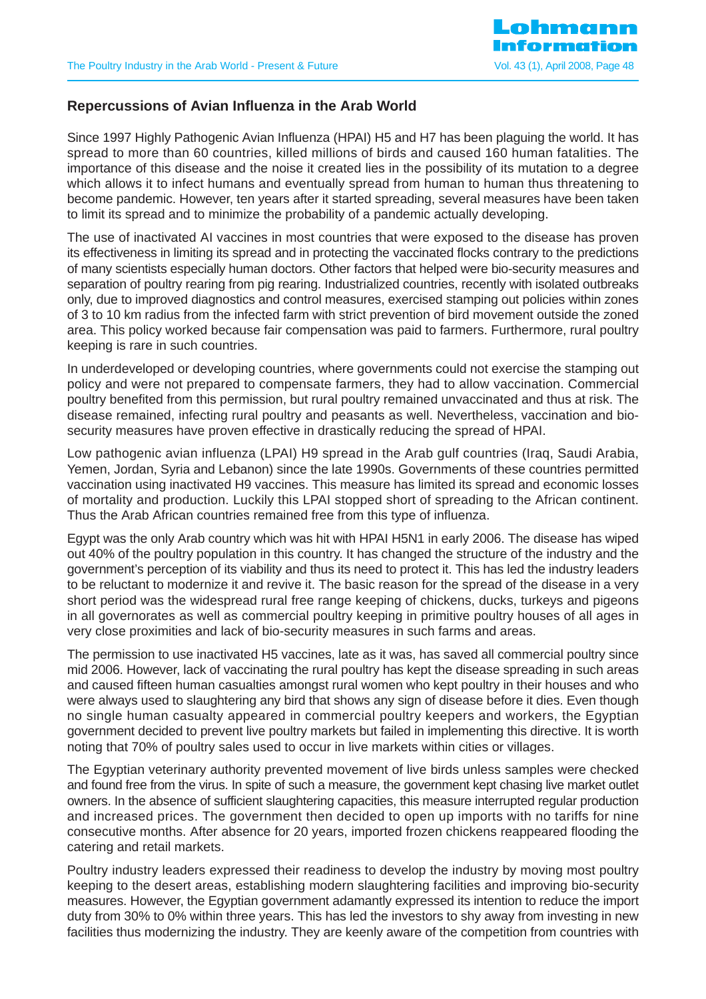# **Repercussions of Avian Influenza in the Arab World**

Since 1997 Highly Pathogenic Avian Influenza (HPAI) H5 and H7 has been plaguing the world. It has spread to more than 60 countries, killed millions of birds and caused 160 human fatalities. The importance of this disease and the noise it created lies in the possibility of its mutation to a degree which allows it to infect humans and eventually spread from human to human thus threatening to become pandemic. However, ten years after it started spreading, several measures have been taken to limit its spread and to minimize the probability of a pandemic actually developing.

The use of inactivated AI vaccines in most countries that were exposed to the disease has proven its effectiveness in limiting its spread and in protecting the vaccinated flocks contrary to the predictions of many scientists especially human doctors. Other factors that helped were bio-security measures and separation of poultry rearing from pig rearing. Industrialized countries, recently with isolated outbreaks only, due to improved diagnostics and control measures, exercised stamping out policies within zones of 3 to 10 km radius from the infected farm with strict prevention of bird movement outside the zoned area. This policy worked because fair compensation was paid to farmers. Furthermore, rural poultry keeping is rare in such countries.

In underdeveloped or developing countries, where governments could not exercise the stamping out policy and were not prepared to compensate farmers, they had to allow vaccination. Commercial poultry benefited from this permission, but rural poultry remained unvaccinated and thus at risk. The disease remained, infecting rural poultry and peasants as well. Nevertheless, vaccination and biosecurity measures have proven effective in drastically reducing the spread of HPAI.

Low pathogenic avian influenza (LPAI) H9 spread in the Arab gulf countries (Iraq, Saudi Arabia, Yemen, Jordan, Syria and Lebanon) since the late 1990s. Governments of these countries permitted vaccination using inactivated H9 vaccines. This measure has limited its spread and economic losses of mortality and production. Luckily this LPAI stopped short of spreading to the African continent. Thus the Arab African countries remained free from this type of influenza.

Egypt was the only Arab country which was hit with HPAI H5N1 in early 2006. The disease has wiped out 40% of the poultry population in this country. It has changed the structure of the industry and the government's perception of its viability and thus its need to protect it. This has led the industry leaders to be reluctant to modernize it and revive it. The basic reason for the spread of the disease in a very short period was the widespread rural free range keeping of chickens, ducks, turkeys and pigeons in all governorates as well as commercial poultry keeping in primitive poultry houses of all ages in very close proximities and lack of bio-security measures in such farms and areas.

The permission to use inactivated H5 vaccines, late as it was, has saved all commercial poultry since mid 2006. However, lack of vaccinating the rural poultry has kept the disease spreading in such areas and caused fifteen human casualties amongst rural women who kept poultry in their houses and who were always used to slaughtering any bird that shows any sign of disease before it dies. Even though no single human casualty appeared in commercial poultry keepers and workers, the Egyptian government decided to prevent live poultry markets but failed in implementing this directive. It is worth noting that 70% of poultry sales used to occur in live markets within cities or villages.

The Egyptian veterinary authority prevented movement of live birds unless samples were checked and found free from the virus. In spite of such a measure, the government kept chasing live market outlet owners. In the absence of sufficient slaughtering capacities, this measure interrupted regular production and increased prices. The government then decided to open up imports with no tariffs for nine consecutive months. After absence for 20 years, imported frozen chickens reappeared flooding the catering and retail markets.

Poultry industry leaders expressed their readiness to develop the industry by moving most poultry keeping to the desert areas, establishing modern slaughtering facilities and improving bio-security measures. However, the Egyptian government adamantly expressed its intention to reduce the import duty from 30% to 0% within three years. This has led the investors to shy away from investing in new facilities thus modernizing the industry. They are keenly aware of the competition from countries with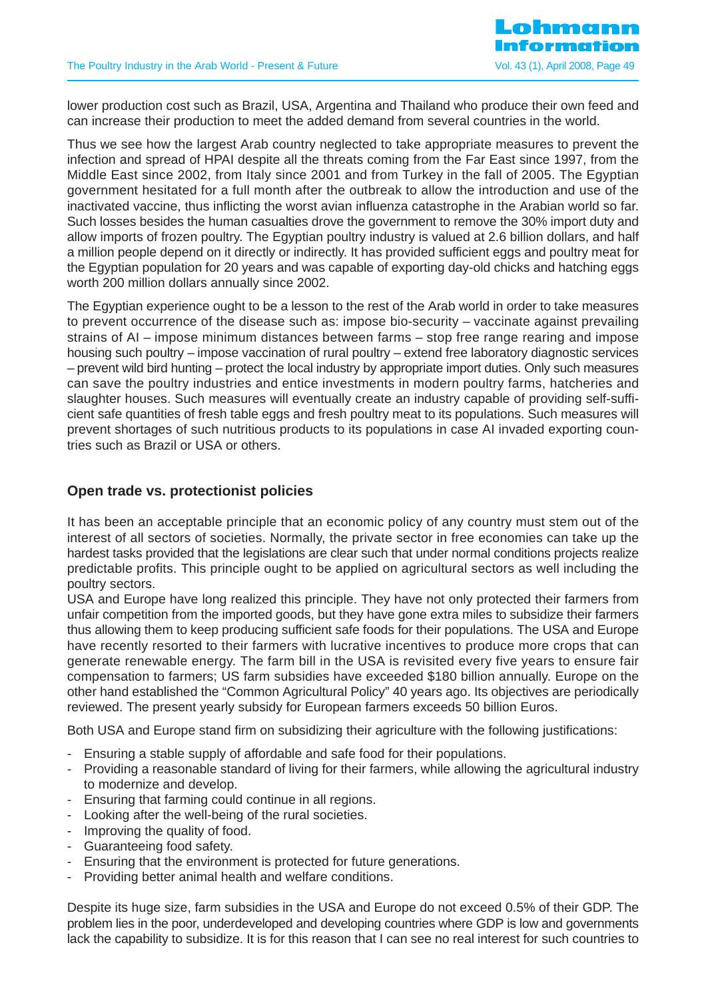lower production cost such as Brazil, USA, Argentina and Thailand who produce their own feed and can increase their production to meet the added demand from several countries in the world.

Thus we see how the largest Arab country neglected to take appropriate measures to prevent the infection and spread of HPAI despite all the threats coming from the Far East since 1997, from the Middle East since 2002, from Italy since 2001 and from Turkey in the fall of 2005. The Egyptian government hesitated for a full month after the outbreak to allow the introduction and use of the inactivated vaccine, thus inflicting the worst avian influenza catastrophe in the Arabian world so far. Such losses besides the human casualties drove the government to remove the 30% import duty and allow imports of frozen poultry. The Egyptian poultry industry is valued at 2.6 billion dollars, and half a million people depend on it directly or indirectly. It has provided sufficient eggs and poultry meat for the Egyptian population for 20 years and was capable of exporting day-old chicks and hatching eggs worth 200 million dollars annually since 2002.

The Egyptian experience ought to be a lesson to the rest of the Arab world in order to take measures to prevent occurrence of the disease such as: impose bio-security – vaccinate against prevailing strains of AI – impose minimum distances between farms – stop free range rearing and impose housing such poultry – impose vaccination of rural poultry – extend free laboratory diagnostic services – prevent wild bird hunting – protect the local industry by appropriate import duties. Only such measures can save the poultry industries and entice investments in modern poultry farms, hatcheries and slaughter houses. Such measures will eventually create an industry capable of providing self-sufficient safe quantities of fresh table eggs and fresh poultry meat to its populations. Such measures will prevent shortages of such nutritious products to its populations in case AI invaded exporting countries such as Brazil or USA or others.

### **Open trade vs. protectionist policies**

It has been an acceptable principle that an economic policy of any country must stem out of the interest of all sectors of societies. Normally, the private sector in free economies can take up the hardest tasks provided that the legislations are clear such that under normal conditions projects realize predictable profits. This principle ought to be applied on agricultural sectors as well including the poultry sectors.

USA and Europe have long realized this principle. They have not only protected their farmers from unfair competition from the imported goods, but they have gone extra miles to subsidize their farmers thus allowing them to keep producing sufficient safe foods for their populations. The USA and Europe have recently resorted to their farmers with lucrative incentives to produce more crops that can generate renewable energy. The farm bill in the USA is revisited every five years to ensure fair compensation to farmers; US farm subsidies have exceeded \$180 billion annually. Europe on the other hand established the "Common Agricultural Policy" 40 years ago. Its objectives are periodically reviewed. The present yearly subsidy for European farmers exceeds 50 billion Euros.

Both USA and Europe stand firm on subsidizing their agriculture with the following justifications:

- Ensuring a stable supply of affordable and safe food for their populations.
- Providing a reasonable standard of living for their farmers, while allowing the agricultural industry to modernize and develop.
- Ensuring that farming could continue in all regions.
- Looking after the well-being of the rural societies.
- Improving the quality of food.
- Guaranteeing food safety.
- Ensuring that the environment is protected for future generations.
- Providing better animal health and welfare conditions.

Despite its huge size, farm subsidies in the USA and Europe do not exceed 0.5% of their GDP. The problem lies in the poor, underdeveloped and developing countries where GDP is low and governments lack the capability to subsidize. It is for this reason that I can see no real interest for such countries to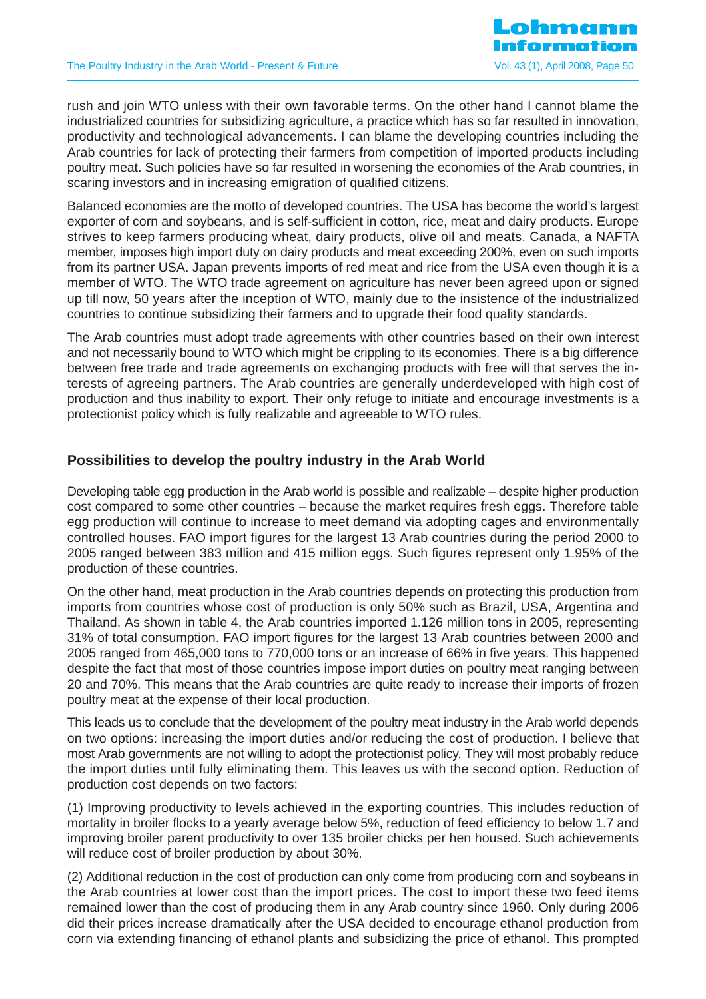rush and join WTO unless with their own favorable terms. On the other hand I cannot blame the industrialized countries for subsidizing agriculture, a practice which has so far resulted in innovation, productivity and technological advancements. I can blame the developing countries including the Arab countries for lack of protecting their farmers from competition of imported products including poultry meat. Such policies have so far resulted in worsening the economies of the Arab countries, in scaring investors and in increasing emigration of qualified citizens.

Balanced economies are the motto of developed countries. The USA has become the world's largest exporter of corn and soybeans, and is self-sufficient in cotton, rice, meat and dairy products. Europe strives to keep farmers producing wheat, dairy products, olive oil and meats. Canada, a NAFTA member, imposes high import duty on dairy products and meat exceeding 200%, even on such imports from its partner USA. Japan prevents imports of red meat and rice from the USA even though it is a member of WTO. The WTO trade agreement on agriculture has never been agreed upon or signed up till now, 50 years after the inception of WTO, mainly due to the insistence of the industrialized countries to continue subsidizing their farmers and to upgrade their food quality standards.

The Arab countries must adopt trade agreements with other countries based on their own interest and not necessarily bound to WTO which might be crippling to its economies. There is a big difference between free trade and trade agreements on exchanging products with free will that serves the interests of agreeing partners. The Arab countries are generally underdeveloped with high cost of production and thus inability to export. Their only refuge to initiate and encourage investments is a protectionist policy which is fully realizable and agreeable to WTO rules.

# **Possibilities to develop the poultry industry in the Arab World**

Developing table egg production in the Arab world is possible and realizable – despite higher production cost compared to some other countries – because the market requires fresh eggs. Therefore table egg production will continue to increase to meet demand via adopting cages and environmentally controlled houses. FAO import figures for the largest 13 Arab countries during the period 2000 to 2005 ranged between 383 million and 415 million eggs. Such figures represent only 1.95% of the production of these countries.

On the other hand, meat production in the Arab countries depends on protecting this production from imports from countries whose cost of production is only 50% such as Brazil, USA, Argentina and Thailand. As shown in table 4, the Arab countries imported 1.126 million tons in 2005, representing 31% of total consumption. FAO import figures for the largest 13 Arab countries between 2000 and 2005 ranged from 465,000 tons to 770,000 tons or an increase of 66% in five years. This happened despite the fact that most of those countries impose import duties on poultry meat ranging between 20 and 70%. This means that the Arab countries are quite ready to increase their imports of frozen poultry meat at the expense of their local production.

This leads us to conclude that the development of the poultry meat industry in the Arab world depends on two options: increasing the import duties and/or reducing the cost of production. I believe that most Arab governments are not willing to adopt the protectionist policy. They will most probably reduce the import duties until fully eliminating them. This leaves us with the second option. Reduction of production cost depends on two factors:

(1) Improving productivity to levels achieved in the exporting countries. This includes reduction of mortality in broiler flocks to a yearly average below 5%, reduction of feed efficiency to below 1.7 and improving broiler parent productivity to over 135 broiler chicks per hen housed. Such achievements will reduce cost of broiler production by about 30%.

(2) Additional reduction in the cost of production can only come from producing corn and soybeans in the Arab countries at lower cost than the import prices. The cost to import these two feed items remained lower than the cost of producing them in any Arab country since 1960. Only during 2006 did their prices increase dramatically after the USA decided to encourage ethanol production from corn via extending financing of ethanol plants and subsidizing the price of ethanol. This prompted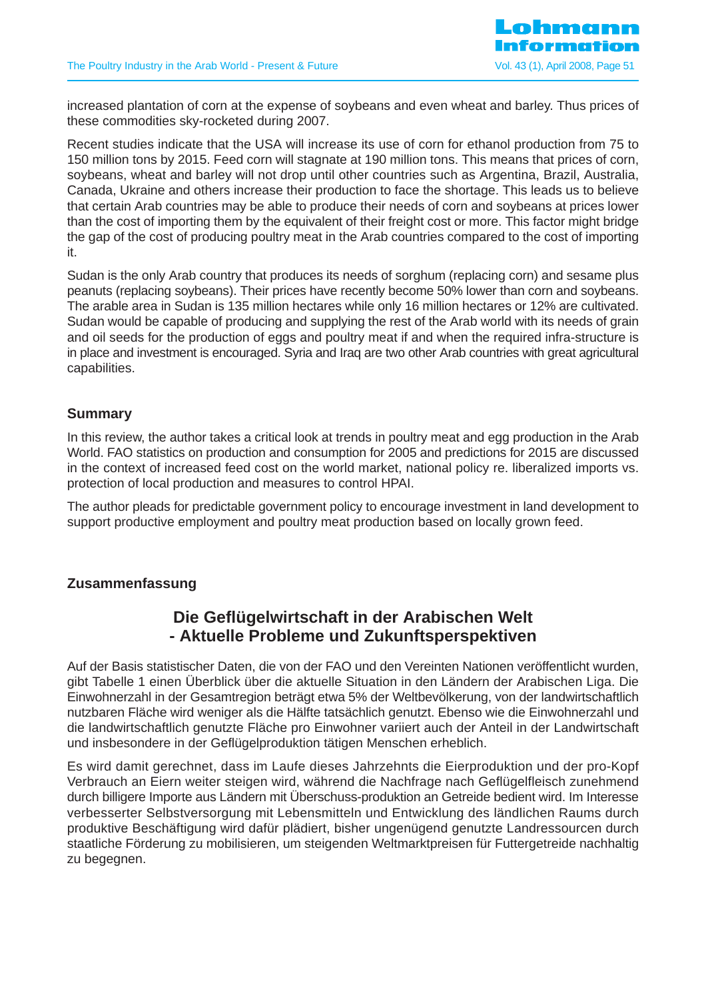

increased plantation of corn at the expense of soybeans and even wheat and barley. Thus prices of these commodities sky-rocketed during 2007.

Recent studies indicate that the USA will increase its use of corn for ethanol production from 75 to 150 million tons by 2015. Feed corn will stagnate at 190 million tons. This means that prices of corn, soybeans, wheat and barley will not drop until other countries such as Argentina, Brazil, Australia, Canada, Ukraine and others increase their production to face the shortage. This leads us to believe that certain Arab countries may be able to produce their needs of corn and soybeans at prices lower than the cost of importing them by the equivalent of their freight cost or more. This factor might bridge the gap of the cost of producing poultry meat in the Arab countries compared to the cost of importing it.

Sudan is the only Arab country that produces its needs of sorghum (replacing corn) and sesame plus peanuts (replacing soybeans). Their prices have recently become 50% lower than corn and soybeans. The arable area in Sudan is 135 million hectares while only 16 million hectares or 12% are cultivated. Sudan would be capable of producing and supplying the rest of the Arab world with its needs of grain and oil seeds for the production of eggs and poultry meat if and when the required infra-structure is in place and investment is encouraged. Syria and Iraq are two other Arab countries with great agricultural capabilities.

### **Summary**

In this review, the author takes a critical look at trends in poultry meat and egg production in the Arab World. FAO statistics on production and consumption for 2005 and predictions for 2015 are discussed in the context of increased feed cost on the world market, national policy re. liberalized imports vs. protection of local production and measures to control HPAI.

The author pleads for predictable government policy to encourage investment in land development to support productive employment and poultry meat production based on locally grown feed.

#### **Zusammenfassung**

# **Die Geflügelwirtschaft in der Arabischen Welt - Aktuelle Probleme und Zukunftsperspektiven**

Auf der Basis statistischer Daten, die von der FAO und den Vereinten Nationen veröffentlicht wurden, gibt Tabelle 1 einen Überblick über die aktuelle Situation in den Ländern der Arabischen Liga. Die Einwohnerzahl in der Gesamtregion beträgt etwa 5% der Weltbevölkerung, von der landwirtschaftlich nutzbaren Fläche wird weniger als die Hälfte tatsächlich genutzt. Ebenso wie die Einwohnerzahl und die landwirtschaftlich genutzte Fläche pro Einwohner variiert auch der Anteil in der Landwirtschaft und insbesondere in der Geflügelproduktion tätigen Menschen erheblich.

Es wird damit gerechnet, dass im Laufe dieses Jahrzehnts die Eierproduktion und der pro-Kopf Verbrauch an Eiern weiter steigen wird, während die Nachfrage nach Geflügelfleisch zunehmend durch billigere Importe aus Ländern mit Überschuss-produktion an Getreide bedient wird. Im Interesse verbesserter Selbstversorgung mit Lebensmitteln und Entwicklung des ländlichen Raums durch produktive Beschäftigung wird dafür plädiert, bisher ungenügend genutzte Landressourcen durch staatliche Förderung zu mobilisieren, um steigenden Weltmarktpreisen für Futtergetreide nachhaltig zu begegnen.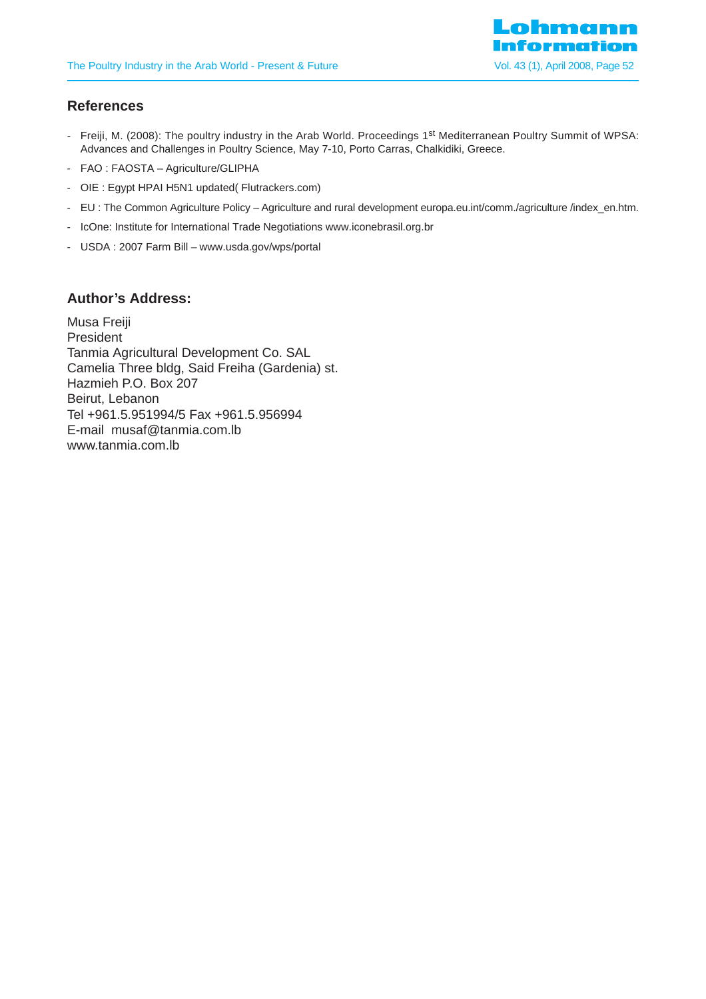

# **References**

- Freiji, M. (2008): The poultry industry in the Arab World. Proceedings 1<sup>st</sup> Mediterranean Poultry Summit of WPSA: Advances and Challenges in Poultry Science, May 7-10, Porto Carras, Chalkidiki, Greece.
- FAO : FAOSTA Agriculture/GLIPHA
- OIE : Egypt HPAI H5N1 updated( Flutrackers.com)
- EU : The Common Agriculture Policy Agriculture and rural development europa.eu.int/comm./agriculture /index\_en.htm.
- IcOne: Institute for International Trade Negotiations www.iconebrasil.org.br
- USDA : 2007 Farm Bill www.usda.gov/wps/portal

#### **Author's Address:**

Musa Freiji President Tanmia Agricultural Development Co. SAL Camelia Three bldg, Said Freiha (Gardenia) st. Hazmieh P.O. Box 207 Beirut, Lebanon Tel +961.5.951994/5 Fax +961.5.956994 E-mail musaf@tanmia.com.lb www.tanmia.com.lb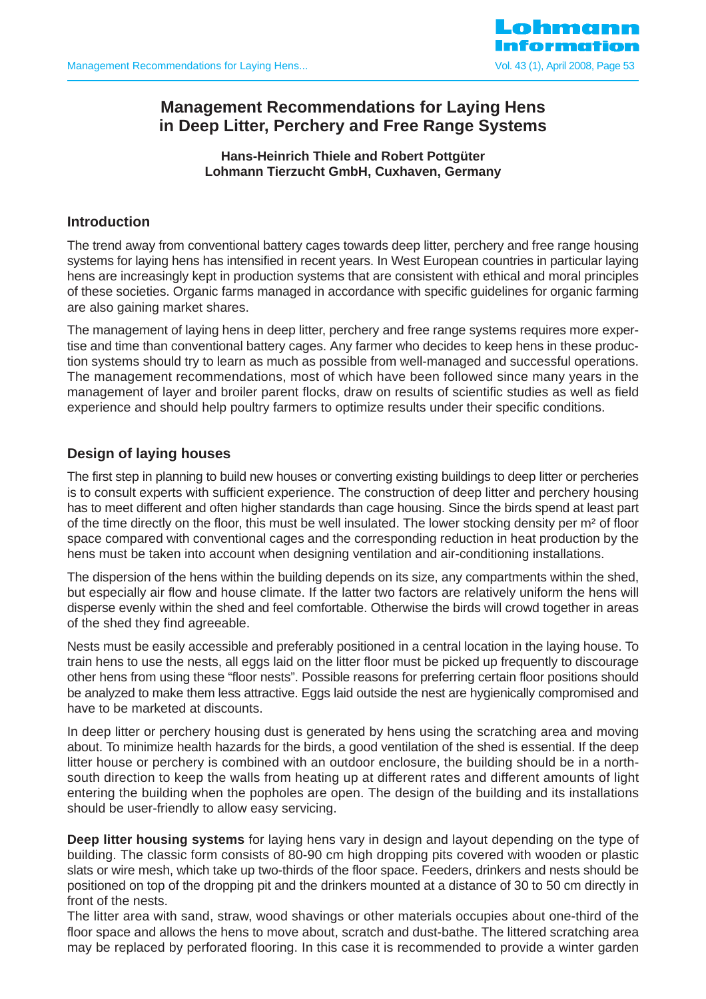

# **Management Recommendations for Laying Hens in Deep Litter, Perchery and Free Range Systems**

**Hans-Heinrich Thiele and Robert Pottgüter Lohmann Tierzucht GmbH, Cuxhaven, Germany**

# **Introduction**

The trend away from conventional battery cages towards deep litter, perchery and free range housing systems for laying hens has intensified in recent years. In West European countries in particular laying hens are increasingly kept in production systems that are consistent with ethical and moral principles of these societies. Organic farms managed in accordance with specific guidelines for organic farming are also gaining market shares.

The management of laying hens in deep litter, perchery and free range systems requires more expertise and time than conventional battery cages. Any farmer who decides to keep hens in these production systems should try to learn as much as possible from well-managed and successful operations. The management recommendations, most of which have been followed since many years in the management of layer and broiler parent flocks, draw on results of scientific studies as well as field experience and should help poultry farmers to optimize results under their specific conditions.

# **Design of laying houses**

The first step in planning to build new houses or converting existing buildings to deep litter or percheries is to consult experts with sufficient experience. The construction of deep litter and perchery housing has to meet different and often higher standards than cage housing. Since the birds spend at least part of the time directly on the floor, this must be well insulated. The lower stocking density per m² of floor space compared with conventional cages and the corresponding reduction in heat production by the hens must be taken into account when designing ventilation and air-conditioning installations.

The dispersion of the hens within the building depends on its size, any compartments within the shed, but especially air flow and house climate. If the latter two factors are relatively uniform the hens will disperse evenly within the shed and feel comfortable. Otherwise the birds will crowd together in areas of the shed they find agreeable.

Nests must be easily accessible and preferably positioned in a central location in the laying house. To train hens to use the nests, all eggs laid on the litter floor must be picked up frequently to discourage other hens from using these "floor nests". Possible reasons for preferring certain floor positions should be analyzed to make them less attractive. Eggs laid outside the nest are hygienically compromised and have to be marketed at discounts.

In deep litter or perchery housing dust is generated by hens using the scratching area and moving about. To minimize health hazards for the birds, a good ventilation of the shed is essential. If the deep litter house or perchery is combined with an outdoor enclosure, the building should be in a northsouth direction to keep the walls from heating up at different rates and different amounts of light entering the building when the popholes are open. The design of the building and its installations should be user-friendly to allow easy servicing.

**Deep litter housing systems** for laying hens vary in design and layout depending on the type of building. The classic form consists of 80-90 cm high dropping pits covered with wooden or plastic slats or wire mesh, which take up two-thirds of the floor space. Feeders, drinkers and nests should be positioned on top of the dropping pit and the drinkers mounted at a distance of 30 to 50 cm directly in front of the nests.

The litter area with sand, straw, wood shavings or other materials occupies about one-third of the floor space and allows the hens to move about, scratch and dust-bathe. The littered scratching area may be replaced by perforated flooring. In this case it is recommended to provide a winter garden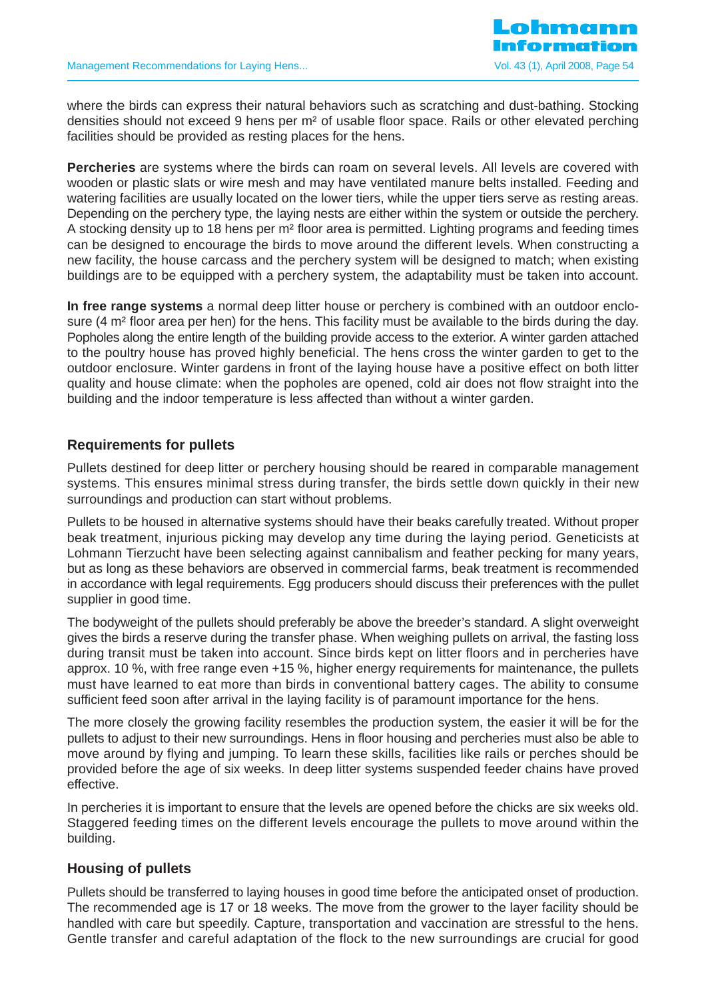

where the birds can express their natural behaviors such as scratching and dust-bathing. Stocking densities should not exceed 9 hens per m² of usable floor space. Rails or other elevated perching facilities should be provided as resting places for the hens.

**Percheries** are systems where the birds can roam on several levels. All levels are covered with wooden or plastic slats or wire mesh and may have ventilated manure belts installed. Feeding and watering facilities are usually located on the lower tiers, while the upper tiers serve as resting areas. Depending on the perchery type, the laying nests are either within the system or outside the perchery. A stocking density up to 18 hens per m² floor area is permitted. Lighting programs and feeding times can be designed to encourage the birds to move around the different levels. When constructing a new facility, the house carcass and the perchery system will be designed to match; when existing buildings are to be equipped with a perchery system, the adaptability must be taken into account.

**In free range systems** a normal deep litter house or perchery is combined with an outdoor enclosure  $(4 \text{ m}^2)$  floor area per hen) for the hens. This facility must be available to the birds during the day. Popholes along the entire length of the building provide access to the exterior. A winter garden attached to the poultry house has proved highly beneficial. The hens cross the winter garden to get to the outdoor enclosure. Winter gardens in front of the laying house have a positive effect on both litter quality and house climate: when the popholes are opened, cold air does not flow straight into the building and the indoor temperature is less affected than without a winter garden.

# **Requirements for pullets**

Pullets destined for deep litter or perchery housing should be reared in comparable management systems. This ensures minimal stress during transfer, the birds settle down quickly in their new surroundings and production can start without problems.

Pullets to be housed in alternative systems should have their beaks carefully treated. Without proper beak treatment, injurious picking may develop any time during the laying period. Geneticists at Lohmann Tierzucht have been selecting against cannibalism and feather pecking for many years, but as long as these behaviors are observed in commercial farms, beak treatment is recommended in accordance with legal requirements. Egg producers should discuss their preferences with the pullet supplier in good time.

The bodyweight of the pullets should preferably be above the breeder's standard. A slight overweight gives the birds a reserve during the transfer phase. When weighing pullets on arrival, the fasting loss during transit must be taken into account. Since birds kept on litter floors and in percheries have approx. 10 %, with free range even +15 %, higher energy requirements for maintenance, the pullets must have learned to eat more than birds in conventional battery cages. The ability to consume sufficient feed soon after arrival in the laying facility is of paramount importance for the hens.

The more closely the growing facility resembles the production system, the easier it will be for the pullets to adjust to their new surroundings. Hens in floor housing and percheries must also be able to move around by flying and jumping. To learn these skills, facilities like rails or perches should be provided before the age of six weeks. In deep litter systems suspended feeder chains have proved effective.

In percheries it is important to ensure that the levels are opened before the chicks are six weeks old. Staggered feeding times on the different levels encourage the pullets to move around within the building.

# **Housing of pullets**

Pullets should be transferred to laying houses in good time before the anticipated onset of production. The recommended age is 17 or 18 weeks. The move from the grower to the layer facility should be handled with care but speedily. Capture, transportation and vaccination are stressful to the hens. Gentle transfer and careful adaptation of the flock to the new surroundings are crucial for good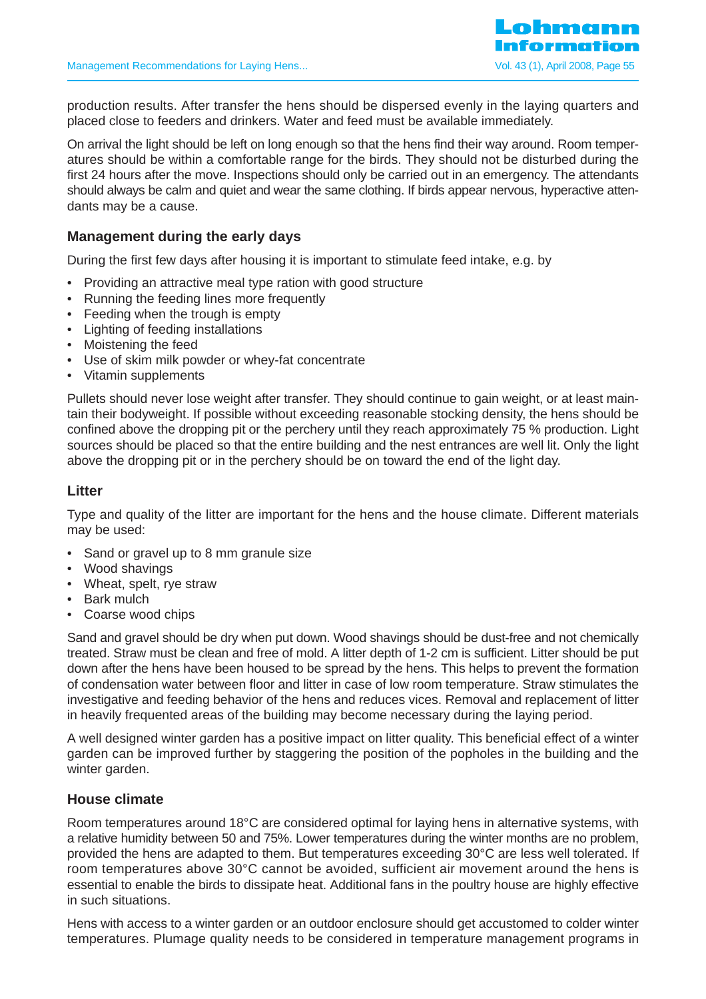production results. After transfer the hens should be dispersed evenly in the laying quarters and placed close to feeders and drinkers. Water and feed must be available immediately.

On arrival the light should be left on long enough so that the hens find their way around. Room temperatures should be within a comfortable range for the birds. They should not be disturbed during the first 24 hours after the move. Inspections should only be carried out in an emergency. The attendants should always be calm and quiet and wear the same clothing. If birds appear nervous, hyperactive attendants may be a cause.

# **Management during the early days**

During the first few days after housing it is important to stimulate feed intake, e.g. by

- Providing an attractive meal type ration with good structure
- Running the feeding lines more frequently
- Feeding when the trough is empty
- Lighting of feeding installations
- Moistening the feed
- Use of skim milk powder or whey-fat concentrate
- Vitamin supplements

Pullets should never lose weight after transfer. They should continue to gain weight, or at least maintain their bodyweight. If possible without exceeding reasonable stocking density, the hens should be confined above the dropping pit or the perchery until they reach approximately 75 % production. Light sources should be placed so that the entire building and the nest entrances are well lit. Only the light above the dropping pit or in the perchery should be on toward the end of the light day.

#### **Litter**

Type and quality of the litter are important for the hens and the house climate. Different materials may be used:

- Sand or gravel up to 8 mm granule size
- Wood shavings
- Wheat, spelt, rye straw
- Bark mulch
- Coarse wood chips

Sand and gravel should be dry when put down. Wood shavings should be dust-free and not chemically treated. Straw must be clean and free of mold. A litter depth of 1-2 cm is sufficient. Litter should be put down after the hens have been housed to be spread by the hens. This helps to prevent the formation of condensation water between floor and litter in case of low room temperature. Straw stimulates the investigative and feeding behavior of the hens and reduces vices. Removal and replacement of litter in heavily frequented areas of the building may become necessary during the laying period.

A well designed winter garden has a positive impact on litter quality. This beneficial effect of a winter garden can be improved further by staggering the position of the popholes in the building and the winter garden.

### **House climate**

Room temperatures around 18°C are considered optimal for laying hens in alternative systems, with a relative humidity between 50 and 75%. Lower temperatures during the winter months are no problem, provided the hens are adapted to them. But temperatures exceeding 30°C are less well tolerated. If room temperatures above 30°C cannot be avoided, sufficient air movement around the hens is essential to enable the birds to dissipate heat. Additional fans in the poultry house are highly effective in such situations.

Hens with access to a winter garden or an outdoor enclosure should get accustomed to colder winter temperatures. Plumage quality needs to be considered in temperature management programs in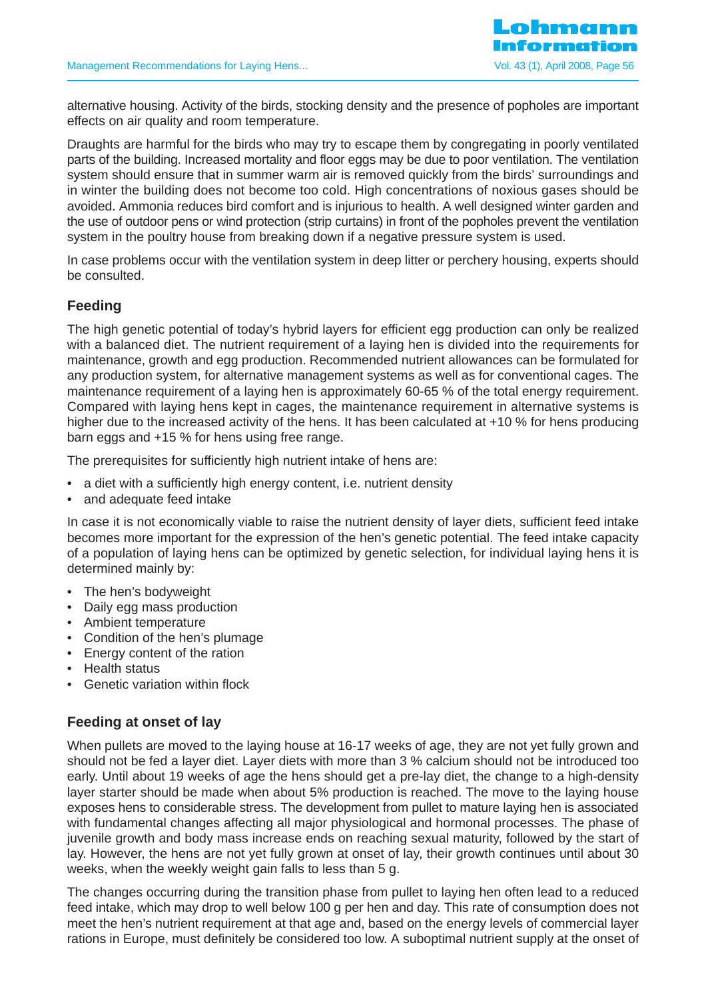

alternative housing. Activity of the birds, stocking density and the presence of popholes are important effects on air quality and room temperature.

Draughts are harmful for the birds who may try to escape them by congregating in poorly ventilated parts of the building. Increased mortality and floor eggs may be due to poor ventilation. The ventilation system should ensure that in summer warm air is removed quickly from the birds' surroundings and in winter the building does not become too cold. High concentrations of noxious gases should be avoided. Ammonia reduces bird comfort and is injurious to health. A well designed winter garden and the use of outdoor pens or wind protection (strip curtains) in front of the popholes prevent the ventilation system in the poultry house from breaking down if a negative pressure system is used.

In case problems occur with the ventilation system in deep litter or perchery housing, experts should be consulted.

# **Feeding**

The high genetic potential of today's hybrid layers for efficient egg production can only be realized with a balanced diet. The nutrient requirement of a laying hen is divided into the requirements for maintenance, growth and egg production. Recommended nutrient allowances can be formulated for any production system, for alternative management systems as well as for conventional cages. The maintenance requirement of a laying hen is approximately 60-65 % of the total energy requirement. Compared with laying hens kept in cages, the maintenance requirement in alternative systems is higher due to the increased activity of the hens. It has been calculated at +10 % for hens producing barn eggs and +15 % for hens using free range.

The prerequisites for sufficiently high nutrient intake of hens are:

- a diet with a sufficiently high energy content, i.e. nutrient density
- and adequate feed intake

In case it is not economically viable to raise the nutrient density of layer diets, sufficient feed intake becomes more important for the expression of the hen's genetic potential. The feed intake capacity of a population of laying hens can be optimized by genetic selection, for individual laying hens it is determined mainly by:

- The hen's bodyweight
- Daily egg mass production
- Ambient temperature
- Condition of the hen's plumage
- Energy content of the ration
- Health status
- Genetic variation within flock

# **Feeding at onset of lay**

When pullets are moved to the laying house at 16-17 weeks of age, they are not yet fully grown and should not be fed a layer diet. Layer diets with more than 3 % calcium should not be introduced too early. Until about 19 weeks of age the hens should get a pre-lay diet, the change to a high-density layer starter should be made when about 5% production is reached. The move to the laying house exposes hens to considerable stress. The development from pullet to mature laying hen is associated with fundamental changes affecting all major physiological and hormonal processes. The phase of juvenile growth and body mass increase ends on reaching sexual maturity, followed by the start of lay. However, the hens are not yet fully grown at onset of lay, their growth continues until about 30 weeks, when the weekly weight gain falls to less than 5 g.

The changes occurring during the transition phase from pullet to laying hen often lead to a reduced feed intake, which may drop to well below 100 g per hen and day. This rate of consumption does not meet the hen's nutrient requirement at that age and, based on the energy levels of commercial layer rations in Europe, must definitely be considered too low. A suboptimal nutrient supply at the onset of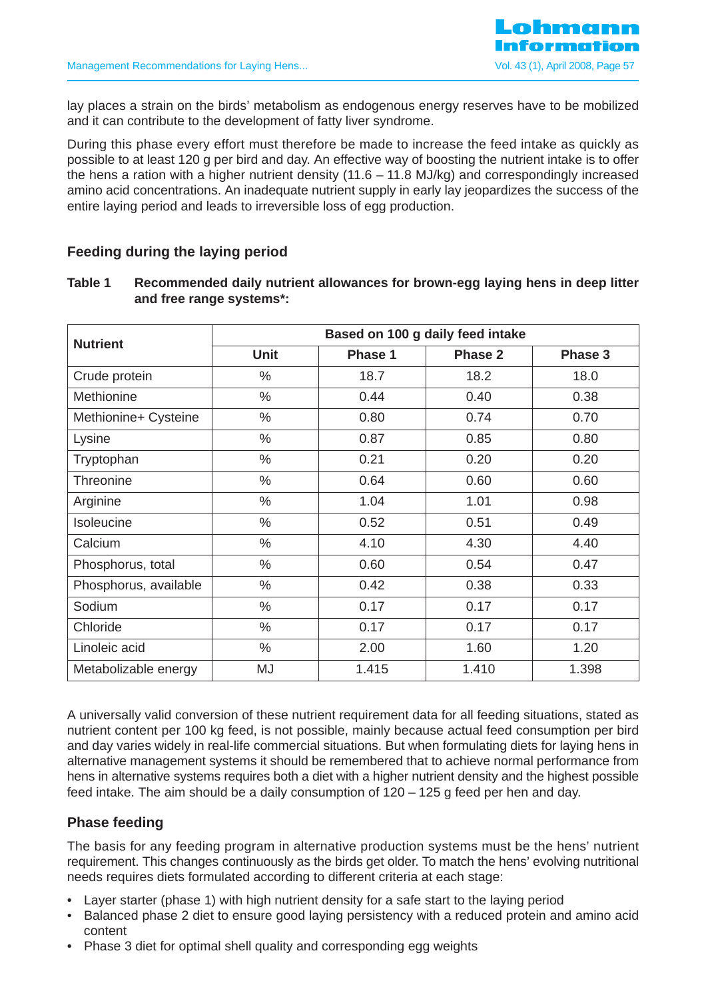

lay places a strain on the birds' metabolism as endogenous energy reserves have to be mobilized and it can contribute to the development of fatty liver syndrome.

During this phase every effort must therefore be made to increase the feed intake as quickly as possible to at least 120 g per bird and day. An effective way of boosting the nutrient intake is to offer the hens a ration with a higher nutrient density (11.6 – 11.8 MJ/kg) and correspondingly increased amino acid concentrations. An inadequate nutrient supply in early lay jeopardizes the success of the entire laying period and leads to irreversible loss of egg production.

# **Feeding during the laying period**

| IUNIV I | woodminonaba aany nathont anomanood ion brown ogg laying nono in abop littor<br>and free range systems*: |  |  |  |
|---------|----------------------------------------------------------------------------------------------------------|--|--|--|
|         |                                                                                                          |  |  |  |

**Table 1 Recommended daily nutrient allowances for brown-egg laying hens in deep litter**

| <b>Nutrient</b>       |               | Based on 100 g daily feed intake |                |         |  |  |  |  |  |
|-----------------------|---------------|----------------------------------|----------------|---------|--|--|--|--|--|
|                       | Unit          | Phase 1                          | <b>Phase 2</b> | Phase 3 |  |  |  |  |  |
| Crude protein         | $\frac{0}{0}$ | 18.7                             | 18.2           | 18.0    |  |  |  |  |  |
| Methionine            | $\frac{0}{0}$ | 0.44                             | 0.40           | 0.38    |  |  |  |  |  |
| Methionine+ Cysteine  | $\frac{0}{0}$ | 0.80                             | 0.74           | 0.70    |  |  |  |  |  |
| Lysine                | $\%$          | 0.87                             | 0.85           | 0.80    |  |  |  |  |  |
| Tryptophan            | $\frac{0}{0}$ | 0.21                             | 0.20           | 0.20    |  |  |  |  |  |
| <b>Threonine</b>      | $\%$          | 0.64                             | 0.60           | 0.60    |  |  |  |  |  |
| Arginine              | $\frac{0}{0}$ | 1.04                             | 1.01           | 0.98    |  |  |  |  |  |
| Isoleucine            | $\%$          | 0.52                             | 0.51           | 0.49    |  |  |  |  |  |
| Calcium               | %             | 4.10                             | 4.30           | 4.40    |  |  |  |  |  |
| Phosphorus, total     | $\frac{0}{0}$ | 0.60                             | 0.54           | 0.47    |  |  |  |  |  |
| Phosphorus, available | $\%$          | 0.42                             | 0.38           | 0.33    |  |  |  |  |  |
| Sodium                | $\%$          | 0.17                             | 0.17           | 0.17    |  |  |  |  |  |
| Chloride              | $\frac{0}{0}$ | 0.17                             | 0.17           | 0.17    |  |  |  |  |  |
| Linoleic acid         | $\%$          | 2.00                             | 1.60           | 1.20    |  |  |  |  |  |
| Metabolizable energy  | MJ            | 1.415                            | 1.410          | 1.398   |  |  |  |  |  |

A universally valid conversion of these nutrient requirement data for all feeding situations, stated as nutrient content per 100 kg feed, is not possible, mainly because actual feed consumption per bird and day varies widely in real-life commercial situations. But when formulating diets for laying hens in alternative management systems it should be remembered that to achieve normal performance from hens in alternative systems requires both a diet with a higher nutrient density and the highest possible feed intake. The aim should be a daily consumption of 120 – 125 g feed per hen and day.

### **Phase feeding**

The basis for any feeding program in alternative production systems must be the hens' nutrient requirement. This changes continuously as the birds get older. To match the hens' evolving nutritional needs requires diets formulated according to different criteria at each stage:

- Layer starter (phase 1) with high nutrient density for a safe start to the laying period
- Balanced phase 2 diet to ensure good laying persistency with a reduced protein and amino acid content
- Phase 3 diet for optimal shell quality and corresponding egg weights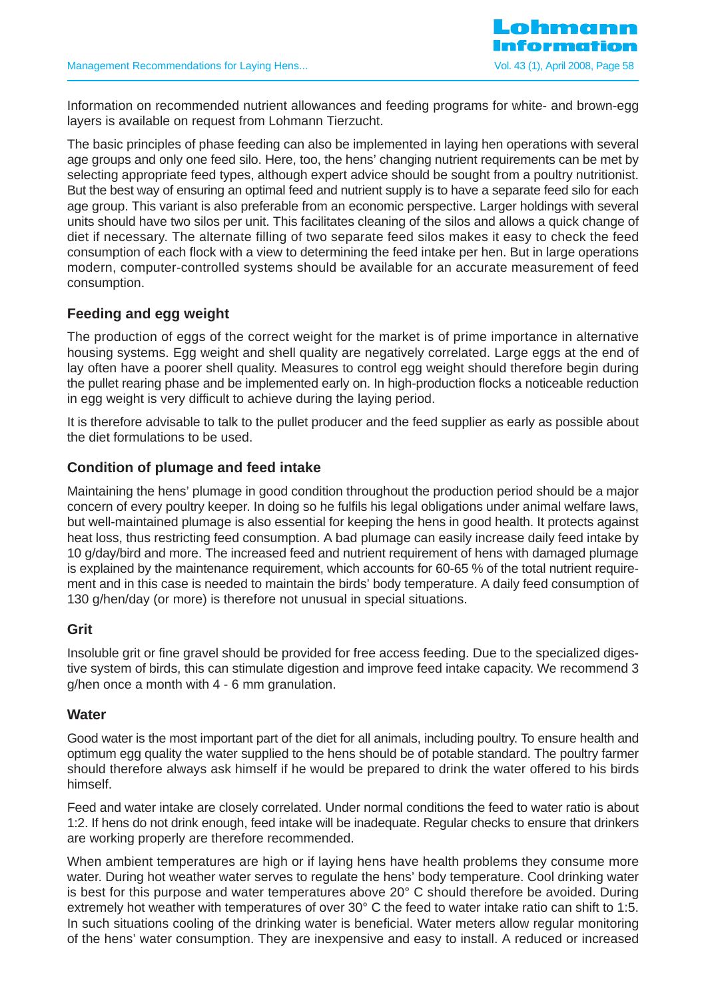

Information on recommended nutrient allowances and feeding programs for white- and brown-egg layers is available on request from Lohmann Tierzucht.

The basic principles of phase feeding can also be implemented in laying hen operations with several age groups and only one feed silo. Here, too, the hens' changing nutrient requirements can be met by selecting appropriate feed types, although expert advice should be sought from a poultry nutritionist. But the best way of ensuring an optimal feed and nutrient supply is to have a separate feed silo for each age group. This variant is also preferable from an economic perspective. Larger holdings with several units should have two silos per unit. This facilitates cleaning of the silos and allows a quick change of diet if necessary. The alternate filling of two separate feed silos makes it easy to check the feed consumption of each flock with a view to determining the feed intake per hen. But in large operations modern, computer-controlled systems should be available for an accurate measurement of feed consumption.

# **Feeding and egg weight**

The production of eggs of the correct weight for the market is of prime importance in alternative housing systems. Egg weight and shell quality are negatively correlated. Large eggs at the end of lay often have a poorer shell quality. Measures to control egg weight should therefore begin during the pullet rearing phase and be implemented early on. In high-production flocks a noticeable reduction in egg weight is very difficult to achieve during the laying period.

It is therefore advisable to talk to the pullet producer and the feed supplier as early as possible about the diet formulations to be used.

### **Condition of plumage and feed intake**

Maintaining the hens' plumage in good condition throughout the production period should be a major concern of every poultry keeper. In doing so he fulfils his legal obligations under animal welfare laws, but well-maintained plumage is also essential for keeping the hens in good health. It protects against heat loss, thus restricting feed consumption. A bad plumage can easily increase daily feed intake by 10 g/day/bird and more. The increased feed and nutrient requirement of hens with damaged plumage is explained by the maintenance requirement, which accounts for 60-65 % of the total nutrient requirement and in this case is needed to maintain the birds' body temperature. A daily feed consumption of 130 g/hen/day (or more) is therefore not unusual in special situations.

### **Grit**

Insoluble grit or fine gravel should be provided for free access feeding. Due to the specialized digestive system of birds, this can stimulate digestion and improve feed intake capacity. We recommend 3 g/hen once a month with 4 - 6 mm granulation.

#### **Water**

Good water is the most important part of the diet for all animals, including poultry. To ensure health and optimum egg quality the water supplied to the hens should be of potable standard. The poultry farmer should therefore always ask himself if he would be prepared to drink the water offered to his birds himself.

Feed and water intake are closely correlated. Under normal conditions the feed to water ratio is about 1:2. If hens do not drink enough, feed intake will be inadequate. Regular checks to ensure that drinkers are working properly are therefore recommended.

When ambient temperatures are high or if laying hens have health problems they consume more water. During hot weather water serves to regulate the hens' body temperature. Cool drinking water is best for this purpose and water temperatures above 20° C should therefore be avoided. During extremely hot weather with temperatures of over 30° C the feed to water intake ratio can shift to 1:5. In such situations cooling of the drinking water is beneficial. Water meters allow regular monitoring of the hens' water consumption. They are inexpensive and easy to install. A reduced or increased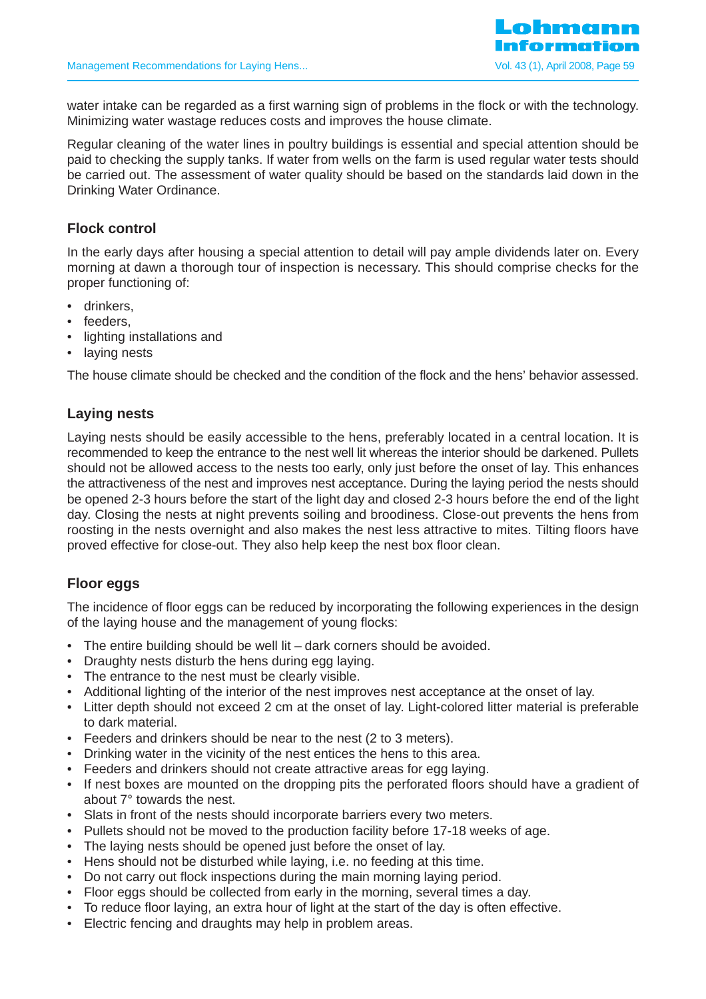water intake can be regarded as a first warning sign of problems in the flock or with the technology. Minimizing water wastage reduces costs and improves the house climate.

Regular cleaning of the water lines in poultry buildings is essential and special attention should be paid to checking the supply tanks. If water from wells on the farm is used regular water tests should be carried out. The assessment of water quality should be based on the standards laid down in the Drinking Water Ordinance.

# **Flock control**

In the early days after housing a special attention to detail will pay ample dividends later on. Every morning at dawn a thorough tour of inspection is necessary. This should comprise checks for the proper functioning of:

- drinkers,
- feeders,
- lighting installations and
- laying nests

The house climate should be checked and the condition of the flock and the hens' behavior assessed.

# **Laying nests**

Laying nests should be easily accessible to the hens, preferably located in a central location. It is recommended to keep the entrance to the nest well lit whereas the interior should be darkened. Pullets should not be allowed access to the nests too early, only just before the onset of lay. This enhances the attractiveness of the nest and improves nest acceptance. During the laying period the nests should be opened 2-3 hours before the start of the light day and closed 2-3 hours before the end of the light day. Closing the nests at night prevents soiling and broodiness. Close-out prevents the hens from roosting in the nests overnight and also makes the nest less attractive to mites. Tilting floors have proved effective for close-out. They also help keep the nest box floor clean.

### **Floor eggs**

The incidence of floor eggs can be reduced by incorporating the following experiences in the design of the laying house and the management of young flocks:

- The entire building should be well lit dark corners should be avoided.
- Draughty nests disturb the hens during egg laying.
- The entrance to the nest must be clearly visible.
- Additional lighting of the interior of the nest improves nest acceptance at the onset of lay.
- Litter depth should not exceed 2 cm at the onset of lay. Light-colored litter material is preferable to dark material.
- Feeders and drinkers should be near to the nest (2 to 3 meters).
- Drinking water in the vicinity of the nest entices the hens to this area.
- Feeders and drinkers should not create attractive areas for egg laying.
- If nest boxes are mounted on the dropping pits the perforated floors should have a gradient of about 7° towards the nest.
- Slats in front of the nests should incorporate barriers every two meters.
- Pullets should not be moved to the production facility before 17-18 weeks of age.
- The laying nests should be opened just before the onset of lay.
- Hens should not be disturbed while laying, i.e. no feeding at this time.
- Do not carry out flock inspections during the main morning laying period.
- Floor eggs should be collected from early in the morning, several times a day.
- To reduce floor laying, an extra hour of light at the start of the day is often effective.
- Electric fencing and draughts may help in problem areas.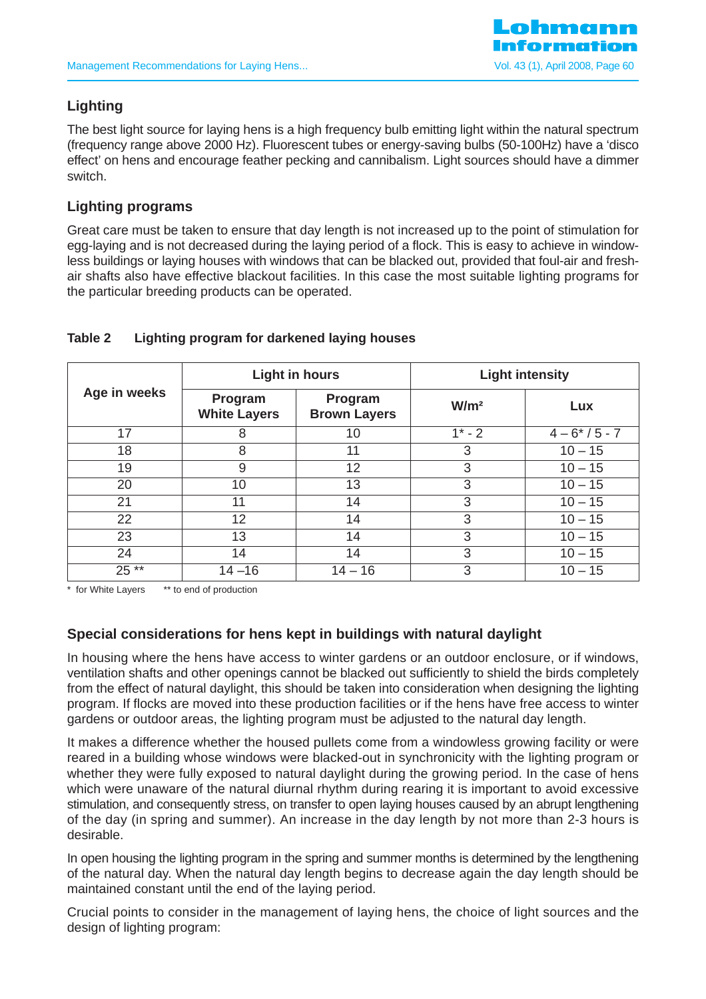

# **Lighting**

The best light source for laying hens is a high frequency bulb emitting light within the natural spectrum (frequency range above 2000 Hz). Fluorescent tubes or energy-saving bulbs (50-100Hz) have a 'disco effect' on hens and encourage feather pecking and cannibalism. Light sources should have a dimmer switch.

# **Lighting programs**

Great care must be taken to ensure that day length is not increased up to the point of stimulation for egg-laying and is not decreased during the laying period of a flock. This is easy to achieve in windowless buildings or laying houses with windows that can be blacked out, provided that foul-air and freshair shafts also have effective blackout facilities. In this case the most suitable lighting programs for the particular breeding products can be operated.

| Age in weeks | <b>Light in hours</b>          |                                | <b>Light intensity</b> |                |
|--------------|--------------------------------|--------------------------------|------------------------|----------------|
|              | Program<br><b>White Layers</b> | Program<br><b>Brown Layers</b> | W/m <sup>2</sup>       | Lux            |
| 17           | 8                              | 10                             | $1^* - 2$              | $4 - 6*/5 - 7$ |
| 18           | 8                              | 11                             | 3                      | $10 - 15$      |
| 19           | 9                              | 12                             | 3                      | $10 - 15$      |
| 20           | 10                             | 13                             | 3                      | $10 - 15$      |
| 21           | 11                             | 14                             | 3                      | $10 - 15$      |
| 22           | 12                             | 14                             | 3                      | $10 - 15$      |
| 23           | 13                             | 14                             | 3                      | $10 - 15$      |
| 24           | 14                             | 14                             | 3                      | $10 - 15$      |
| 25 **        | $14 - 16$                      | $14 - 16$                      | 3                      | $10 - 15$      |

### **Table 2 Lighting program for darkened laying houses**

\* for White Layers \*\* to end of production

# **Special considerations for hens kept in buildings with natural daylight**

In housing where the hens have access to winter gardens or an outdoor enclosure, or if windows, ventilation shafts and other openings cannot be blacked out sufficiently to shield the birds completely from the effect of natural daylight, this should be taken into consideration when designing the lighting program. If flocks are moved into these production facilities or if the hens have free access to winter gardens or outdoor areas, the lighting program must be adjusted to the natural day length.

It makes a difference whether the housed pullets come from a windowless growing facility or were reared in a building whose windows were blacked-out in synchronicity with the lighting program or whether they were fully exposed to natural daylight during the growing period. In the case of hens which were unaware of the natural diurnal rhythm during rearing it is important to avoid excessive stimulation, and consequently stress, on transfer to open laying houses caused by an abrupt lengthening of the day (in spring and summer). An increase in the day length by not more than 2-3 hours is desirable.

In open housing the lighting program in the spring and summer months is determined by the lengthening of the natural day. When the natural day length begins to decrease again the day length should be maintained constant until the end of the laying period.

Crucial points to consider in the management of laying hens, the choice of light sources and the design of lighting program: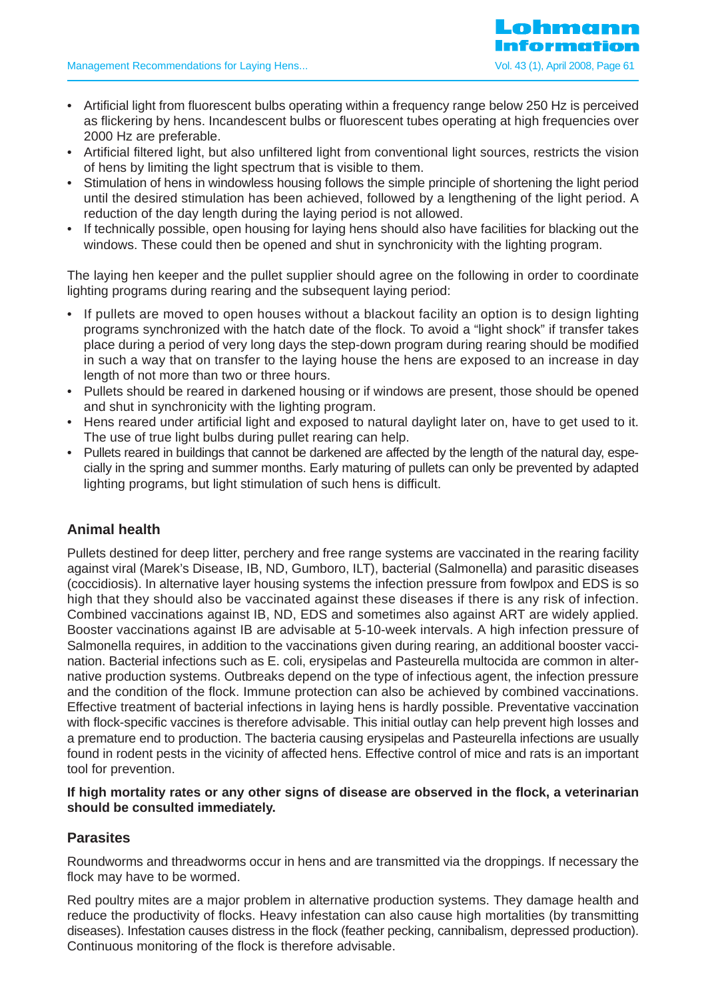- Artificial light from fluorescent bulbs operating within a frequency range below 250 Hz is perceived as flickering by hens. Incandescent bulbs or fluorescent tubes operating at high frequencies over 2000 Hz are preferable.
- Artificial filtered light, but also unfiltered light from conventional light sources, restricts the vision of hens by limiting the light spectrum that is visible to them.
- Stimulation of hens in windowless housing follows the simple principle of shortening the light period until the desired stimulation has been achieved, followed by a lengthening of the light period. A reduction of the day length during the laying period is not allowed.
- If technically possible, open housing for laying hens should also have facilities for blacking out the windows. These could then be opened and shut in synchronicity with the lighting program.

The laying hen keeper and the pullet supplier should agree on the following in order to coordinate lighting programs during rearing and the subsequent laying period:

- If pullets are moved to open houses without a blackout facility an option is to design lighting programs synchronized with the hatch date of the flock. To avoid a "light shock" if transfer takes place during a period of very long days the step-down program during rearing should be modified in such a way that on transfer to the laying house the hens are exposed to an increase in day length of not more than two or three hours.
- Pullets should be reared in darkened housing or if windows are present, those should be opened and shut in synchronicity with the lighting program.
- Hens reared under artificial light and exposed to natural daylight later on, have to get used to it. The use of true light bulbs during pullet rearing can help.
- Pullets reared in buildings that cannot be darkened are affected by the length of the natural day, especially in the spring and summer months. Early maturing of pullets can only be prevented by adapted lighting programs, but light stimulation of such hens is difficult.

# **Animal health**

Pullets destined for deep litter, perchery and free range systems are vaccinated in the rearing facility against viral (Marek's Disease, IB, ND, Gumboro, ILT), bacterial (Salmonella) and parasitic diseases (coccidiosis). In alternative layer housing systems the infection pressure from fowlpox and EDS is so high that they should also be vaccinated against these diseases if there is any risk of infection. Combined vaccinations against IB, ND, EDS and sometimes also against ART are widely applied. Booster vaccinations against IB are advisable at 5-10-week intervals. A high infection pressure of Salmonella requires, in addition to the vaccinations given during rearing, an additional booster vaccination. Bacterial infections such as E. coli, erysipelas and Pasteurella multocida are common in alternative production systems. Outbreaks depend on the type of infectious agent, the infection pressure and the condition of the flock. Immune protection can also be achieved by combined vaccinations. Effective treatment of bacterial infections in laying hens is hardly possible. Preventative vaccination with flock-specific vaccines is therefore advisable. This initial outlay can help prevent high losses and a premature end to production. The bacteria causing erysipelas and Pasteurella infections are usually found in rodent pests in the vicinity of affected hens. Effective control of mice and rats is an important tool for prevention.

#### **If high mortality rates or any other signs of disease are observed in the flock, a veterinarian should be consulted immediately.**

### **Parasites**

Roundworms and threadworms occur in hens and are transmitted via the droppings. If necessary the flock may have to be wormed.

Red poultry mites are a major problem in alternative production systems. They damage health and reduce the productivity of flocks. Heavy infestation can also cause high mortalities (by transmitting diseases). Infestation causes distress in the flock (feather pecking, cannibalism, depressed production). Continuous monitoring of the flock is therefore advisable.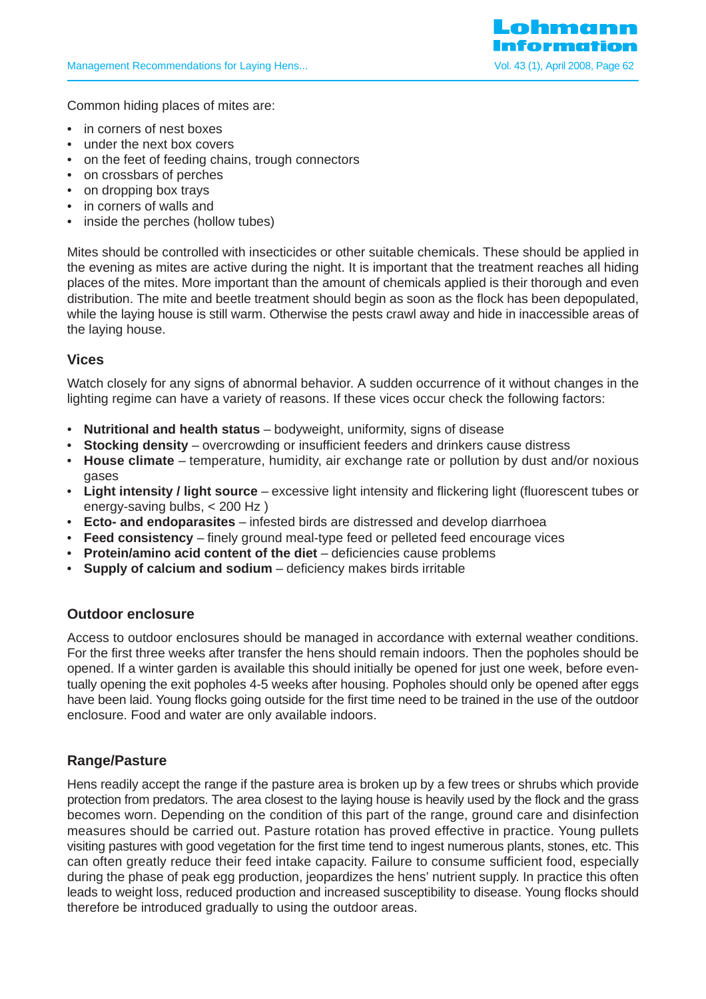

Common hiding places of mites are:

- in corners of nest boxes
- under the next box covers
- on the feet of feeding chains, trough connectors
- on crossbars of perches
- on dropping box trays
- in corners of walls and
- inside the perches (hollow tubes)

Mites should be controlled with insecticides or other suitable chemicals. These should be applied in the evening as mites are active during the night. It is important that the treatment reaches all hiding places of the mites. More important than the amount of chemicals applied is their thorough and even distribution. The mite and beetle treatment should begin as soon as the flock has been depopulated, while the laying house is still warm. Otherwise the pests crawl away and hide in inaccessible areas of the laying house.

# **Vices**

Watch closely for any signs of abnormal behavior. A sudden occurrence of it without changes in the lighting regime can have a variety of reasons. If these vices occur check the following factors:

- **Nutritional and health status** bodyweight, uniformity, signs of disease
- **Stocking density** overcrowding or insufficient feeders and drinkers cause distress
- **House climate** temperature, humidity, air exchange rate or pollution by dust and/or noxious gases
- **Light intensity / light source** excessive light intensity and flickering light (fluorescent tubes or energy-saving bulbs, < 200 Hz )
- **Ecto- and endoparasites** infested birds are distressed and develop diarrhoea
- **Feed consistency** finely ground meal-type feed or pelleted feed encourage vices
- **Protein/amino acid content of the diet** deficiencies cause problems
- **Supply of calcium and sodium** deficiency makes birds irritable

### **Outdoor enclosure**

Access to outdoor enclosures should be managed in accordance with external weather conditions. For the first three weeks after transfer the hens should remain indoors. Then the popholes should be opened. If a winter garden is available this should initially be opened for just one week, before eventually opening the exit popholes 4-5 weeks after housing. Popholes should only be opened after eggs have been laid. Young flocks going outside for the first time need to be trained in the use of the outdoor enclosure. Food and water are only available indoors.

### **Range/Pasture**

Hens readily accept the range if the pasture area is broken up by a few trees or shrubs which provide protection from predators. The area closest to the laying house is heavily used by the flock and the grass becomes worn. Depending on the condition of this part of the range, ground care and disinfection measures should be carried out. Pasture rotation has proved effective in practice. Young pullets visiting pastures with good vegetation for the first time tend to ingest numerous plants, stones, etc. This can often greatly reduce their feed intake capacity. Failure to consume sufficient food, especially during the phase of peak egg production, jeopardizes the hens' nutrient supply. In practice this often leads to weight loss, reduced production and increased susceptibility to disease. Young flocks should therefore be introduced gradually to using the outdoor areas.